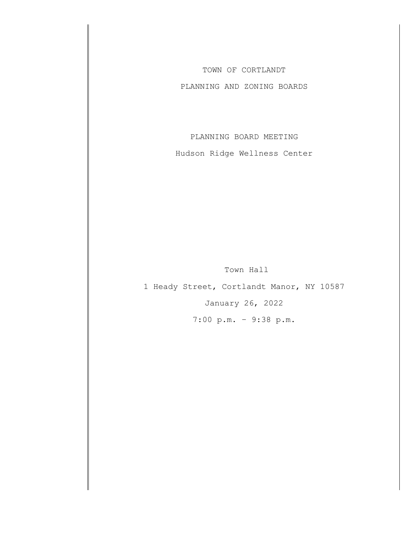TOWN OF CORTLANDT

PLANNING AND ZONING BOARDS

PLANNING BOARD MEETING

Hudson Ridge Wellness Center

Town Hall

1 Heady Street, Cortlandt Manor, NY 10587 January 26, 2022 7:00 p.m. – 9:38 p.m.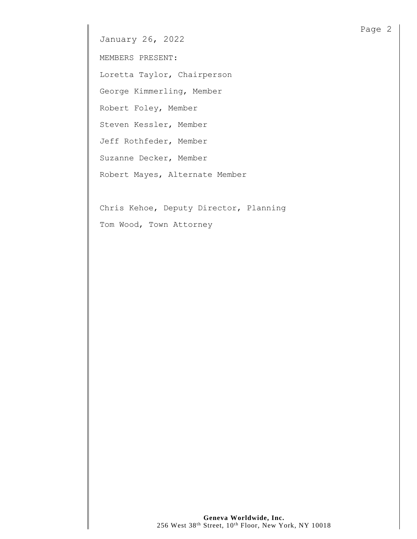MEMBERS PRESENT:

Loretta Taylor, Chairperson

George Kimmerling, Member

Robert Foley, Member

Steven Kessler, Member

Jeff Rothfeder, Member

Suzanne Decker, Member

Robert Mayes, Alternate Member

Chris Kehoe, Deputy Director, Planning Tom Wood, Town Attorney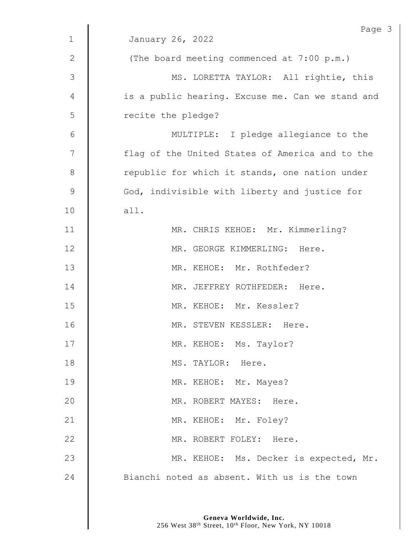|              | Page                                             |
|--------------|--------------------------------------------------|
| $\mathbf{1}$ | January 26, 2022                                 |
| $\mathbf{2}$ | (The board meeting commenced at 7:00 p.m.)       |
| 3            | MS. LORETTA TAYLOR: All rightie, this            |
| 4            | is a public hearing. Excuse me. Can we stand and |
| 5            | recite the pledge?                               |
| 6            | MULTIPLE: I pledge allegiance to the             |
| 7            | flag of the United States of America and to the  |
| 8            | republic for which it stands, one nation under   |
| $\mathsf 9$  | God, indivisible with liberty and justice for    |
| 10           | all.                                             |
| 11           | MR. CHRIS KEHOE: Mr. Kimmerling?                 |
| 12           | MR. GEORGE KIMMERLING: Here.                     |
| 13           | MR. KEHOE: Mr. Rothfeder?                        |
| 14           | MR. JEFFREY ROTHFEDER: Here.                     |
| 15           | MR. KEHOE: Mr. Kessler?                          |
| 16           | MR. STEVEN KESSLER: Here.                        |
| 17           | MR. KEHOE: Ms. Taylor?                           |
| 18           | MS. TAYLOR: Here.                                |
| 19           | MR. KEHOE: Mr. Mayes?                            |
| 20           | MR. ROBERT MAYES: Here.                          |
| 21           | MR. KEHOE: Mr. Foley?                            |
| 22           | MR. ROBERT FOLEY: Here.                          |
| 23           | MR. KEHOE: Ms. Decker is expected, Mr.           |
| 24           | Bianchi noted as absent. With us is the town     |

 $\mathfrak{Z}$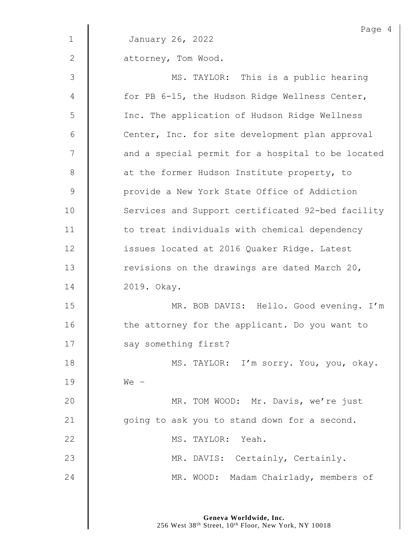|              | Page 4                                            |
|--------------|---------------------------------------------------|
| $\mathbf 1$  | January 26, 2022                                  |
| $\mathbf{2}$ | attorney, Tom Wood.                               |
| 3            | MS. TAYLOR: This is a public hearing              |
| 4            | for PB 6-15, the Hudson Ridge Wellness Center,    |
| 5            | Inc. The application of Hudson Ridge Wellness     |
| 6            | Center, Inc. for site development plan approval   |
| 7            | and a special permit for a hospital to be located |
| 8            | at the former Hudson Institute property, to       |
| $\mathsf 9$  | provide a New York State Office of Addiction      |
| 10           | Services and Support certificated 92-bed facility |
| 11           | to treat individuals with chemical dependency     |
| 12           | issues located at 2016 Quaker Ridge. Latest       |
| 13           | revisions on the drawings are dated March 20,     |
| 14           | 2019. Okay.                                       |
| 15           | MR. BOB DAVIS: Hello. Good evening. I'm           |
| 16           | the attorney for the applicant. Do you want to    |
| 17           | say something first?                              |
| 18           | MS. TAYLOR: I'm sorry. You, you, okay.            |
| 19           | $We -$                                            |
| 20           | MR. TOM WOOD: Mr. Davis, we're just               |
| 21           | going to ask you to stand down for a second.      |
| 22           | MS. TAYLOR: Yeah.                                 |
| 23           | MR. DAVIS: Certainly, Certainly.                  |
| 24           | MR. WOOD: Madam Chairlady, members of             |
|              |                                                   |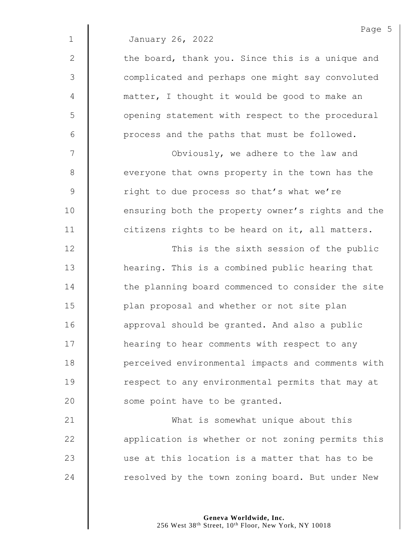|              | Page 5                                            |
|--------------|---------------------------------------------------|
| $\mathbf 1$  | January 26, 2022                                  |
| $\mathbf{2}$ | the board, thank you. Since this is a unique and  |
| 3            | complicated and perhaps one might say convoluted  |
| 4            | matter, I thought it would be good to make an     |
| 5            | opening statement with respect to the procedural  |
| 6            | process and the paths that must be followed.      |
| 7            | Obviously, we adhere to the law and               |
| $\,8\,$      | everyone that owns property in the town has the   |
| $\mathsf 9$  | right to due process so that's what we're         |
| 10           | ensuring both the property owner's rights and the |
| 11           | citizens rights to be heard on it, all matters.   |
| 12           | This is the sixth session of the public           |
| 13           | hearing. This is a combined public hearing that   |
| 14           | the planning board commenced to consider the site |
| 15           | plan proposal and whether or not site plan        |
| 16           | approval should be granted. And also a public     |
| 17           | hearing to hear comments with respect to any      |
| 18           | perceived environmental impacts and comments with |
| 19           | respect to any environmental permits that may at  |
| 20           | some point have to be granted.                    |
| 21           | What is somewhat unique about this                |
| 22           | application is whether or not zoning permits this |
| 23           | use at this location is a matter that has to be   |

24 | resolved by the town zoning board. But under New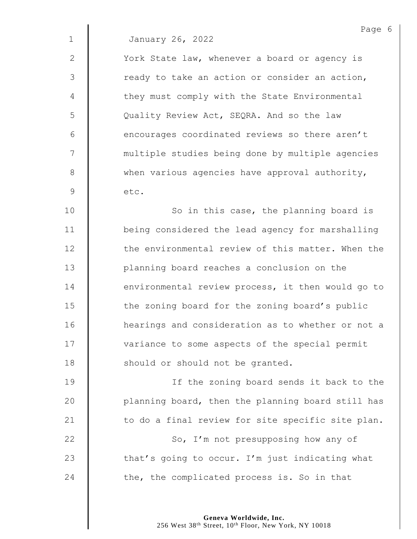2 | York State law, whenever a board or agency is  $3 \parallel$  ready to take an action or consider an action, 4 | they must comply with the State Environmental 5 | Quality Review Act, SEQRA. And so the law  $6$  | encourages coordinated reviews so there aren't 7 | multiple studies being done by multiple agencies  $8 \parallel$  when various agencies have approval authority,  $9 \parallel$  etc.

10 | So in this case, the planning board is 11 | being considered the lead agency for marshalling 12 **the environmental review of this matter. When the** 13 | planning board reaches a conclusion on the 14 **denual 14** environmental review process, it then would go to 15 **the zoning board for the zoning board's public** 16 **Hearings** and consideration as to whether or not a 17 | variance to some aspects of the special permit 18 **Should or should not be granted.** 

19 || If the zoning board sends it back to the 20 | planning board, then the planning board still has 21  $\parallel$  to do a final review for site specific site plan.

22 **So, I'm not presupposing how any of** 23  $\parallel$  that's going to occur. I'm just indicating what 24  $\parallel$  the, the complicated process is. So in that

> **Geneva Worldwide, Inc.** 256 West 38<sup>th</sup> Street, 10<sup>th</sup> Floor, New York, NY 10018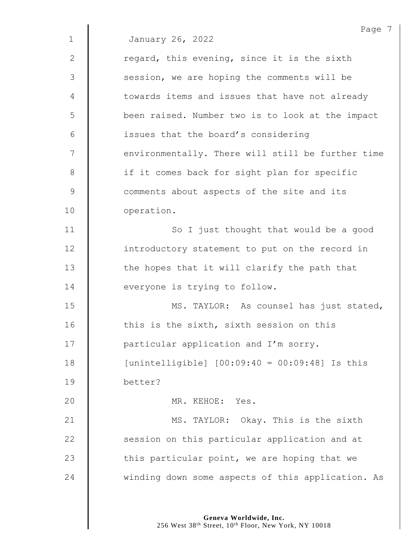Page 7 1 January 26, 2022 2  $\parallel$  regard, this evening, since it is the sixth 3 | session, we are hoping the comments will be 4 | towards items and issues that have not already 5 | been raised. Number two is to look at the impact 6 **i** issues that the board's considering 7 | environmentally. There will still be further time 8 | if it comes back for sight plan for specific 9 **comments** about aspects of the site and its 10 | operation. 11 | So I just thought that would be a good 12 **introductory statement to put on the record in** 13  $\parallel$  the hopes that it will clarify the path that 14 **I** everyone is trying to follow. 15 | MS. TAYLOR: As counsel has just stated, 16  $\parallel$  this is the sixth, sixth session on this 17 | particular application and I'm sorry. 18 [unintelligible] [00:09:40 = 00:09:48] Is this 19 better? 20 MR. KEHOE: Yes. 21 | MS. TAYLOR: Okay. This is the sixth 22 **S** session on this particular application and at 23  $\parallel$  this particular point, we are hoping that we 24 Winding down some aspects of this application. As

> **Geneva Worldwide, Inc.** 256 West 38<sup>th</sup> Street, 10<sup>th</sup> Floor, New York, NY 10018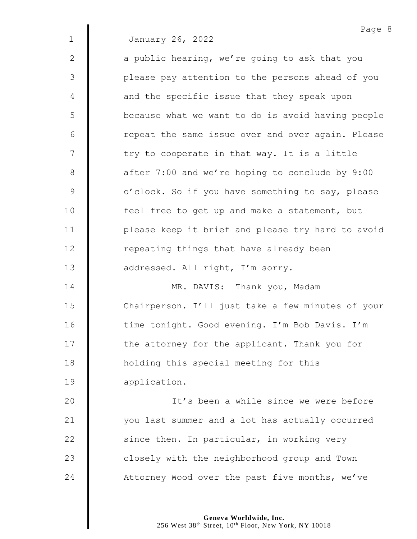2  $\parallel$  a public hearing, we're going to ask that you 3 || please pay attention to the persons ahead of you 4 | and the specific issue that they speak upon 5 | because what we want to do is avoid having people 6 | cepeat the same issue over and over again. Please  $7 \parallel$  try to cooperate in that way. It is a little 8 **a** after 7:00 and we're hoping to conclude by 9:00 9 | o'clock. So if you have something to say, please 10 | feel free to get up and make a statement, but 11 | please keep it brief and please try hard to avoid 12 **The Indust Leap** repeating things that have already been 13 **d** addressed. All right, I'm sorry. 14 **NR. DAVIS:** Thank you, Madam

15 Chairperson. I'll just take a few minutes of your 16 | time tonight. Good evening. I'm Bob Davis. I'm 17 | the attorney for the applicant. Thank you for 18 **H** holding this special meeting for this 19 | application.

20 It's been a while since we were before 21 | vou last summer and a lot has actually occurred 22  $\parallel$  since then. In particular, in working very 23 **closely** with the neighborhood group and Town 24 Attorney Wood over the past five months, we've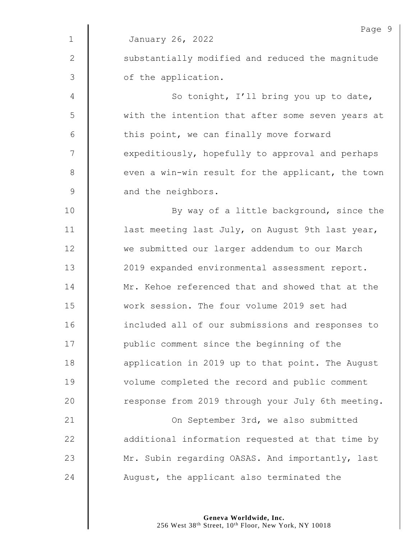|               | Page 9                                            |
|---------------|---------------------------------------------------|
| $\mathbf{1}$  | January 26, 2022                                  |
| 2             | substantially modified and reduced the magnitude  |
| $\mathcal{S}$ | of the application.                               |
| 4             | So tonight, I'll bring you up to date,            |
| 5             | with the intention that after some seven years at |
| 6             | this point, we can finally move forward           |
| 7             | expeditiously, hopefully to approval and perhaps  |
| 8             | even a win-win result for the applicant, the town |
| $\mathsf 9$   | and the neighbors.                                |
| 10            | By way of a little background, since the          |
| 11            | last meeting last July, on August 9th last year,  |
| 12            | we submitted our larger addendum to our March     |
| 13            | 2019 expanded environmental assessment report.    |
| 14            | Mr. Kehoe referenced that and showed that at the  |
| 15            | work session. The four volume 2019 set had        |
| 16            | included all of our submissions and responses to  |
| 17            | public comment since the beginning of the         |
| 18            | application in 2019 up to that point. The August  |
| 19            | volume completed the record and public comment    |
| 20            | response from 2019 through your July 6th meeting. |
| 21            | On September 3rd, we also submitted               |
| 22            | additional information requested at that time by  |
| 23            | Mr. Subin regarding OASAS. And importantly, last  |
| 24            | August, the applicant also terminated the         |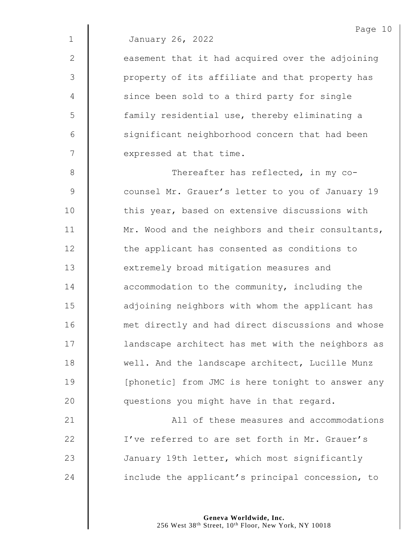$2 \parallel$  easement that it had acquired over the adjoining 3 || property of its affiliate and that property has 4 | since been sold to a third party for single 5 | family residential use, thereby eliminating a 6 | significant neighborhood concern that had been  $7 \parallel$  expressed at that time.

8 **N** Thereafter has reflected, in my co-9 Counsel Mr. Grauer's letter to you of January 19 10 | this year, based on extensive discussions with 11 | Mr. Wood and the neighbors and their consultants, 12 **the applicant has consented as conditions to** 13 **EXTER** extremely broad mitigation measures and 14 **deger** accommodation to the community, including the 15 | adjoining neighbors with whom the applicant has 16 | met directly and had direct discussions and whose 17 | landscape architect has met with the neighbors as 18 Well. And the landscape architect, Lucille Munz 19 | [phonetic] from JMC is here tonight to answer any 20 **questions** you might have in that regard.

**All of these measures and accommodations** 22 | I've referred to are set forth in Mr. Grauer's **January 19th letter, which most significantly include the applicant's principal concession, to**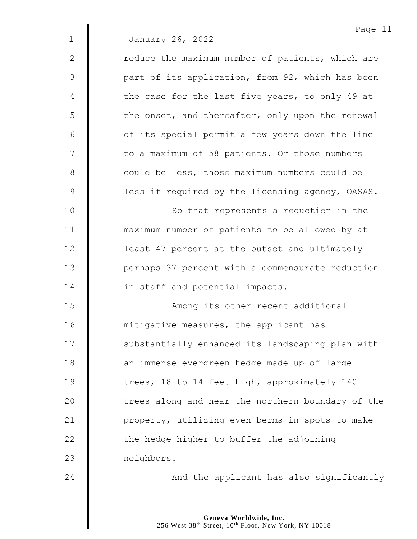| January 26, 2022 |  |
|------------------|--|
|                  |  |

| $\overline{2}$  | reduce the maximum number of patients, which are |
|-----------------|--------------------------------------------------|
| 3               | part of its application, from 92, which has been |
| 4               | the case for the last five years, to only 49 at  |
| 5               | the onset, and thereafter, only upon the renewal |
| 6               | of its special permit a few years down the line  |
| $7\overline{ }$ | to a maximum of 58 patients. Or those numbers    |
| 8               | could be less, those maximum numbers could be    |
| 9               | less if required by the licensing agency, OASAS. |

10 | So that represents a reduction in the 11 **I** maximum number of patients to be allowed by at 12 | least 47 percent at the outset and ultimately 13 | perhaps 37 percent with a commensurate reduction 14 **in staff and potential impacts.** 

15 | Among its other recent additional 16 **| mitigative measures, the applicant has** 17 | substantially enhanced its landscaping plan with 18 **an** immense evergreen hedge made up of large 19 | trees, 18 to 14 feet high, approximately 140  $20$   $\parallel$  trees along and near the northern boundary of the 21 | property, utilizing even berms in spots to make  $22$   $\parallel$  the hedge higher to buffer the adjoining 23 | neighbors.

24 | And the applicant has also significantly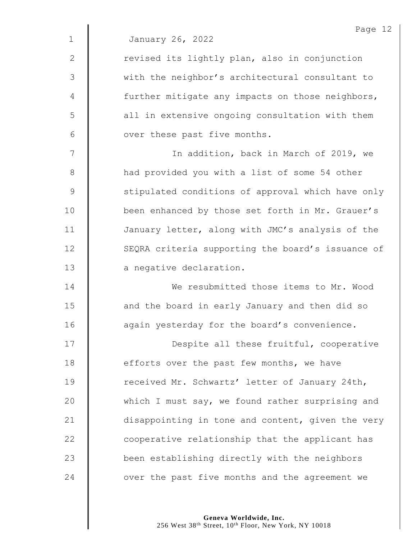|              | Page 12                                           |
|--------------|---------------------------------------------------|
| $\mathbf 1$  | January 26, 2022                                  |
| $\mathbf{2}$ | revised its lightly plan, also in conjunction     |
| 3            | with the neighbor's architectural consultant to   |
| 4            | further mitigate any impacts on those neighbors,  |
| 5            | all in extensive ongoing consultation with them   |
| 6            | over these past five months.                      |
| 7            | In addition, back in March of 2019, we            |
| 8            | had provided you with a list of some 54 other     |
| 9            | stipulated conditions of approval which have only |
| 10           | been enhanced by those set forth in Mr. Grauer's  |
| 11           | January letter, along with JMC's analysis of the  |
| 12           | SEQRA criteria supporting the board's issuance of |
| 13           | a negative declaration.                           |
| 14           | We resubmitted those items to Mr. Wood            |
| 15           | and the board in early January and then did so    |
| 16           | again yesterday for the board's convenience.      |
| 17           | Despite all these fruitful, cooperative           |
| 18           | efforts over the past few months, we have         |
| 19           | received Mr. Schwartz' letter of January 24th,    |
| 20           | which I must say, we found rather surprising and  |
| 21           | disappointing in tone and content, given the very |
| 22           | cooperative relationship that the applicant has   |
| 23           | been establishing directly with the neighbors     |
| 24           | over the past five months and the agreement we    |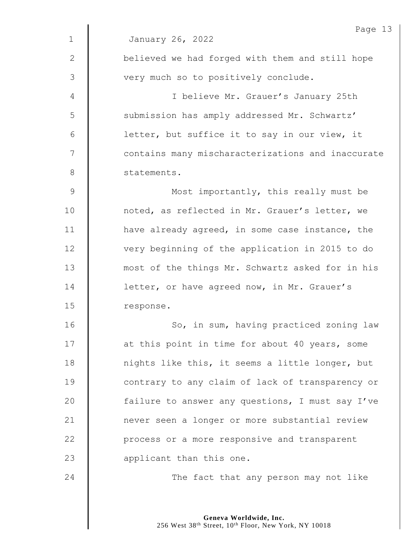|               | Page 13                                           |
|---------------|---------------------------------------------------|
| $\mathbf{1}$  | January 26, 2022                                  |
| 2             | believed we had forged with them and still hope   |
| $\mathcal{S}$ | very much so to positively conclude.              |
| 4             | I believe Mr. Grauer's January 25th               |
| 5             | submission has amply addressed Mr. Schwartz'      |
| 6             | letter, but suffice it to say in our view, it     |
| 7             | contains many mischaracterizations and inaccurate |
| $8\,$         | statements.                                       |
| $\mathsf 9$   | Most importantly, this really must be             |
| 10            | noted, as reflected in Mr. Grauer's letter, we    |
| 11            | have already agreed, in some case instance, the   |
| 12            | very beginning of the application in 2015 to do   |
| 13            | most of the things Mr. Schwartz asked for in his  |
| 14            | letter, or have agreed now, in Mr. Grauer's       |
| 15            | response.                                         |
| 16            | So, in sum, having practiced zoning law           |
| 17            | at this point in time for about 40 years, some    |
| 18            | nights like this, it seems a little longer, but   |
| 19            | contrary to any claim of lack of transparency or  |
| 20            | failure to answer any questions, I must say I've  |
| 21            | never seen a longer or more substantial review    |
| 22            | process or a more responsive and transparent      |
| 23            | applicant than this one.                          |
| 24            | The fact that any person may not like             |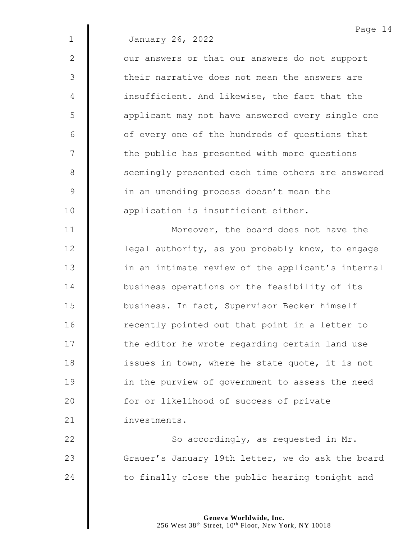|              | Page 14                                           |
|--------------|---------------------------------------------------|
| $\mathbf{1}$ | January 26, 2022                                  |
| $\mathbf{2}$ | our answers or that our answers do not support    |
| 3            | their narrative does not mean the answers are     |
| 4            | insufficient. And likewise, the fact that the     |
| 5            | applicant may not have answered every single one  |
| $6\,$        | of every one of the hundreds of questions that    |
| 7            | the public has presented with more questions      |
| 8            | seemingly presented each time others are answered |
| $\mathsf 9$  | in an unending process doesn't mean the           |
| 10           | application is insufficient either.               |
| 11           | Moreover, the board does not have the             |
| 12           | legal authority, as you probably know, to engage  |
| 13           | in an intimate review of the applicant's internal |
| 14           | business operations or the feasibility of its     |
| 15           | business. In fact, Supervisor Becker himself      |
| 16           | recently pointed out that point in a letter to    |
| 17           | the editor he wrote regarding certain land use    |
| 18           | issues in town, where he state quote, it is not   |
| 19           | in the purview of government to assess the need   |
| 20           | for or likelihood of success of private           |
| 21           | investments.                                      |

22  $\parallel$  So accordingly, as requested in Mr. 23 Grauer's January 19th letter, we do ask the board 24  $\parallel$  to finally close the public hearing tonight and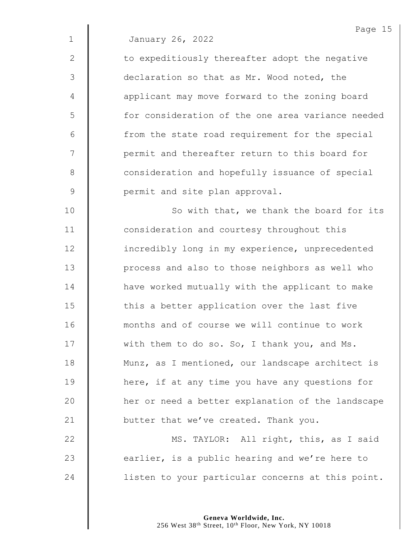$2 \parallel$  to expeditiously thereafter adopt the negative 3 declaration so that as Mr. Wood noted, the 4 | applicant may move forward to the zoning board 5 | for consideration of the one area variance needed  $6$  || from the state road requirement for the special 7 | permit and thereafter return to this board for 8 **consideration and hopefully issuance of special** 9 **9** permit and site plan approval.

10 | So with that, we thank the board for its 11 **Consideration and courtesy throughout this** 12 | incredibly long in my experience, unprecedented 13 | process and also to those neighbors as well who 14 | have worked mutually with the applicant to make  $15$   $\parallel$  this a better application over the last five 16 **months and of course we will continue to work** 17 | with them to do so. So, I thank you, and Ms. 18 | Munz, as I mentioned, our landscape architect is 19 **here, if at any time you have any questions for** 20 | her or need a better explanation of the landscape 21  $\parallel$  butter that we've created. Thank you.

22 | MS. TAYLOR: All right, this, as I said 23  $\parallel$  earlier, is a public hearing and we're here to 24 | listen to your particular concerns at this point.

> **Geneva Worldwide, Inc.** 256 West 38<sup>th</sup> Street, 10<sup>th</sup> Floor, New York, NY 10018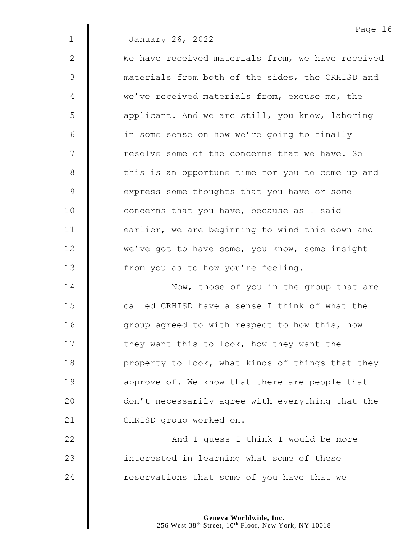2 We have received materials from, we have received 3 materials from both of the sides, the CRHISD and 4 we've received materials from, excuse me, the 5 | applicant. And we are still, you know, laboring 6 | in some sense on how we're going to finally 7 | resolve some of the concerns that we have. So 8 | this is an opportune time for you to come up and 9 Some thoughts that you have or some 10 **deg 10** concerns that you have, because as I said 11 **earlier**, we are beginning to wind this down and 12 we've got to have some, you know, some insight 13 | from you as to how you're feeling.

**Now, those of you in the group that are called CRHISD have a sense I think of what the** 16 | group agreed to with respect to how this, how  $\parallel$  they want this to look, how they want the  $\parallel$  property to look, what kinds of things that they **approve of.** We know that there are people that  $\parallel$  don't necessarily agree with everything that the 21 CHRISD group worked on.

22 | And I guess I think I would be more  $23$  | interested in learning what some of these  $24$  | reservations that some of you have that we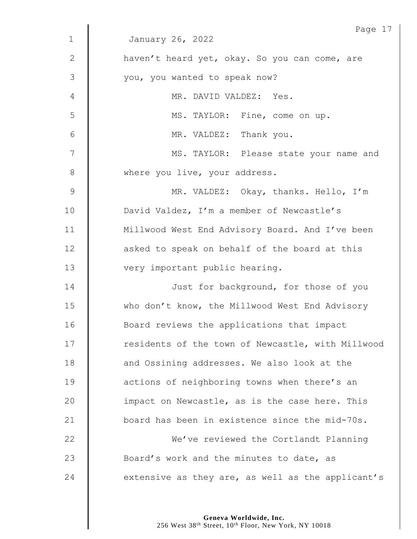|             | Page 17                                           |
|-------------|---------------------------------------------------|
| $\mathbf 1$ | January 26, 2022                                  |
| 2           | haven't heard yet, okay. So you can come, are     |
| 3           | you, you wanted to speak now?                     |
| 4           | MR. DAVID VALDEZ: Yes.                            |
| 5           | MS. TAYLOR: Fine, come on up.                     |
| 6           | MR. VALDEZ: Thank you.                            |
| 7           | MS. TAYLOR: Please state your name and            |
| 8           | where you live, your address.                     |
| $\mathsf 9$ | MR. VALDEZ: Okay, thanks. Hello, I'm              |
| 10          | David Valdez, I'm a member of Newcastle's         |
| 11          | Millwood West End Advisory Board. And I've been   |
| 12          | asked to speak on behalf of the board at this     |
| 13          | very important public hearing.                    |
| 14          | Just for background, for those of you             |
| 15          | who don't know, the Millwood West End Advisory    |
| 16          | Board reviews the applications that impact        |
| 17          | residents of the town of Newcastle, with Millwood |
| 18          | and Ossining addresses. We also look at the       |
| 19          | actions of neighboring towns when there's an      |
| 20          | impact on Newcastle, as is the case here. This    |
| 21          | board has been in existence since the mid-70s.    |
| 22          | We've reviewed the Cortlandt Planning             |
| 23          | Board's work and the minutes to date, as          |
| 24          | extensive as they are, as well as the applicant's |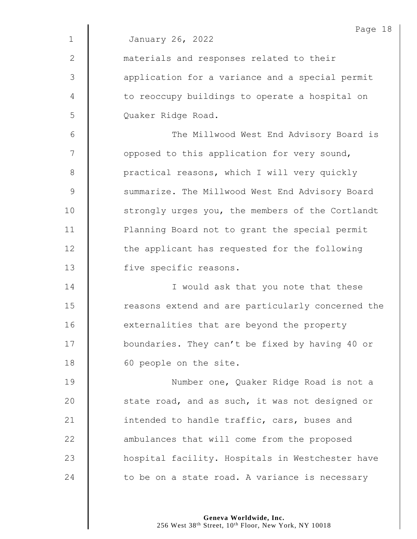|             | Page 18                                           |
|-------------|---------------------------------------------------|
| $\mathbf 1$ | January 26, 2022                                  |
| 2           | materials and responses related to their          |
| 3           | application for a variance and a special permit   |
| 4           | to reoccupy buildings to operate a hospital on    |
| 5           | Quaker Ridge Road.                                |
| 6           | The Millwood West End Advisory Board is           |
| 7           | opposed to this application for very sound,       |
| 8           | practical reasons, which I will very quickly      |
| $\mathsf 9$ | summarize. The Millwood West End Advisory Board   |
| 10          | strongly urges you, the members of the Cortlandt  |
| 11          | Planning Board not to grant the special permit    |
| 12          | the applicant has requested for the following     |
| 13          | five specific reasons.                            |
| 14          | I would ask that you note that these              |
| 15          | reasons extend and are particularly concerned the |
| 16          | externalities that are beyond the property        |
| 17          | boundaries. They can't be fixed by having 40 or   |
| 18          | 60 people on the site.                            |
| 19          | Number one, Quaker Ridge Road is not a            |
| 20          | state road, and as such, it was not designed or   |
| 21          | intended to handle traffic, cars, buses and       |
| 22          | ambulances that will come from the proposed       |
| 23          | hospital facility. Hospitals in Westchester have  |
| 24          | to be on a state road. A variance is necessary    |
|             |                                                   |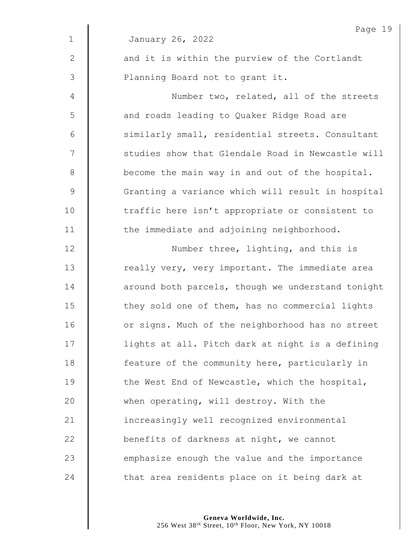|                | Page 19                                           |
|----------------|---------------------------------------------------|
| $\mathbf 1$    | January 26, 2022                                  |
| $\mathbf{2}$   | and it is within the purview of the Cortlandt     |
| $\mathfrak{Z}$ | Planning Board not to grant it.                   |
| $\overline{4}$ | Number two, related, all of the streets           |
| 5              | and roads leading to Quaker Ridge Road are        |
| 6              | similarly small, residential streets. Consultant  |
| 7              | studies show that Glendale Road in Newcastle will |
| $\,8\,$        | become the main way in and out of the hospital.   |
| $\mathsf 9$    | Granting a variance which will result in hospital |
| 10             | traffic here isn't appropriate or consistent to   |
| 11             | the immediate and adjoining neighborhood.         |
| 12             | Number three, lighting, and this is               |
| 13             | really very, very important. The immediate area   |
| 14             | around both parcels, though we understand tonight |
| 15             | they sold one of them, has no commercial lights   |
| 16             | or signs. Much of the neighborhood has no street  |
| 17             | lights at all. Pitch dark at night is a defining  |
| 18             | feature of the community here, particularly in    |
| 19             | the West End of Newcastle, which the hospital,    |
| 20             | when operating, will destroy. With the            |
| 21             | increasingly well recognized environmental        |
| 22             | benefits of darkness at night, we cannot          |
| 23             | emphasize enough the value and the importance     |
| 24             | that area residents place on it being dark at     |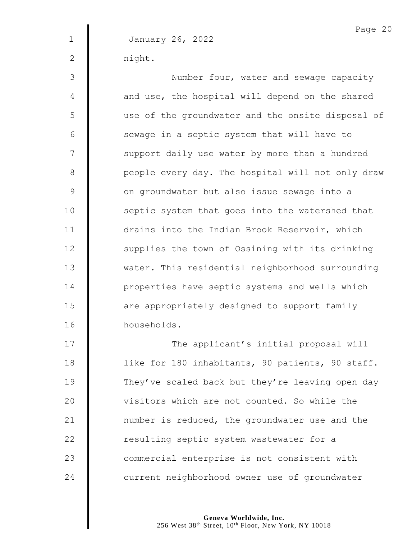2 | night.

3 || Number four, water and sewage capacity  $4 \parallel$  and use, the hospital will depend on the shared 5 use of the groundwater and the onsite disposal of  $6$   $\parallel$  sewage in a septic system that will have to 7 | support daily use water by more than a hundred 8 | people every day. The hospital will not only draw 9 | on groundwater but also issue sewage into a 10 | septic system that goes into the watershed that 11 | drains into the Indian Brook Reservoir, which 12 | supplies the town of Ossining with its drinking 13 Wester. This residential neighborhood surrounding 14 **I** properties have septic systems and wells which 15 **are appropriately designed to support family** 16 households.

17 | The applicant's initial proposal will 18 | like for 180 inhabitants, 90 patients, 90 staff. 19 They've scaled back but they're leaving open day **deg is 10** visitors which are not counted. So while the  $\parallel$  number is reduced, the groundwater use and the **deg 1** resulting septic system wastewater for a **Commercial enterprise is not consistent with current neighborhood owner use of groundwater** 

> **Geneva Worldwide, Inc.** 256 West 38th Street, 10th Floor, New York, NY 10018

Page 20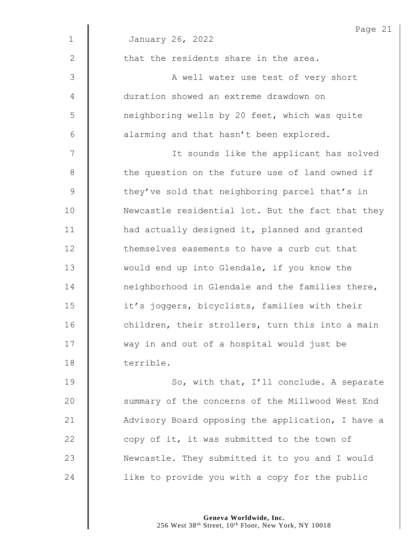|              | Page 21                                           |  |  |  |
|--------------|---------------------------------------------------|--|--|--|
| $\mathbf{1}$ | January 26, 2022                                  |  |  |  |
| 2            | that the residents share in the area.             |  |  |  |
| 3            | A well water use test of very short               |  |  |  |
| 4            | duration showed an extreme drawdown on            |  |  |  |
| 5            | neighboring wells by 20 feet, which was quite     |  |  |  |
| 6            | alarming and that hasn't been explored.           |  |  |  |
| 7            | It sounds like the applicant has solved           |  |  |  |
| 8            | the question on the future use of land owned if   |  |  |  |
| $\mathsf 9$  | they've sold that neighboring parcel that's in    |  |  |  |
| 10           | Newcastle residential lot. But the fact that they |  |  |  |
| 11           | had actually designed it, planned and granted     |  |  |  |
| 12           | themselves easements to have a curb cut that      |  |  |  |
| 13           | would end up into Glendale, if you know the       |  |  |  |
| 14           | neighborhood in Glendale and the families there,  |  |  |  |
| 15           | it's joggers, bicyclists, families with their     |  |  |  |
| 16           | children, their strollers, turn this into a main  |  |  |  |
| 17           | way in and out of a hospital would just be        |  |  |  |
| 18           | terrible.                                         |  |  |  |
| 19           | So, with that, I'll conclude. A separate          |  |  |  |
| 20           | summary of the concerns of the Millwood West End  |  |  |  |
| 21           | Advisory Board opposing the application, I have a |  |  |  |
| 22           | copy of it, it was submitted to the town of       |  |  |  |
| 23           | Newcastle. They submitted it to you and I would   |  |  |  |
| 24           | like to provide you with a copy for the public    |  |  |  |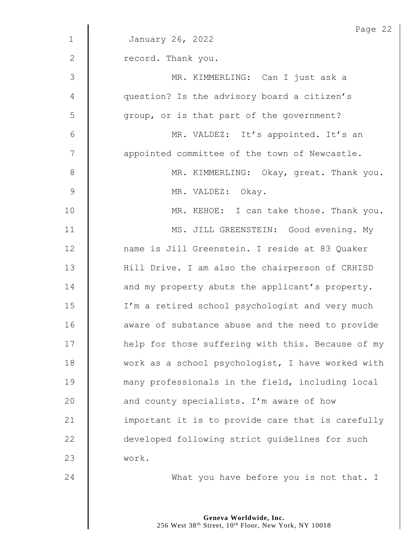|              | Page 22                                           |  |  |  |
|--------------|---------------------------------------------------|--|--|--|
| $\mathbf{1}$ | January 26, 2022                                  |  |  |  |
| $\mathbf{2}$ | record. Thank you.                                |  |  |  |
| 3            | MR. KIMMERLING: Can I just ask a                  |  |  |  |
| 4            | question? Is the advisory board a citizen's       |  |  |  |
| 5            | group, or is that part of the government?         |  |  |  |
| 6            | MR. VALDEZ: It's appointed. It's an               |  |  |  |
| 7            | appointed committee of the town of Newcastle.     |  |  |  |
| 8            | MR. KIMMERLING: Okay, great. Thank you.           |  |  |  |
| 9            | MR. VALDEZ: Okay.                                 |  |  |  |
| 10           | MR. KEHOE: I can take those. Thank you.           |  |  |  |
| 11           | MS. JILL GREENSTEIN: Good evening. My             |  |  |  |
| 12           | name is Jill Greenstein. I reside at 83 Quaker    |  |  |  |
| 13           | Hill Drive. I am also the chairperson of CRHISD   |  |  |  |
| 14           | and my property abuts the applicant's property.   |  |  |  |
| 15           | I'm a retired school psychologist and very much   |  |  |  |
| 16           | aware of substance abuse and the need to provide  |  |  |  |
| 17           | help for those suffering with this. Because of my |  |  |  |
| 18           | work as a school psychologist, I have worked with |  |  |  |
| 19           | many professionals in the field, including local  |  |  |  |
| 20           | and county specialists. I'm aware of how          |  |  |  |
| 21           | important it is to provide care that is carefully |  |  |  |
| 22           | developed following strict guidelines for such    |  |  |  |
| 23           | work.                                             |  |  |  |
| 24           | What you have before you is not that. I           |  |  |  |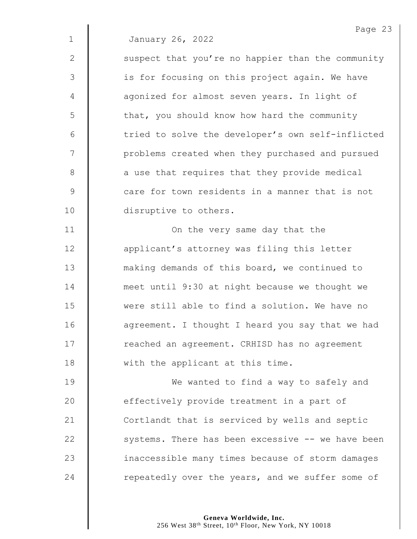| $\mathbf{1}$ | Laye z.<br>January 26, 2022                       |
|--------------|---------------------------------------------------|
| 2            | suspect that you're no happier than the community |
| 3            | is for focusing on this project again. We have    |
| 4            | agonized for almost seven years. In light of      |
| 5            | that, you should know how hard the community      |
| 6            | tried to solve the developer's own self-inflicted |
| 7            | problems created when they purchased and pursued  |
| 8            | a use that requires that they provide medical     |
| 9            | care for town residents in a manner that is not   |

10 disruptive to others.

 $\mathbf{I}$ 

11 | On the very same day that the **applicant's attorney was filing this letter Making demands of this board, we continued to meet until 9:30 at night because we thought we**  were still able to find a solution. We have no 16 | agreement. I thought I heard you say that we had 17 | reached an agreement. CRHISD has no agreement **We a** with the applicant at this time.

**We wanted to find a way to safely and e** effectively provide treatment in a part of 21 Cortlandt that is serviced by wells and septic  $\parallel$  systems. There has been excessive  $-$  we have been 23 | inaccessible many times because of storm damages  $\parallel$  repeatedly over the years, and we suffer some of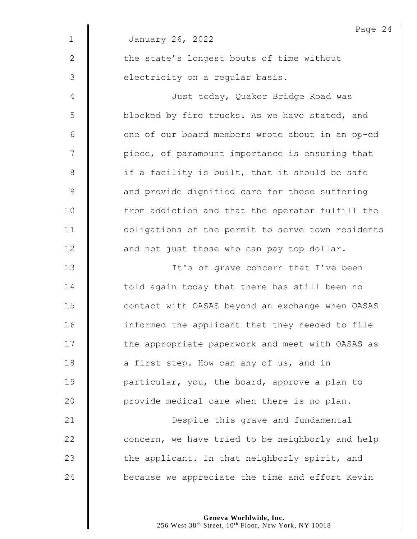|                | Page $24$                                         |  |  |
|----------------|---------------------------------------------------|--|--|
| $\mathbf{1}$   | January 26, 2022                                  |  |  |
| 2              | the state's longest bouts of time without         |  |  |
| $\mathfrak{Z}$ | electricity on a regular basis.                   |  |  |
| $\overline{4}$ | Just today, Quaker Bridge Road was                |  |  |
| 5              | blocked by fire trucks. As we have stated, and    |  |  |
| 6              | one of our board members wrote about in an op-ed  |  |  |
| 7              | piece, of paramount importance is ensuring that   |  |  |
| $8\,$          | if a facility is built, that it should be safe    |  |  |
| $\mathsf 9$    | and provide dignified care for those suffering    |  |  |
| 10             | from addiction and that the operator fulfill the  |  |  |
| 11             | obligations of the permit to serve town residents |  |  |
| 12             | and not just those who can pay top dollar.        |  |  |
| 13             | It's of grave concern that I've been              |  |  |
| 14             | told again today that there has still been no     |  |  |
| 15             | contact with OASAS beyond an exchange when OASAS  |  |  |
| 16             | informed the applicant that they needed to file   |  |  |
| 17             | the appropriate paperwork and meet with OASAS as  |  |  |
| 18             | a first step. How can any of us, and in           |  |  |
| 19             | particular, you, the board, approve a plan to     |  |  |
| 20             | provide medical care when there is no plan.       |  |  |
| 21             | Despite this grave and fundamental                |  |  |
| 22             | concern, we have tried to be neighborly and help  |  |  |
| 23             | the applicant. In that neighborly spirit, and     |  |  |
| 24             | because we appreciate the time and effort Kevin   |  |  |

 $\overline{4}$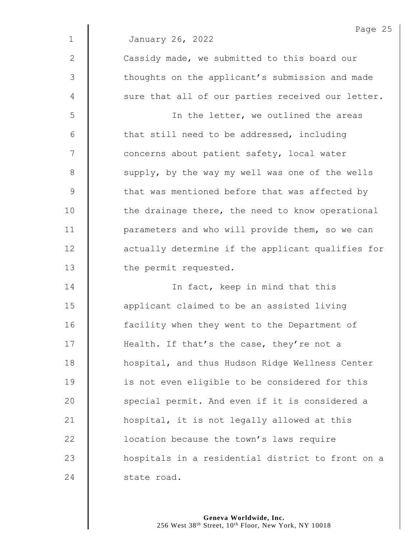|              | Page 25                                           |  |  |  |
|--------------|---------------------------------------------------|--|--|--|
| $\mathbf{1}$ | January 26, 2022                                  |  |  |  |
| $\mathbf{2}$ | Cassidy made, we submitted to this board our      |  |  |  |
| 3            | thoughts on the applicant's submission and made   |  |  |  |
| 4            | sure that all of our parties received our letter. |  |  |  |
| 5            | In the letter, we outlined the areas              |  |  |  |
| 6            | that still need to be addressed, including        |  |  |  |
| 7            | concerns about patient safety, local water        |  |  |  |
| 8            | supply, by the way my well was one of the wells   |  |  |  |
| 9            | that was mentioned before that was affected by    |  |  |  |
| 10           | the drainage there, the need to know operational  |  |  |  |
| 11           | parameters and who will provide them, so we can   |  |  |  |
| 12           | actually determine if the applicant qualifies for |  |  |  |
| 13           | the permit requested.                             |  |  |  |
| 14           | In fact, keep in mind that this                   |  |  |  |
| 15           | applicant claimed to be an assisted living        |  |  |  |
| 16           | facility when they went to the Department of      |  |  |  |
| 17           | Health. If that's the case, they're not a         |  |  |  |
| 18           | hospital, and thus Hudson Ridge Wellness Center   |  |  |  |
| 19           | is not even eligible to be considered for this    |  |  |  |
| 20           | special permit. And even if it is considered a    |  |  |  |
| 21           | hospital, it is not legally allowed at this       |  |  |  |
| 22           | location because the town's laws require          |  |  |  |
| 23           | hospitals in a residential district to front on a |  |  |  |
| 24           | state road.                                       |  |  |  |
|              |                                                   |  |  |  |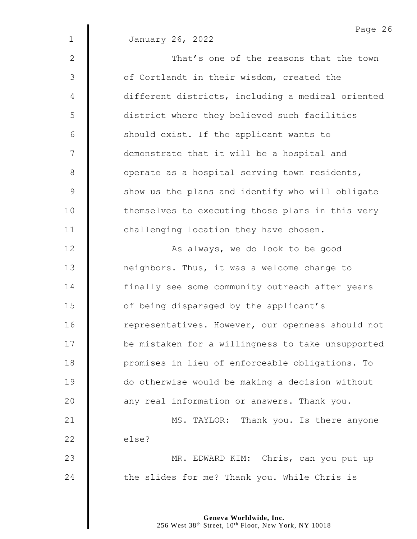|                | Page 26                                           |  |  |  |  |
|----------------|---------------------------------------------------|--|--|--|--|
| $\mathbf 1$    | January 26, 2022                                  |  |  |  |  |
| 2              | That's one of the reasons that the town           |  |  |  |  |
| 3              | of Cortlandt in their wisdom, created the         |  |  |  |  |
| $\overline{4}$ | different districts, including a medical oriented |  |  |  |  |
| 5              | district where they believed such facilities      |  |  |  |  |
| 6              | should exist. If the applicant wants to           |  |  |  |  |
| 7              | demonstrate that it will be a hospital and        |  |  |  |  |
| 8              | operate as a hospital serving town residents,     |  |  |  |  |
| $\mathsf 9$    | show us the plans and identify who will obligate  |  |  |  |  |
| 10             | themselves to executing those plans in this very  |  |  |  |  |
| 11             | challenging location they have chosen.            |  |  |  |  |
| 12             | As always, we do look to be good                  |  |  |  |  |
| 13             | neighbors. Thus, it was a welcome change to       |  |  |  |  |
| 14             | finally see some community outreach after years   |  |  |  |  |
| 15             | of being disparaged by the applicant's            |  |  |  |  |
| 16             | representatives. However, our openness should not |  |  |  |  |
| 17             | be mistaken for a willingness to take unsupported |  |  |  |  |
| 18             | promises in lieu of enforceable obligations. To   |  |  |  |  |
| 19             | do otherwise would be making a decision without   |  |  |  |  |
| 20             | any real information or answers. Thank you.       |  |  |  |  |
| 21             | MS. TAYLOR: Thank you. Is there anyone            |  |  |  |  |
| 22             | else?                                             |  |  |  |  |
| 23             | MR. EDWARD KIM: Chris, can you put up             |  |  |  |  |
| 24             | the slides for me? Thank you. While Chris is      |  |  |  |  |
|                |                                                   |  |  |  |  |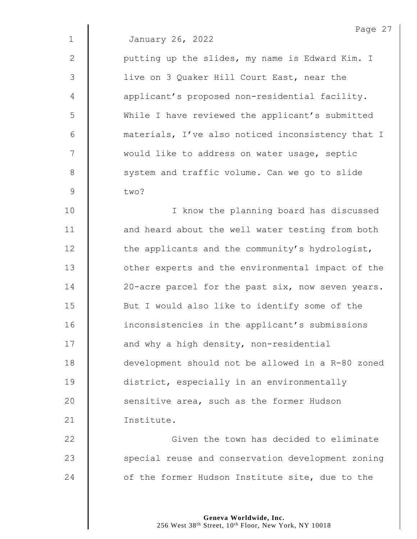|              | Page 27                                           |
|--------------|---------------------------------------------------|
| $\mathbf{1}$ | January 26, 2022                                  |
| $\mathbf{2}$ | putting up the slides, my name is Edward Kim. I   |
| 3            | live on 3 Quaker Hill Court East, near the        |
| 4            | applicant's proposed non-residential facility.    |
| 5            | While I have reviewed the applicant's submitted   |
| $6\,$        | materials, I've also noticed inconsistency that I |
| 7            | would like to address on water usage, septic      |
| 8            | system and traffic volume. Can we go to slide     |
| $\mathsf 9$  | two?                                              |
| 10           | I know the planning board has discussed           |
| 11           | and heard about the well water testing from both  |
| 12           | the applicants and the community's hydrologist,   |
| 13           | other experts and the environmental impact of the |
| 14           | 20-acre parcel for the past six, now seven years. |
| 15           | But I would also like to identify some of the     |
| 16           | inconsistencies in the applicant's submissions    |
| 17           | and why a high density, non-residential           |
| 18           | development should not be allowed in a R-80 zoned |
| 19           | district, especially in an environmentally        |
| 20           | sensitive area, such as the former Hudson         |
| 21           | Institute.                                        |
| 22           | Given the town has decided to eliminate           |
| 23           | special reuse and conservation development zoning |
|              |                                                   |

24 of the former Hudson Institute site, due to the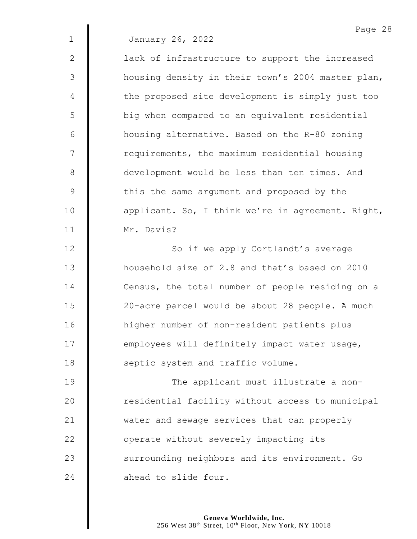2 | lack of infrastructure to support the increased 3 | housing density in their town's 2004 master plan, 4 | the proposed site development is simply just too 5 | big when compared to an equivalent residential 6 housing alternative. Based on the R-80 zoning 7 | requirements, the maximum residential housing 8 development would be less than ten times. And 9 | this the same argument and proposed by the 10 | applicant. So, I think we're in agreement. Right, 11 Mr. Davis?

12 | So if we apply Cortlandt's average **h** household size of 2.8 and that's based on 2010 14 Census, the total number of people residing on a 20-acre parcel would be about 28 people. A much higher number of non-resident patients plus **employees will definitely impact water usage, Septic** system and traffic volume.

19 | The applicant must illustrate a non-20 **The act and Set I** residential facility without access to municipal 21 water and sewage services that can properly 22 **J** operate without severely impacting its 23 Surrounding neighbors and its environment. Go 24 ahead to slide four.

> **Geneva Worldwide, Inc.** 256 West 38th Street, 10th Floor, New York, NY 10018

Page 28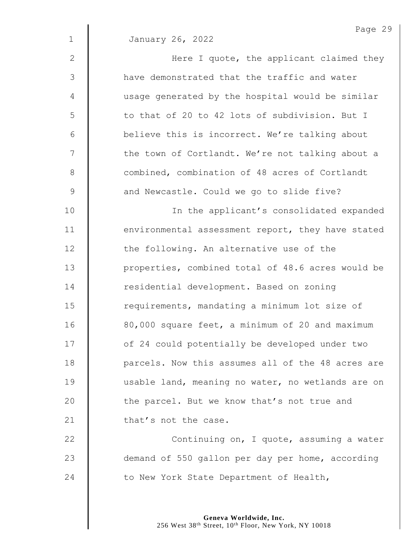|                | Page 29                                           |
|----------------|---------------------------------------------------|
| $\mathbf 1$    | January 26, 2022                                  |
| 2              | Here I quote, the applicant claimed they          |
| 3              | have demonstrated that the traffic and water      |
| $\overline{4}$ | usage generated by the hospital would be similar  |
| 5              | to that of 20 to 42 lots of subdivision. But I    |
| 6              | believe this is incorrect. We're talking about    |
| 7              | the town of Cortlandt. We're not talking about a  |
| $8\,$          | combined, combination of 48 acres of Cortlandt    |
| $\mathcal{G}$  | and Newcastle. Could we go to slide five?         |
| 10             | In the applicant's consolidated expanded          |
| 11             | environmental assessment report, they have stated |
| 12             | the following. An alternative use of the          |
| 13             | properties, combined total of 48.6 acres would be |
| 14             | residential development. Based on zoning          |
| 15             | requirements, mandating a minimum lot size of     |
| 16             | 80,000 square feet, a minimum of 20 and maximum   |
| 17             | of 24 could potentially be developed under two    |
| 18             | parcels. Now this assumes all of the 48 acres are |
| 19             | usable land, meaning no water, no wetlands are on |
| 20             | the parcel. But we know that's not true and       |
| 21             | that's not the case.                              |
| 22             | Continuing on, I quote, assuming a water          |
| 23             | demand of 550 gallon per day per home, according  |

24 to New York State Department of Health,

**Geneva Worldwide, Inc.** 256 West 38th Street, 10th Floor, New York, NY 10018 Page 29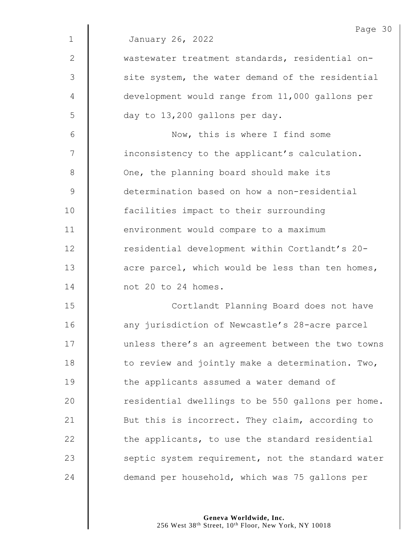|              | Page 30                                           |  |  |  |
|--------------|---------------------------------------------------|--|--|--|
| $\mathbf 1$  | January 26, 2022                                  |  |  |  |
| $\mathbf{2}$ | wastewater treatment standards, residential on-   |  |  |  |
| 3            | site system, the water demand of the residential  |  |  |  |
| 4            | development would range from 11,000 gallons per   |  |  |  |
| 5            | day to 13,200 gallons per day.                    |  |  |  |
| 6            | Now, this is where I find some                    |  |  |  |
| 7            | inconsistency to the applicant's calculation.     |  |  |  |
| $8\,$        | One, the planning board should make its           |  |  |  |
| $\mathsf 9$  | determination based on how a non-residential      |  |  |  |
| 10           | facilities impact to their surrounding            |  |  |  |
| 11           | environment would compare to a maximum            |  |  |  |
| 12           | residential development within Cortlandt's 20-    |  |  |  |
| 13           | acre parcel, which would be less than ten homes,  |  |  |  |
| 14           | not 20 to 24 homes.                               |  |  |  |
| 15           | Cortlandt Planning Board does not have            |  |  |  |
| 16           | any jurisdiction of Newcastle's 28-acre parcel    |  |  |  |
| 17           | unless there's an agreement between the two towns |  |  |  |
| 18           | to review and jointly make a determination. Two,  |  |  |  |
| 19           | the applicants assumed a water demand of          |  |  |  |
| 20           | residential dwellings to be 550 gallons per home. |  |  |  |
| 21           | But this is incorrect. They claim, according to   |  |  |  |
| 22           | the applicants, to use the standard residential   |  |  |  |
| 23           | septic system requirement, not the standard water |  |  |  |
| 24           | demand per household, which was 75 gallons per    |  |  |  |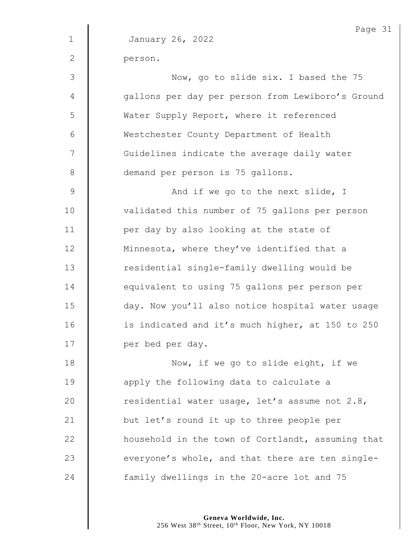1 January 26, 2022 2 person. 3 || Now, go to slide six. I based the 75 4 | qallons per day per person from Lewiboro's Ground 5 | Water Supply Report, where it referenced 6 Westchester County Department of Health 7 | Guidelines indicate the average daily water 8 demand per person is 75 gallons. 9 | And if we go to the next slide, I 10 | validated this number of 75 gallons per person 11 **per day by also looking at the state of** 12 | Minnesota, where they've identified that a 13 | residential single-family dwelling would be 14 | equivalent to using 75 gallons per person per 15 day. Now you'll also notice hospital water usage 16 | is indicated and it's much higher, at 150 to 250 17 | per bed per day. 18 **Now, if we go to slide eight, if we** 19 **apply** the following data to calculate a 20  $\parallel$  residential water usage, let's assume not 2.8, 21 **but let's round it up to three people per** 22 **H** household in the town of Cortlandt, assuming that 23  $\parallel$  everyone's whole, and that there are ten single-24 **family dwellings in the 20-acre lot and 75** 

> **Geneva Worldwide, Inc.** 256 West 38th Street, 10th Floor, New York, NY 10018

Page 31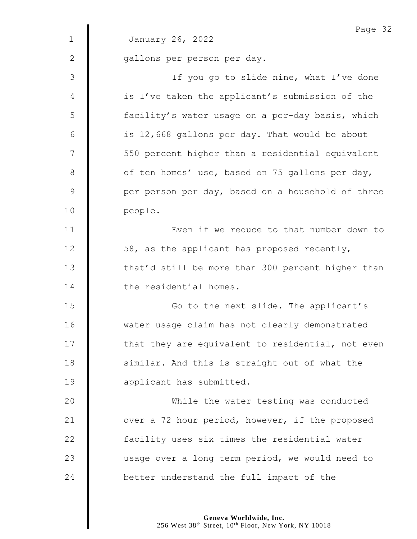|                 | Page 32                                           |  |  |  |
|-----------------|---------------------------------------------------|--|--|--|
| $\mathbf{1}$    | January 26, 2022                                  |  |  |  |
| $\mathbf{2}$    | gallons per person per day.                       |  |  |  |
| 3               | If you go to slide nine, what I've done           |  |  |  |
| 4               | is I've taken the applicant's submission of the   |  |  |  |
| 5               | facility's water usage on a per-day basis, which  |  |  |  |
| $6\phantom{1}6$ | is 12,668 gallons per day. That would be about    |  |  |  |
| 7               | 550 percent higher than a residential equivalent  |  |  |  |
| $8\,$           | of ten homes' use, based on 75 gallons per day,   |  |  |  |
| $\mathcal{G}$   | per person per day, based on a household of three |  |  |  |
| 10              | people.                                           |  |  |  |
| 11              | Even if we reduce to that number down to          |  |  |  |
| 12              | 58, as the applicant has proposed recently,       |  |  |  |
| 13              | that'd still be more than 300 percent higher than |  |  |  |
| 14              | the residential homes.                            |  |  |  |
| 15              | Go to the next slide. The applicant's             |  |  |  |
| 16              | water usage claim has not clearly demonstrated    |  |  |  |
| 17              | that they are equivalent to residential, not even |  |  |  |
| 18              | similar. And this is straight out of what the     |  |  |  |
| 19              | applicant has submitted.                          |  |  |  |
| 20              | While the water testing was conducted             |  |  |  |
| 21              | over a 72 hour period, however, if the proposed   |  |  |  |
| 22              | facility uses six times the residential water     |  |  |  |
| 23              | usage over a long term period, we would need to   |  |  |  |
| 24              | better understand the full impact of the          |  |  |  |
|                 |                                                   |  |  |  |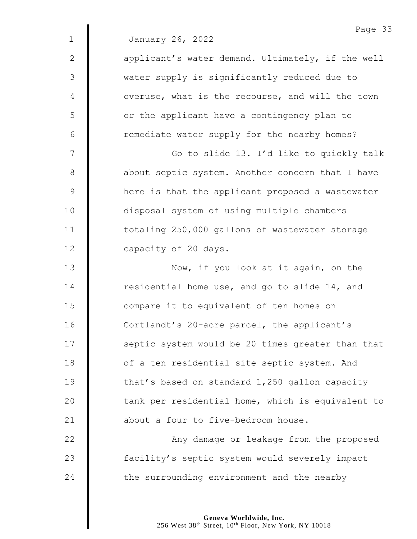|              | Page 33                                           |
|--------------|---------------------------------------------------|
| $\mathbf{1}$ | January 26, 2022                                  |
| $\mathbf{2}$ | applicant's water demand. Ultimately, if the well |
| 3            | water supply is significantly reduced due to      |
| 4            | overuse, what is the recourse, and will the town  |
| 5            | or the applicant have a contingency plan to       |
| 6            | remediate water supply for the nearby homes?      |
| 7            | Go to slide 13. I'd like to quickly talk          |
| $8\,$        | about septic system. Another concern that I have  |
| 9            | here is that the applicant proposed a wastewater  |
| 10           | disposal system of using multiple chambers        |
| 11           | totaling 250,000 gallons of wastewater storage    |
| 12           | capacity of 20 days.                              |
| 13           | Now, if you look at it again, on the              |
| 14           | residential home use, and go to slide 14, and     |
| 15           | compare it to equivalent of ten homes on          |
| 16           | Cortlandt's 20-acre parcel, the applicant's       |
| 17           | septic system would be 20 times greater than that |
| 18           | of a ten residential site septic system. And      |
| 19           | that's based on standard 1,250 gallon capacity    |
| 20           | tank per residential home, which is equivalent to |
| 21           | about a four to five-bedroom house.               |
| 22           | Any damage or leakage from the proposed           |
| 23           | facility's septic system would severely impact    |
| 24           | the surrounding environment and the nearby        |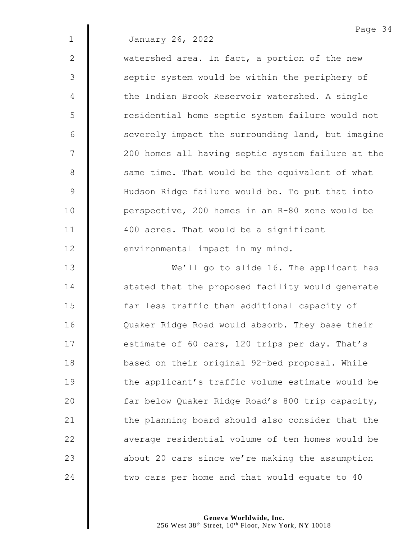| January 26, 2022 |  |
|------------------|--|
|                  |  |

2 watershed area. In fact, a portion of the new 3 || septic system would be within the periphery of 4 | the Indian Brook Reservoir watershed. A single 5 | residential home septic system failure would not  $6$   $\parallel$  severely impact the surrounding land, but imagine 7 | 200 homes all having septic system failure at the 8 Same time. That would be the equivalent of what 9 | Hudson Ridge failure would be. To put that into 10 | perspective, 200 homes in an R-80 zone would be 11 | 400 acres. That would be a significant 12 **environmental impact in my mind.** 

13 | We'll go to slide 16. The applicant has 14 | stated that the proposed facility would generate 15 **far less traffic than additional capacity of** 16 | Quaker Ridge Road would absorb. They base their 17 **estimate of 60 cars, 120 trips per day. That's** 18 **d** based on their original 92-bed proposal. While 19 **the applicant's traffic volume estimate would be** 20 | far below Quaker Ridge Road's 800 trip capacity, 21  $\parallel$  the planning board should also consider that the 22 **a** average residential volume of ten homes would be 23 about 20 cars since we're making the assumption 24  $\parallel$  two cars per home and that would equate to 40

> **Geneva Worldwide, Inc.** 256 West 38<sup>th</sup> Street, 10<sup>th</sup> Floor, New York, NY 10018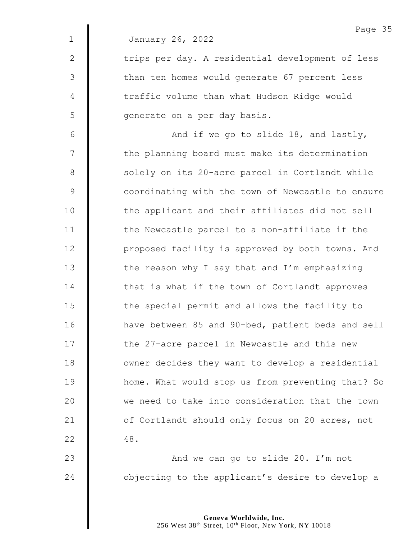|              | Page 35                                           |
|--------------|---------------------------------------------------|
| $\mathbf{1}$ | January 26, 2022                                  |
| $\mathbf{2}$ | trips per day. A residential development of less  |
| 3            | than ten homes would generate 67 percent less     |
| 4            | traffic volume than what Hudson Ridge would       |
| 5            | generate on a per day basis.                      |
| 6            | And if we go to slide 18, and lastly,             |
| 7            | the planning board must make its determination    |
| $8\,$        | solely on its 20-acre parcel in Cortlandt while   |
| 9            | coordinating with the town of Newcastle to ensure |
| 10           | the applicant and their affiliates did not sell   |
| 11           | the Newcastle parcel to a non-affiliate if the    |
| 12           | proposed facility is approved by both towns. And  |
| 13           | the reason why I say that and I'm emphasizing     |
| 14           | that is what if the town of Cortlandt approves    |
| 15           | the special permit and allows the facility to     |
| 16           | have between 85 and 90-bed, patient beds and sell |
| 17           | the 27-acre parcel in Newcastle and this new      |
| 18           | owner decides they want to develop a residential  |
| 19           | home. What would stop us from preventing that? So |
| 20           | we need to take into consideration that the town  |
| 21           | of Cortlandt should only focus on 20 acres, not   |
| 22           | 48.                                               |
| 23           | And we can go to slide 20. I'm not                |
| 24           | objecting to the applicant's desire to develop a  |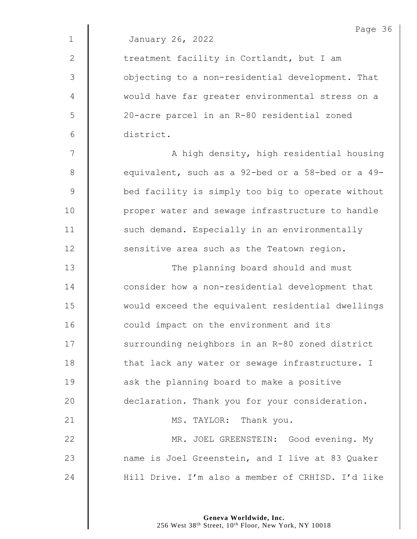|                | Page 36                                           |
|----------------|---------------------------------------------------|
| $\mathbf{1}$   | January 26, 2022                                  |
| 2              | treatment facility in Cortlandt, but I am         |
| $\mathfrak{Z}$ | objecting to a non-residential development. That  |
| 4              | would have far greater environmental stress on a  |
| 5              | 20-acre parcel in an R-80 residential zoned       |
| $6\,$          | district.                                         |
| 7              | A high density, high residential housing          |
| $8\,$          | equivalent, such as a 92-bed or a 58-bed or a 49- |
| $\mathcal{G}$  | bed facility is simply too big to operate without |
| 10             | proper water and sewage infrastructure to handle  |
| 11             | such demand. Especially in an environmentally     |
| 12             | sensitive area such as the Teatown region.        |
| 13             | The planning board should and must                |
| 14             | consider how a non-residential development that   |
| 15             | would exceed the equivalent residential dwellings |
| 16             | could impact on the environment and its           |
| 17             | surrounding neighbors in an R-80 zoned district   |
| 18             | that lack any water or sewage infrastructure. I   |
| 19             | ask the planning board to make a positive         |
| 20             | declaration. Thank you for your consideration.    |
| 21             | MS. TAYLOR: Thank you.                            |
| 22             | MR. JOEL GREENSTEIN: Good evening. My             |
| 23             | name is Joel Greenstein, and I live at 83 Quaker  |
| 24             | Hill Drive. I'm also a member of CRHISD. I'd like |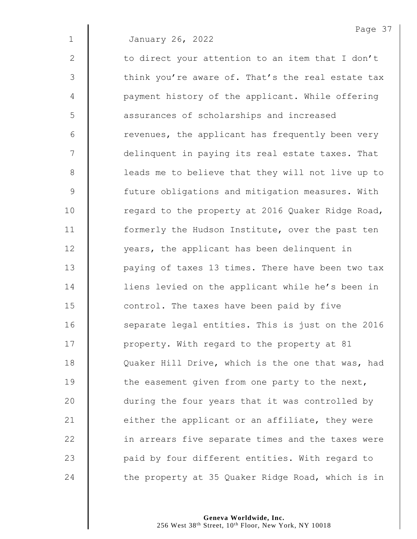3 Think you're aware of. That's the real estate tax 4 | payment history of the applicant. While offering 5 | assurances of scholarships and increased  $6 \parallel$  revenues, the applicant has frequently been very 7 | delinquent in paying its real estate taxes. That 8 | leads me to believe that they will not live up to 9 | future obligations and mitigation measures. With 10 | regard to the property at 2016 Quaker Ridge Road, 11 | formerly the Hudson Institute, over the past ten 12 | vears, the applicant has been delinquent in 13 | paying of taxes 13 times. There have been two tax 14 | liens levied on the applicant while he's been in 15 **dege** control. The taxes have been paid by five 16 | separate legal entities. This is just on the 2016 17 | property. With regard to the property at 81 18 | Quaker Hill Drive, which is the one that was, had 19  $\parallel$  the easement given from one party to the next, 20 **during the four years that it was controlled by** 21  $\parallel$  either the applicant or an affiliate, they were 22 | in arrears five separate times and the taxes were 23 **paid by four different entities. With regard to** 24  $\parallel$  the property at 35 Quaker Ridge Road, which is in

2  $\parallel$  to direct your attention to an item that I don't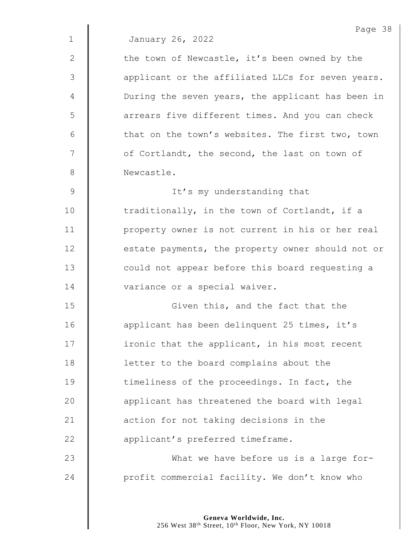|             | Page 38                                           |
|-------------|---------------------------------------------------|
| $\mathbf 1$ | January 26, 2022                                  |
| 2           | the town of Newcastle, it's been owned by the     |
| 3           | applicant or the affiliated LLCs for seven years. |
| 4           | During the seven years, the applicant has been in |
| 5           | arrears five different times. And you can check   |
| 6           | that on the town's websites. The first two, town  |
| 7           | of Cortlandt, the second, the last on town of     |
| 8           | Newcastle.                                        |
| 9           | It's my understanding that                        |
| 10          | traditionally, in the town of Cortlandt, if a     |
| 11          | property owner is not current in his or her real  |
| 12          | estate payments, the property owner should not or |
| 13          | could not appear before this board requesting a   |
| 14          | variance or a special waiver.                     |
| 15          | Given this, and the fact that the                 |
| 16          | applicant has been delinquent 25 times, it's      |
| 17          | ironic that the applicant, in his most recent     |
| 18          | letter to the board complains about the           |
| 19          | timeliness of the proceedings. In fact, the       |
| 20          | applicant has threatened the board with legal     |
| 21          | action for not taking decisions in the            |
| 22          | applicant's preferred timeframe.                  |
| 23          | What we have before us is a large for-            |
| 24          | profit commercial facility. We don't know who     |
|             |                                                   |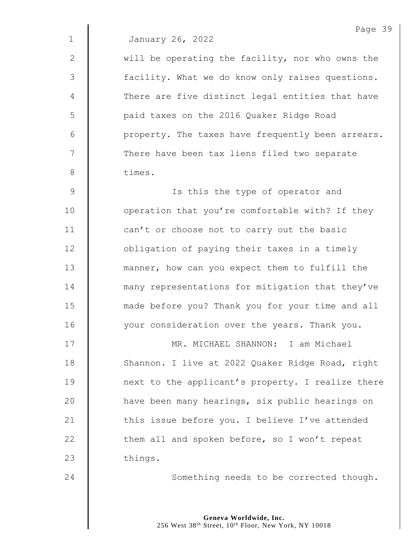2 | will be operating the facility, nor who owns the 3 | facility. What we do know only raises questions. 4 There are five distinct legal entities that have 5 | paid taxes on the 2016 Quaker Ridge Road  $6$  | property. The taxes have frequently been arrears. 7 | There have been tax liens filed two separate 8 times.

9 | Is this the type of operator and 10 | operation that you're comfortable with? If they 11 | can't or choose not to carry out the basic 12 **deg is allocate 12** obligation of paying their taxes in a timely 13 **manner**, how can you expect them to fulfill the 14 **many** representations for mitigation that they've 15 **made before you? Thank you for your time and all** 16 | vour consideration over the years. Thank you.

17 MR. MICHAEL SHANNON: I am Michael 18 | Shannon. I live at 2022 Quaker Ridge Road, right 19 **next** to the applicant's property. I realize there 20 | have been many hearings, six public hearings on 21  $\parallel$  this issue before you. I believe I've attended 22  $\parallel$  them all and spoken before, so I won't repeat 23 things.

24 | Something needs to be corrected though.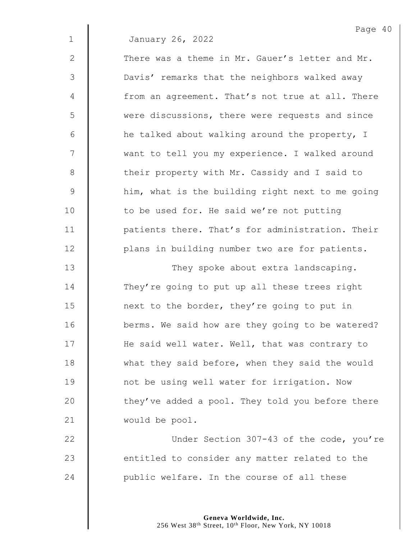|              | Page 40                                          |
|--------------|--------------------------------------------------|
| $\mathbf{1}$ | January 26, 2022                                 |
| $\mathbf{2}$ | There was a theme in Mr. Gauer's letter and Mr.  |
| 3            | Davis' remarks that the neighbors walked away    |
| 4            | from an agreement. That's not true at all. There |
| 5            | were discussions, there were requests and since  |
| 6            | he talked about walking around the property, I   |
| 7            | want to tell you my experience. I walked around  |
| $8\,$        | their property with Mr. Cassidy and I said to    |
| 9            | him, what is the building right next to me going |
| 10           | to be used for. He said we're not putting        |
| 11           | patients there. That's for administration. Their |
| 12           | plans in building number two are for patients.   |
| 13           | They spoke about extra landscaping.              |
| 14           | They're going to put up all these trees right    |
| 15           | next to the border, they're going to put in      |
| 16           | berms. We said how are they going to be watered? |
| 17           | He said well water. Well, that was contrary to   |
| 18           | what they said before, when they said the would  |
| 19           | not be using well water for irrigation. Now      |
| 20           | they've added a pool. They told you before there |
| 21           | would be pool.                                   |
| 22           | Under Section 307-43 of the code, you're         |
| 23           | entitled to consider any matter related to the   |

24  $\parallel$  public welfare. In the course of all these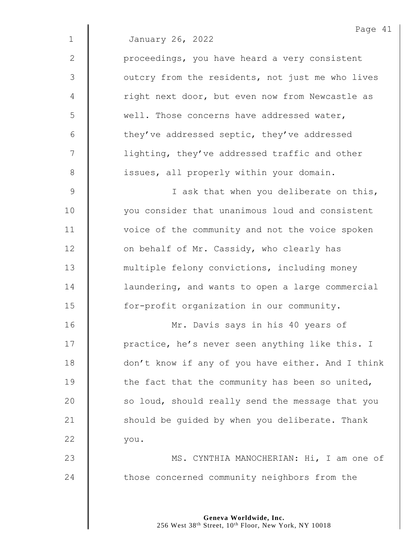|             | Page 41                                           |
|-------------|---------------------------------------------------|
| $\mathbf 1$ | January 26, 2022                                  |
| 2           | proceedings, you have heard a very consistent     |
| 3           | outcry from the residents, not just me who lives  |
| 4           | right next door, but even now from Newcastle as   |
| 5           | well. Those concerns have addressed water,        |
| 6           | they've addressed septic, they've addressed       |
| 7           | lighting, they've addressed traffic and other     |
| $8\,$       | issues, all properly within your domain.          |
| 9           | I ask that when you deliberate on this,           |
| 10          | you consider that unanimous loud and consistent   |
| 11          | voice of the community and not the voice spoken   |
| 12          | on behalf of Mr. Cassidy, who clearly has         |
| 13          | multiple felony convictions, including money      |
| 14          | laundering, and wants to open a large commercial  |
| 15          | for-profit organization in our community.         |
| 16          | Mr. Davis says in his 40 years of                 |
| 17          | practice, he's never seen anything like this. I   |
| 18          | don't know if any of you have either. And I think |
| 19          | the fact that the community has been so united,   |
| 20          | so loud, should really send the message that you  |
| 21          | should be guided by when you deliberate. Thank    |
| 22          | you.                                              |
| 23          | MS. CYNTHIA MANOCHERIAN: Hi, I am one of          |
| 24          | those concerned community neighbors from the      |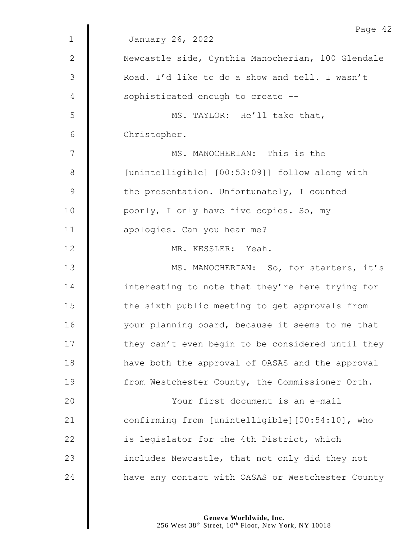|             | Page 42                                           |
|-------------|---------------------------------------------------|
| $\mathbf 1$ | January 26, 2022                                  |
| 2           | Newcastle side, Cynthia Manocherian, 100 Glendale |
| 3           | Road. I'd like to do a show and tell. I wasn't    |
| 4           | sophisticated enough to create --                 |
| 5           | MS. TAYLOR: He'll take that,                      |
| 6           | Christopher.                                      |
| 7           | MS. MANOCHERIAN: This is the                      |
| $8\,$       | [unintelligible] [00:53:09]] follow along with    |
| $\mathsf 9$ | the presentation. Unfortunately, I counted        |
| 10          | poorly, I only have five copies. So, my           |
| 11          | apologies. Can you hear me?                       |
| 12          | MR. KESSLER: Yeah.                                |
| 13          | MS. MANOCHERIAN: So, for starters, it's           |
| 14          | interesting to note that they're here trying for  |
| 15          | the sixth public meeting to get approvals from    |
| 16          | your planning board, because it seems to me that  |
| 17          | they can't even begin to be considered until they |
| 18          | have both the approval of OASAS and the approval  |
| 19          | from Westchester County, the Commissioner Orth.   |
| 20          | Your first document is an e-mail                  |
| 21          | confirming from [unintelligible][00:54:10], who   |
| 22          | is legislator for the 4th District, which         |
| 23          | includes Newcastle, that not only did they not    |
| 24          | have any contact with OASAS or Westchester County |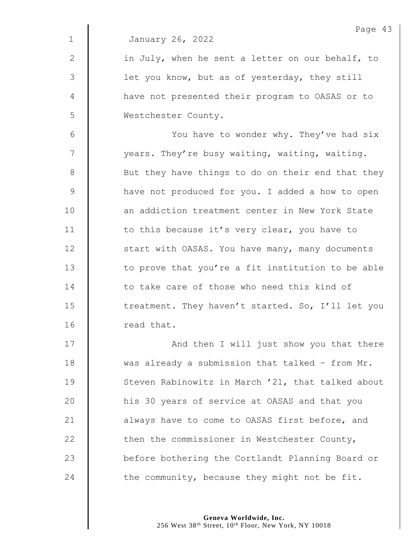|              | Page 43                                           |
|--------------|---------------------------------------------------|
| $\mathbf{1}$ | January 26, 2022                                  |
| 2            | in July, when he sent a letter on our behalf, to  |
| 3            | let you know, but as of yesterday, they still     |
| 4            | have not presented their program to OASAS or to   |
| 5            | Westchester County.                               |
| 6            | You have to wonder why. They've had six           |
| 7            | years. They're busy waiting, waiting, waiting.    |
| 8            | But they have things to do on their end that they |
| 9            | have not produced for you. I added a how to open  |
| 10           | an addiction treatment center in New York State   |
| 11           | to this because it's very clear, you have to      |
| 12           | start with OASAS. You have many, many documents   |
| 13           | to prove that you're a fit institution to be able |
| 14           | to take care of those who need this kind of       |
| 15           | treatment. They haven't started. So, I'll let you |
| 16           | read that.                                        |
| 17           | And then I will just show you that there          |
|              |                                                   |

18 was already a submission that talked - from Mr. 19 | Steven Rabinowitz in March '21, that talked about 20 | his 30 years of service at OASAS and that you 21  $\parallel$  always have to come to OASAS first before, and 22  $\parallel$  then the commissioner in Westchester County, **before bothering the Cortlandt Planning Board or** 24  $\parallel$  the community, because they might not be fit.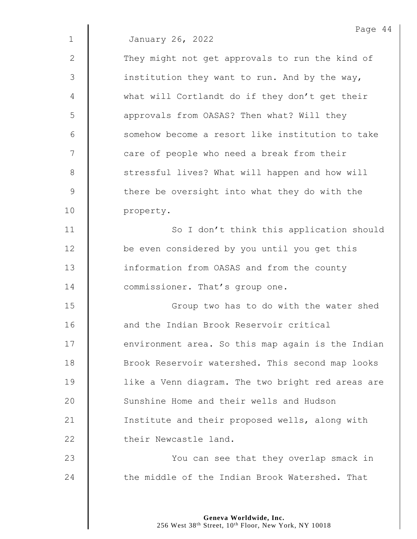2 They might not get approvals to run the kind of  $3 \parallel$  institution they want to run. And by the way, 4 what will Cortlandt do if they don't get their 5 approvals from OASAS? Then what? Will they 6 Somehow become a resort like institution to take 7 | care of people who need a break from their 8 | stressful lives? What will happen and how will 9 | there be oversight into what they do with the 10 | property.

11 | So I don't think this application should 12 | be even considered by you until you get this 13 **information from OASAS and from the county** 14 **Commissioner.** That's group one.

15 || Group two has to do with the water shed 16 **and the Indian Brook Reservoir critical** 17 | environment area. So this map again is the Indian 18 | Brook Reservoir watershed. This second map looks 19 | like a Venn diagram. The two bright red areas are 20 Sunshine Home and their wells and Hudson 21 | Institute and their proposed wells, along with 22 **their Newcastle land.** 

23 | You can see that they overlap smack in 24 the middle of the Indian Brook Watershed. That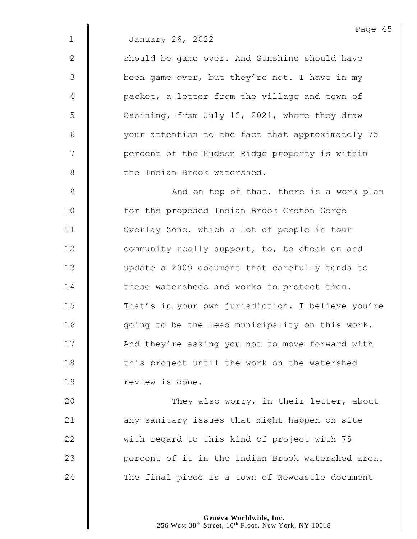2 | Should be game over. And Sunshine should have 3 | been game over, but they're not. I have in my 4 | packet, a letter from the village and town of 5 | Ossining, from July 12, 2021, where they draw 6 your attention to the fact that approximately 75 7 | percent of the Hudson Ridge property is within 8 | the Indian Brook watershed.

9 | And on top of that, there is a work plan 10 | for the proposed Indian Brook Croton Gorge 11 | Overlay Zone, which a lot of people in tour 12 **dege** community really support, to, to check on and 13 update a 2009 document that carefully tends to  $14$  | these watersheds and works to protect them. 15 That's in your own jurisdiction. I believe you're 16 | going to be the lead municipality on this work. 17 | And they're asking you not to move forward with 18 | this project until the work on the watershed 19 | review is done.

20 | They also worry, in their letter, about 21  $\parallel$  any sanitary issues that might happen on site 22 with regard to this kind of project with 75 23 **peak** percent of it in the Indian Brook watershed area. 24 The final piece is a town of Newcastle document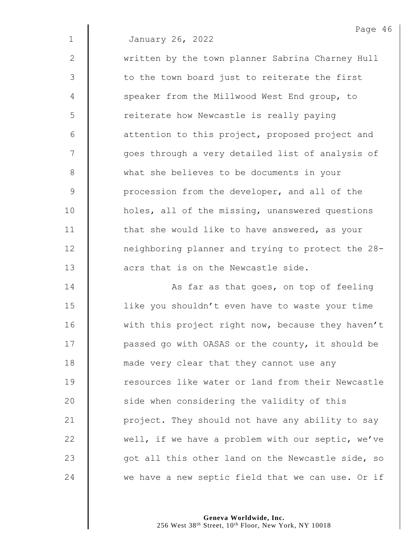|               | Page 4                                            |
|---------------|---------------------------------------------------|
| $\mathbf{1}$  | January 26, 2022                                  |
| $\mathbf{2}$  | written by the town planner Sabrina Charney Hull  |
| 3             | to the town board just to reiterate the first     |
| 4             | speaker from the Millwood West End group, to      |
| 5             | reiterate how Newcastle is really paying          |
| 6             | attention to this project, proposed project and   |
| 7             | goes through a very detailed list of analysis of  |
| $\,8\,$       | what she believes to be documents in your         |
| $\mathcal{G}$ | procession from the developer, and all of the     |
| 10            | holes, all of the missing, unanswered questions   |
| 11            | that she would like to have answered, as your     |
| 12            | neighboring planner and trying to protect the 28- |
| 13            | acrs that is on the Newcastle side.               |
| 14            | As far as that goes, on top of feeling            |
| 15            | like you shouldn't even have to waste your time   |
| 16            | with this project right now, because they haven't |
| 17            | passed go with OASAS or the county, it should be  |
| 18            | made very clear that they cannot use any          |
| 19            | resources like water or land from their Newcastle |
| 20            | side when considering the validity of this        |
| 21            | project. They should not have any ability to say  |
| 22            | well, if we have a problem with our septic, we've |
| 23            | got all this other land on the Newcastle side, so |
| 24            | we have a new septic field that we can use. Or if |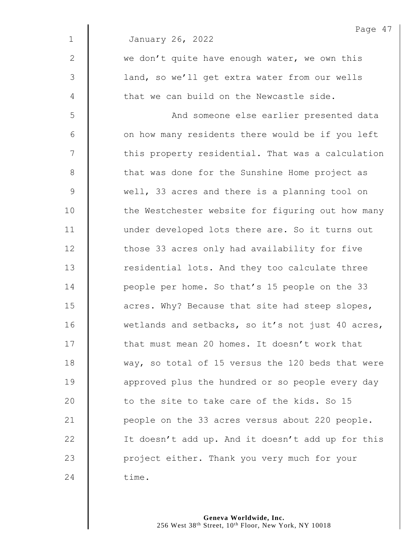|              | Page 47                                           |
|--------------|---------------------------------------------------|
| $\mathbf{1}$ | January 26, 2022                                  |
| $\mathbf{2}$ | we don't quite have enough water, we own this     |
| 3            | land, so we'll get extra water from our wells     |
| 4            | that we can build on the Newcastle side.          |
| 5            | And someone else earlier presented data           |
| $6\,$        | on how many residents there would be if you left  |
| 7            | this property residential. That was a calculation |
| $\,8\,$      | that was done for the Sunshine Home project as    |
| 9            | well, 33 acres and there is a planning tool on    |
| 10           | the Westchester website for figuring out how many |
| 11           | under developed lots there are. So it turns out   |
| 12           | those 33 acres only had availability for five     |
| 13           | residential lots. And they too calculate three    |
| 14           | people per home. So that's 15 people on the 33    |
| 15           | acres. Why? Because that site had steep slopes,   |
| 16           | wetlands and setbacks, so it's not just 40 acres, |
| 17           | that must mean 20 homes. It doesn't work that     |
| 18           | way, so total of 15 versus the 120 beds that were |
| 19           | approved plus the hundred or so people every day  |
| 20           | to the site to take care of the kids. So 15       |
| 21           | people on the 33 acres versus about 220 people.   |
| 22           | It doesn't add up. And it doesn't add up for this |
| 23           | project either. Thank you very much for your      |
| 24           | time.                                             |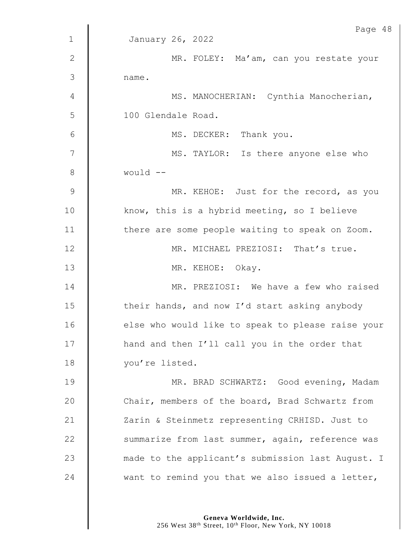|                | Page 48                                           |
|----------------|---------------------------------------------------|
| $\mathbf{1}$   | January 26, 2022                                  |
| $\mathbf{2}$   | MR. FOLEY: Ma'am, can you restate your            |
| 3              | name.                                             |
| 4              | MS. MANOCHERIAN: Cynthia Manocherian,             |
| 5              | 100 Glendale Road.                                |
| 6              | MS. DECKER: Thank you.                            |
| $\overline{7}$ | MS. TAYLOR: Is there anyone else who              |
| $\,8\,$        | would --                                          |
| $\mathcal{G}$  | MR. KEHOE: Just for the record, as you            |
| 10             | know, this is a hybrid meeting, so I believe      |
| 11             | there are some people waiting to speak on Zoom.   |
| 12             | MR. MICHAEL PREZIOSI: That's true.                |
| 13             | MR. KEHOE: Okay.                                  |
| 14             | MR. PREZIOSI: We have a few who raised            |
| 15             | their hands, and now I'd start asking anybody     |
| 16             | else who would like to speak to please raise your |
| 17             | hand and then I'll call you in the order that     |
| 18             | you're listed.                                    |
| 19             | MR. BRAD SCHWARTZ: Good evening, Madam            |
| 20             | Chair, members of the board, Brad Schwartz from   |
| 21             | Zarin & Steinmetz representing CRHISD. Just to    |
| 22             | summarize from last summer, again, reference was  |
| 23             | made to the applicant's submission last August. I |
| 24             | want to remind you that we also issued a letter,  |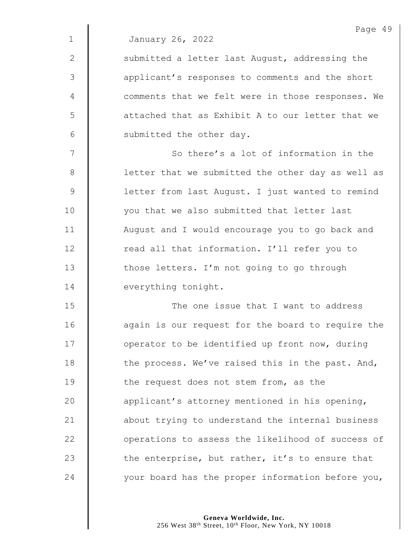|              | Page 49                                           |
|--------------|---------------------------------------------------|
| $\mathbf 1$  | January 26, 2022                                  |
| $\mathbf{2}$ | submitted a letter last August, addressing the    |
| 3            | applicant's responses to comments and the short   |
| 4            | comments that we felt were in those responses. We |
| 5            | attached that as Exhibit A to our letter that we  |
| 6            | submitted the other day.                          |
| 7            | So there's a lot of information in the            |
| $8\,$        | letter that we submitted the other day as well as |
| $\mathsf 9$  | letter from last August. I just wanted to remind  |
| 10           | you that we also submitted that letter last       |
| 11           | August and I would encourage you to go back and   |
| 12           | read all that information. I'll refer you to      |
| 13           | those letters. I'm not going to go through        |
| 14           | everything tonight.                               |
| 15           | The one issue that I want to address              |
| 16           | again is our request for the board to require the |
| 17           | operator to be identified up front now, during    |
| 18           | the process. We've raised this in the past. And,  |
| 19           | the request does not stem from, as the            |
| 20           | applicant's attorney mentioned in his opening,    |
| 21           | about trying to understand the internal business  |
| 22           | operations to assess the likelihood of success of |
| 23           | the enterprise, but rather, it's to ensure that   |

 $\parallel$  your board has the proper information before you,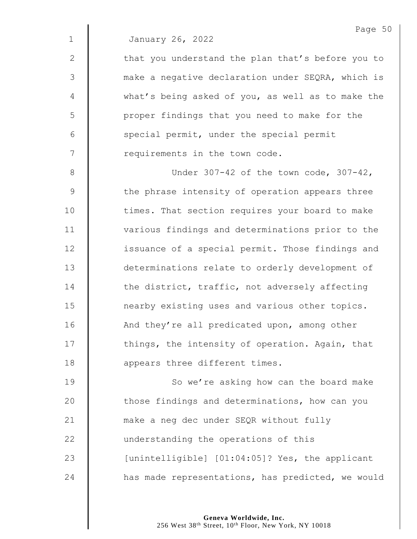| January 26, 2022 |  |
|------------------|--|
|                  |  |

2 | that you understand the plan that's before you to 3 make a negative declaration under SEQRA, which is 4 what's being asked of you, as well as to make the 5 | proper findings that you need to make for the  $6 \parallel$  special permit, under the special permit 7 Tequirements in the town code.

8 Under 307-42 of the town code, 307-42,  $9 \parallel$  the phrase intensity of operation appears three 10 | times. That section requires your board to make 11 | various findings and determinations prior to the 12 **issuance of a special permit. Those findings and** 13 determinations relate to orderly development of 14 the district, traffic, not adversely affecting 15 **nearby existing uses and various other topics.** 16 | And they're all predicated upon, among other 17 | things, the intensity of operation. Again, that 18 **dec** appears three different times.

19 | So we're asking how can the board make **those findings and determinations, how can you make a neg dec under SEQR without fully understanding the operations of this** 23 | [unintelligible] [01:04:05]? Yes, the applicant **has made representations, has predicted, we would**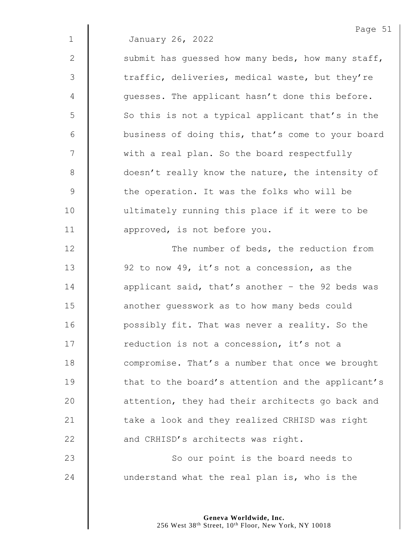2  $\parallel$  submit has quessed how many beds, how many staff, 3 The traffic, deliveries, medical waste, but they're  $4 \parallel$  guesses. The applicant hasn't done this before. 5 || So this is not a typical applicant that's in the 6 **business of doing this, that's come to your board** 7 | with a real plan. So the board respectfully 8 doesn't really know the nature, the intensity of 9 | the operation. It was the folks who will be 10 | ultimately running this place if it were to be 11 **dec** approved, is not before you.

**The number of beds, the reduction from 92** to now 49, it's not a concession, as the  $\parallel$  applicant said, that's another - the 92 beds was **another quesswork as to how many beds could** 16 | possibly fit. That was never a reality. So the 17 | reduction is not a concession, it's not a **compromise.** That's a number that once we brought 19 | that to the board's attention and the applicant's | attention, they had their architects go back and  $\parallel$  take a look and they realized CRHISD was right **and CRHISD's architects was right.** 23 | So our point is the board needs to

24  $\parallel$  understand what the real plan is, who is the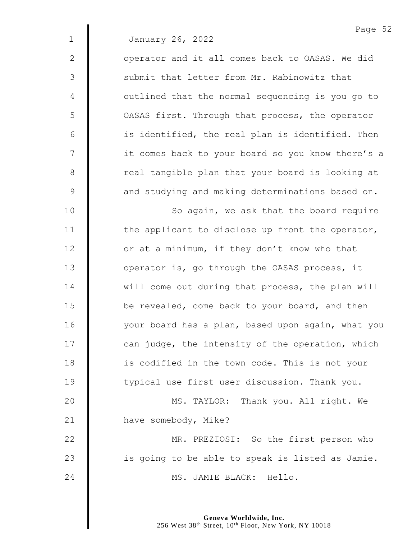2 | operator and it all comes back to OASAS. We did 3 Submit that letter from Mr. Rabinowitz that 4 | outlined that the normal sequencing is you go to 5 | OASAS first. Through that process, the operator  $6$  | is identified, the real plan is identified. Then 7 | it comes back to your board so you know there's a 8 | The real tangible plan that your board is looking at 9  $\parallel$  and studying and making determinations based on.

10 | So again, we ask that the board require 11  $\parallel$  the applicant to disclose up front the operator, 12 | or at a minimum, if they don't know who that 13 **J** operator is, go through the OASAS process, it 14 Will come out during that process, the plan will 15 **be revealed, come back to your board, and then** 16 | vour board has a plan, based upon again, what you  $17$   $\parallel$  can judge, the intensity of the operation, which 18 **i** is codified in the town code. This is not your 19 **typical use first user discussion. Thank you.** 

20 MS. TAYLOR: Thank you. All right. We 21 have somebody, Mike?

22 **MR. PREZIOSI:** So the first person who  $23$  | is going to be able to speak is listed as Jamie. 24 | MS. JAMIE BLACK: Hello.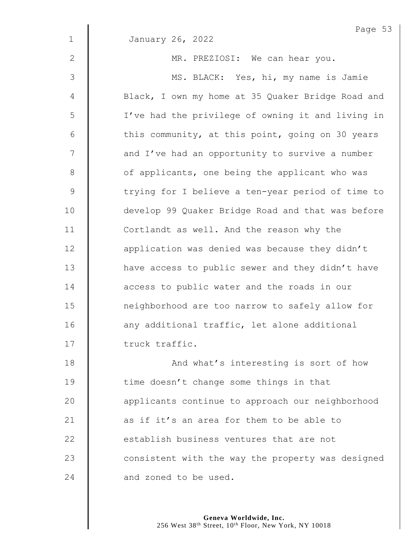|             | Page 53                                           |
|-------------|---------------------------------------------------|
| $\mathbf 1$ | January 26, 2022                                  |
| 2           | MR. PREZIOSI: We can hear you.                    |
| 3           | MS. BLACK: Yes, hi, my name is Jamie              |
| 4           | Black, I own my home at 35 Quaker Bridge Road and |
| 5           | I've had the privilege of owning it and living in |
| 6           | this community, at this point, going on 30 years  |
| 7           | and I've had an opportunity to survive a number   |
| 8           | of applicants, one being the applicant who was    |
| $\mathsf 9$ | trying for I believe a ten-year period of time to |
| 10          | develop 99 Quaker Bridge Road and that was before |
| 11          | Cortlandt as well. And the reason why the         |
| 12          | application was denied was because they didn't    |
| 13          | have access to public sewer and they didn't have  |
| 14          | access to public water and the roads in our       |
| 15          | neighborhood are too narrow to safely allow for   |
| 16          | any additional traffic, let alone additional      |
| 17          | truck traffic.                                    |
| 18          | And what's interesting is sort of how             |
| 19          | time doesn't change some things in that           |
| 20          | applicants continue to approach our neighborhood  |
| 21          | as if it's an area for them to be able to         |
| 22          | establish business ventures that are not          |
| 23          | consistent with the way the property was designed |
| 24          | and zoned to be used.                             |
|             |                                                   |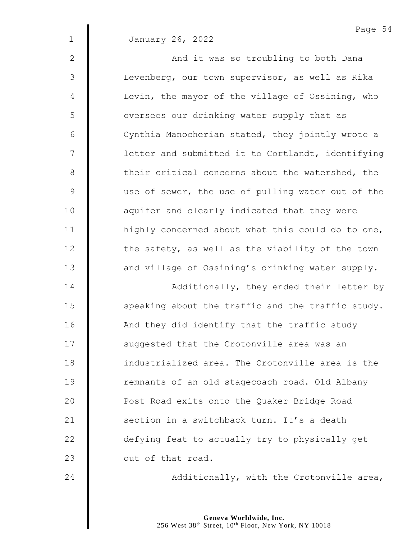|                | Page 54                                           |
|----------------|---------------------------------------------------|
| $\mathbf{1}$   | January 26, 2022                                  |
| $\overline{2}$ | And it was so troubling to both Dana              |
| 3              | Levenberg, our town supervisor, as well as Rika   |
| $\overline{4}$ | Levin, the mayor of the village of Ossining, who  |
| 5              | oversees our drinking water supply that as        |
| 6              | Cynthia Manocherian stated, they jointly wrote a  |
| 7              | letter and submitted it to Cortlandt, identifying |
| 8              | their critical concerns about the watershed, the  |
| 9              | use of sewer, the use of pulling water out of the |
| 10             | aquifer and clearly indicated that they were      |
| 11             | highly concerned about what this could do to one, |
| 12             | the safety, as well as the viability of the town  |
|                |                                                   |

14 | Additionally, they ended their letter by 15  $\parallel$  speaking about the traffic and the traffic study. 16 | And they did identify that the traffic study 17 | suggested that the Crotonville area was an **dege** industrialized area. The Crotonville area is the 19 | remnants of an old stagecoach road. Old Albany **Post Road exits onto the Quaker Bridge Road**  $\parallel$  section in a switchback turn. It's a death **defying feat to actually try to physically get** 23  $\parallel$  out of that road.

13 | and village of Ossining's drinking water supply.

**Additionally, with the Crotonville area**,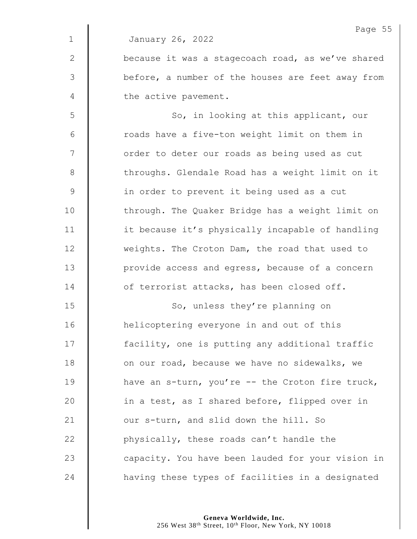|                | Page 55                                           |
|----------------|---------------------------------------------------|
| $\mathbf 1$    | January 26, 2022                                  |
| $\mathbf{2}$   | because it was a stagecoach road, as we've shared |
| $\mathfrak{Z}$ | before, a number of the houses are feet away from |
| 4              | the active pavement.                              |
| 5              | So, in looking at this applicant, our             |
| 6              | roads have a five-ton weight limit on them in     |
| 7              | order to deter our roads as being used as cut     |
| $\,8\,$        | throughs. Glendale Road has a weight limit on it  |
| $\mathsf 9$    | in order to prevent it being used as a cut        |
| 10             | through. The Quaker Bridge has a weight limit on  |
| 11             | it because it's physically incapable of handling  |
| 12             | weights. The Croton Dam, the road that used to    |
| 13             | provide access and egress, because of a concern   |
| 14             | of terrorist attacks, has been closed off.        |
| 15             | So, unless they're planning on                    |
| 16             | helicoptering everyone in and out of this         |
| 17             | facility, one is putting any additional traffic   |
| 18             | on our road, because we have no sidewalks, we     |
| 19             | have an s-turn, you're -- the Croton fire truck,  |
| 20             | in a test, as I shared before, flipped over in    |
| 21             | our s-turn, and slid down the hill. So            |
| 22             | physically, these roads can't handle the          |
| 23             | capacity. You have been lauded for your vision in |
| 24             | having these types of facilities in a designated  |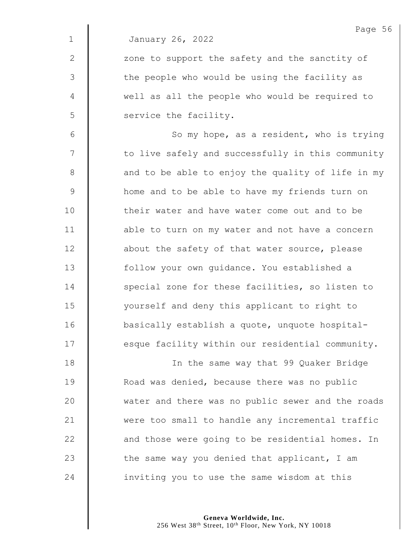$2 \parallel$  zone to support the safety and the sanctity of 3 | the people who would be using the facility as 4 well as all the people who would be required to 5 Service the facility.

6 || So my hope, as a resident, who is trying 7  $\parallel$  to live safely and successfully in this community  $8 \parallel$  and to be able to enjoy the quality of life in my 9 **H** home and to be able to have my friends turn on 10 **d** their water and have water come out and to be 11 **d** able to turn on my water and not have a concern 12 **d** about the safety of that water source, please 13 | follow your own guidance. You established a 14 Special zone for these facilities, so listen to 15 | vourself and deny this applicant to right to 16 **basically establish a quote, unquote hospital-** $17$   $\parallel$  esque facility within our residential community.

18 | In the same way that 99 Quaker Bridge 19 **Noad was denied, because there was no public** 20 water and there was no public sewer and the roads 21 | were too small to handle any incremental traffic  $22$   $\parallel$  and those were going to be residential homes. In 23  $\parallel$  the same way you denied that applicant, I am 24  $\parallel$  inviting you to use the same wisdom at this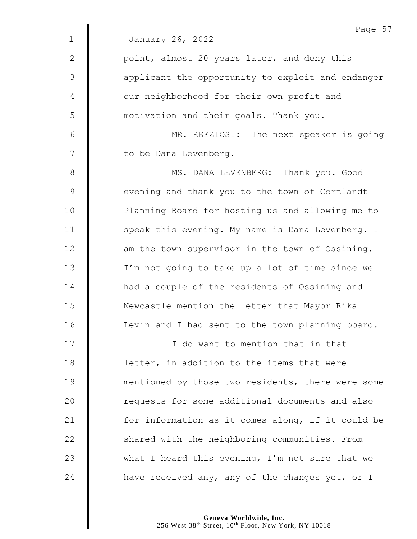|               | Page 57                                           |
|---------------|---------------------------------------------------|
| $\mathbf{1}$  | January 26, 2022                                  |
| $\mathbf{2}$  | point, almost 20 years later, and deny this       |
| $\mathcal{S}$ | applicant the opportunity to exploit and endanger |
| 4             | our neighborhood for their own profit and         |
| 5             | motivation and their goals. Thank you.            |
| 6             | MR. REEZIOSI: The next speaker is going           |
| 7             | to be Dana Levenberg.                             |
| 8             | MS. DANA LEVENBERG: Thank you. Good               |
| $\mathsf 9$   | evening and thank you to the town of Cortlandt    |
| 10            | Planning Board for hosting us and allowing me to  |
| 11            | speak this evening. My name is Dana Levenberg. I  |
| 12            | am the town supervisor in the town of Ossining.   |
| 13            | I'm not going to take up a lot of time since we   |
| 14            | had a couple of the residents of Ossining and     |
| 15            | Newcastle mention the letter that Mayor Rika      |
| 16            | Levin and I had sent to the town planning board.  |
| 17            | I do want to mention that in that                 |
| 18            | letter, in addition to the items that were        |
| 19            | mentioned by those two residents, there were some |
| 20            | requests for some additional documents and also   |
| 21            | for information as it comes along, if it could be |
| 22            | shared with the neighboring communities. From     |
| 23            | what I heard this evening, I'm not sure that we   |
| 24            | have received any, any of the changes yet, or I   |

**Geneva Worldwide, Inc.**

256 West 38th Street, 10th Floor, New York, NY 10018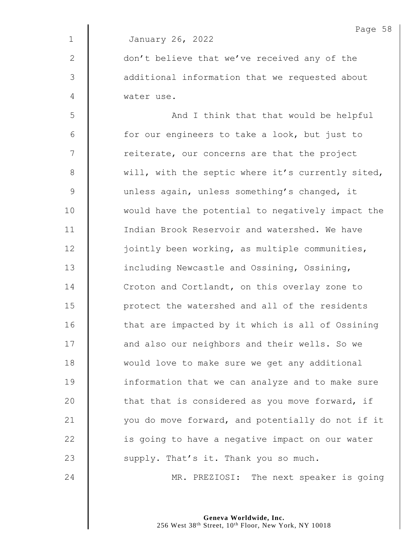|               | Page 58                                           |
|---------------|---------------------------------------------------|
| $\mathbf{1}$  | January 26, 2022                                  |
| $\mathbf{2}$  | don't believe that we've received any of the      |
| 3             | additional information that we requested about    |
| 4             | water use.                                        |
| 5             | And I think that that would be helpful            |
| 6             | for our engineers to take a look, but just to     |
| 7             | reiterate, our concerns are that the project      |
| $\,8\,$       | will, with the septic where it's currently sited, |
| $\mathcal{G}$ | unless again, unless something's changed, it      |
| 10            | would have the potential to negatively impact the |
| 11            | Indian Brook Reservoir and watershed. We have     |
| 12            | jointly been working, as multiple communities,    |
| 13            | including Newcastle and Ossining, Ossining,       |
| 14            | Croton and Cortlandt, on this overlay zone to     |
| 15            | protect the watershed and all of the residents    |
| 16            | that are impacted by it which is all of Ossining  |
| 17            | and also our neighbors and their wells. So we     |
| 18            | would love to make sure we get any additional     |
| 19            | information that we can analyze and to make sure  |
| 20            | that that is considered as you move forward, if   |
| 21            | you do move forward, and potentially do not if it |
| 22            | is going to have a negative impact on our water   |
| 23            | supply. That's it. Thank you so much.             |
| 24            | MR. PREZIOSI: The next speaker is going           |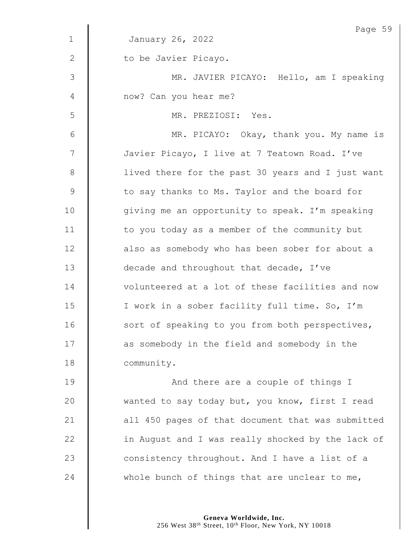|             | Page 59                                           |
|-------------|---------------------------------------------------|
| $\mathbf 1$ | January 26, 2022                                  |
| 2           | to be Javier Picayo.                              |
| 3           | MR. JAVIER PICAYO: Hello, am I speaking           |
| 4           | now? Can you hear me?                             |
| 5           | MR. PREZIOSI: Yes.                                |
| 6           | MR. PICAYO: Okay, thank you. My name is           |
| 7           | Javier Picayo, I live at 7 Teatown Road. I've     |
| $8\,$       | lived there for the past 30 years and I just want |
| 9           | to say thanks to Ms. Taylor and the board for     |
| 10          | giving me an opportunity to speak. I'm speaking   |
| 11          | to you today as a member of the community but     |
| 12          | also as somebody who has been sober for about a   |
| 13          | decade and throughout that decade, I've           |
| 14          | volunteered at a lot of these facilities and now  |
| 15          | I work in a sober facility full time. So, I'm     |
| 16          | sort of speaking to you from both perspectives,   |
| 17          | as somebody in the field and somebody in the      |
| 18          | community.                                        |
| 19          | And there are a couple of things I                |
| 20          | wanted to say today but, you know, first I read   |
| 21          | all 450 pages of that document that was submitted |
| 22          | in August and I was really shocked by the lack of |
| 23          | consistency throughout. And I have a list of a    |
| 24          | whole bunch of things that are unclear to me,     |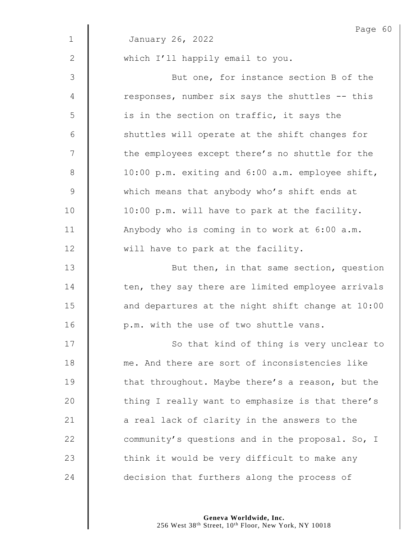|              | Page 60                                           |
|--------------|---------------------------------------------------|
| $\mathbf 1$  | January 26, 2022                                  |
| $\mathbf{2}$ | which I'll happily email to you.                  |
| 3            | But one, for instance section B of the            |
| 4            | responses, number six says the shuttles -- this   |
| 5            | is in the section on traffic, it says the         |
| 6            | shuttles will operate at the shift changes for    |
| 7            | the employees except there's no shuttle for the   |
| $\,8\,$      | 10:00 p.m. exiting and 6:00 a.m. employee shift,  |
| $\mathsf 9$  | which means that anybody who's shift ends at      |
| 10           | 10:00 p.m. will have to park at the facility.     |
| 11           | Anybody who is coming in to work at 6:00 a.m.     |
| 12           | will have to park at the facility.                |
| 13           | But then, in that same section, question          |
| 14           | ten, they say there are limited employee arrivals |
| 15           | and departures at the night shift change at 10:00 |
| 16           | p.m. with the use of two shuttle vans.            |
| 17           | So that kind of thing is very unclear to          |
| 18           | me. And there are sort of inconsistencies like    |
| 19           | that throughout. Maybe there's a reason, but the  |
| 20           | thing I really want to emphasize is that there's  |
| 21           | a real lack of clarity in the answers to the      |
| 22           | community's questions and in the proposal. So, I  |
| 23           | think it would be very difficult to make any      |
| 24           | decision that furthers along the process of       |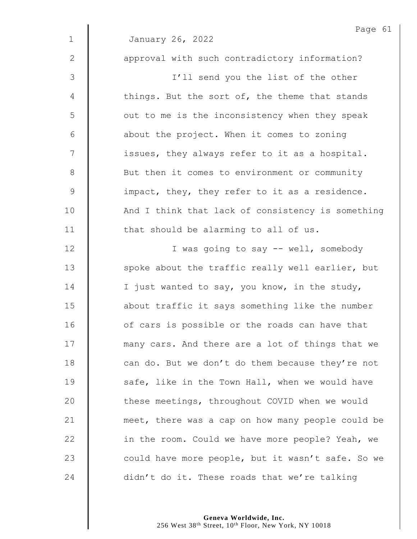|              | Page 61                                           |
|--------------|---------------------------------------------------|
| $\mathbf 1$  | January 26, 2022                                  |
| $\mathbf{2}$ | approval with such contradictory information?     |
| 3            | I'll send you the list of the other               |
| 4            | things. But the sort of, the theme that stands    |
| 5            | out to me is the inconsistency when they speak    |
| 6            | about the project. When it comes to zoning        |
| 7            | issues, they always refer to it as a hospital.    |
| $8\,$        | But then it comes to environment or community     |
| $\mathsf 9$  | impact, they, they refer to it as a residence.    |
| 10           | And I think that lack of consistency is something |
| 11           | that should be alarming to all of us.             |
| 12           | I was going to say -- well, somebody              |
| 13           | spoke about the traffic really well earlier, but  |
| 14           | I just wanted to say, you know, in the study,     |
| 15           | about traffic it says something like the number   |
| 16           | of cars is possible or the roads can have that    |
| 17           | many cars. And there are a lot of things that we  |
| 18           | can do. But we don't do them because they're not  |
| 19           | safe, like in the Town Hall, when we would have   |
| 20           | these meetings, throughout COVID when we would    |
| 21           | meet, there was a cap on how many people could be |
| 22           | in the room. Could we have more people? Yeah, we  |
| 23           | could have more people, but it wasn't safe. So we |
| 24           | didn't do it. These roads that we're talking      |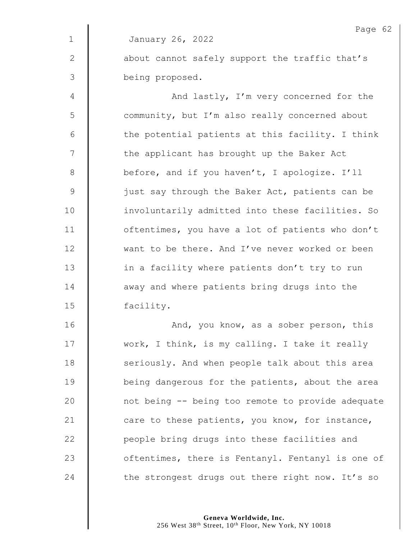|               | Page 62                                           |
|---------------|---------------------------------------------------|
| $\mathbf 1$   | January 26, 2022                                  |
| $\mathbf{2}$  | about cannot safely support the traffic that's    |
| $\mathcal{S}$ | being proposed.                                   |
| 4             | And lastly, I'm very concerned for the            |
| 5             | community, but I'm also really concerned about    |
| 6             | the potential patients at this facility. I think  |
| 7             | the applicant has brought up the Baker Act        |
| $8\,$         | before, and if you haven't, I apologize. I'll     |
| $\mathsf 9$   | just say through the Baker Act, patients can be   |
| 10            | involuntarily admitted into these facilities. So  |
| 11            | oftentimes, you have a lot of patients who don't  |
| 12            | want to be there. And I've never worked or been   |
| 13            | in a facility where patients don't try to run     |
| 14            | away and where patients bring drugs into the      |
| 15            | facility.                                         |
| 16            | And, you know, as a sober person, this            |
| 17            | work, I think, is my calling. I take it really    |
| 18            | seriously. And when people talk about this area   |
| 19            | being dangerous for the patients, about the area  |
| 20            | not being -- being too remote to provide adequate |
| 21            | care to these patients, you know, for instance,   |
| 22            | people bring drugs into these facilities and      |
| 23            | oftentimes, there is Fentanyl. Fentanyl is one of |
| 24            | the strongest drugs out there right now. It's so  |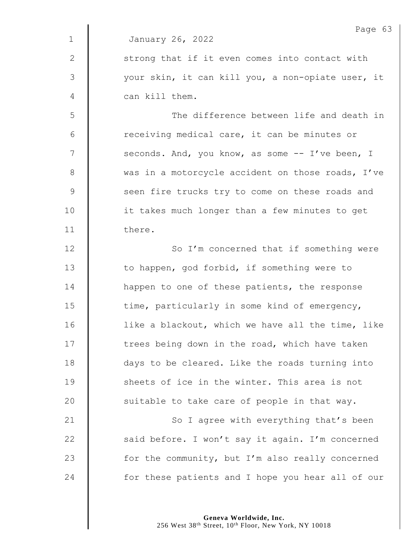|              | Page 63                                           |
|--------------|---------------------------------------------------|
| $\mathbf 1$  | January 26, 2022                                  |
| $\mathbf{2}$ | strong that if it even comes into contact with    |
| 3            | your skin, it can kill you, a non-opiate user, it |
| 4            | can kill them.                                    |
| 5            | The difference between life and death in          |
| 6            | receiving medical care, it can be minutes or      |
| 7            | seconds. And, you know, as some -- I've been, I   |
| 8            | was in a motorcycle accident on those roads, I've |
| $\mathsf 9$  | seen fire trucks try to come on these roads and   |
| 10           | it takes much longer than a few minutes to get    |
| 11           | there.                                            |
| 12           | So I'm concerned that if something were           |
| 13           | to happen, god forbid, if something were to       |
| 14           | happen to one of these patients, the response     |
| 15           | time, particularly in some kind of emergency,     |
| 16           | like a blackout, which we have all the time, like |
| 17           | trees being down in the road, which have taken    |
| 18           | days to be cleared. Like the roads turning into   |
| 19           | sheets of ice in the winter. This area is not     |
| 20           | suitable to take care of people in that way.      |
| 21           | So I agree with everything that's been            |
| 22           | said before. I won't say it again. I'm concerned  |
| 23           | for the community, but I'm also really concerned  |
| 24           | for these patients and I hope you hear all of our |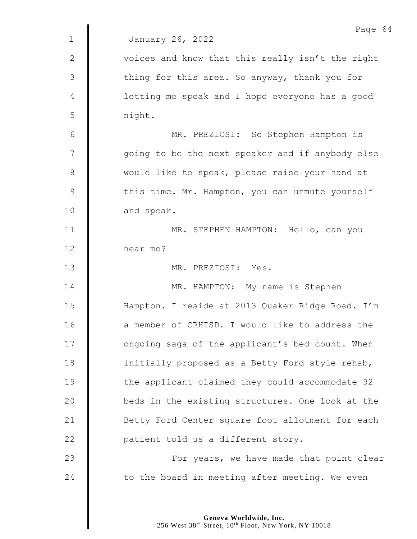|                | Page 64                                          |
|----------------|--------------------------------------------------|
| $\mathbf 1$    | January 26, 2022                                 |
| $\mathbf{2}$   | voices and know that this really isn't the right |
| 3              | thing for this area. So anyway, thank you for    |
| $\overline{4}$ | letting me speak and I hope everyone has a good  |
| 5              | night.                                           |
| 6              | MR. PREZIOSI: So Stephen Hampton is              |
| 7              | going to be the next speaker and if anybody else |
| $8\,$          | would like to speak, please raise your hand at   |
| $\mathsf 9$    | this time. Mr. Hampton, you can unmute yourself  |
| 10             | and speak.                                       |
| 11             | MR. STEPHEN HAMPTON: Hello, can you              |
| 12             | hear me?                                         |
| 13             | MR. PREZIOSI: Yes.                               |
| 14             | MR. HAMPTON: My name is Stephen                  |
| 15             | Hampton. I reside at 2013 Quaker Ridge Road. I'm |
| 16             | a member of CRHISD. I would like to address the  |
| 17             | ongoing saga of the applicant's bed count. When  |
| 18             | initially proposed as a Betty Ford style rehab,  |
| 19             | the applicant claimed they could accommodate 92  |
| 20             | beds in the existing structures. One look at the |
| 21             | Betty Ford Center square foot allotment for each |
| 22             | patient told us a different story.               |
| 23             | For years, we have made that point clear         |
| 24             | to the board in meeting after meeting. We even   |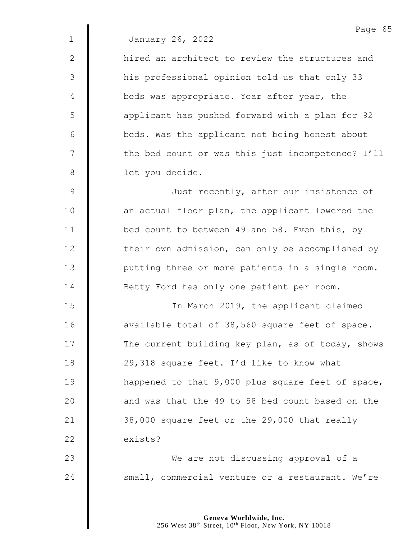2 || hired an architect to review the structures and 3 | his professional opinion told us that only 33 4 **beds was appropriate. Year after year, the** 5 | applicant has pushed forward with a plan for 92 6 | beds. Was the applicant not being honest about 7 | the bed count or was this just incompetence? I'll 8 | let you decide.

9 | Just recently, after our insistence of 10 | an actual floor plan, the applicant lowered the 11 **bed count to between 49 and 58. Even this, by** 12 | their own admission, can only be accomplished by 13 | putting three or more patients in a single room. 14 **Betty Ford has only one patient per room.** 

15 | In March 2019, the applicant claimed 16 | available total of 38,560 square feet of space. 17 The current building key plan, as of today, shows 18 | 29,318 square feet. I'd like to know what 19 **happened to that 9,000 plus square feet of space,** 20  $\parallel$  and was that the 49 to 58 bed count based on the 21  $\parallel$  38,000 square feet or the 29,000 that really 22 exists?

23 **We are not discussing approval of a** 24 small, commercial venture or a restaurant. We're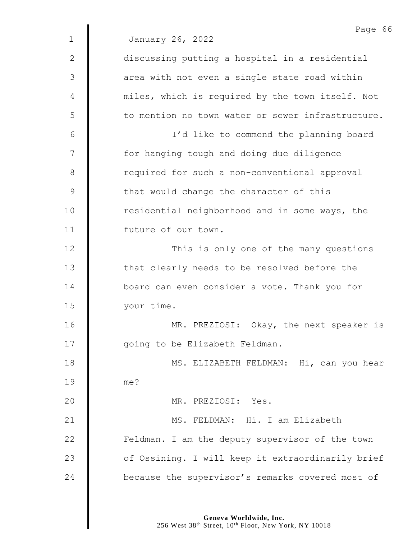Page 66 1 January 26, 2022 2 | discussing putting a hospital in a residential 3 | area with not even a single state road within 4 | miles, which is required by the town itself. Not 5 | to mention no town water or sewer infrastructure. 6 I'd like to commend the planning board 7 | for hanging tough and doing due diligence 8 | required for such a non-conventional approval 9 | that would change the character of this 10 Tesidential neighborhood and in some ways, the 11 **I** future of our town. 12 | This is only one of the many questions 13 | that clearly needs to be resolved before the 14 **board can even consider a vote. Thank you for** 15 your time. 16 | MR. PREZIOSI: Okay, the next speaker is 17 | qoing to be Elizabeth Feldman. 18 || MS. ELIZABETH FELDMAN: Hi, can you hear 19 me? 20 MR. PREZIOSI: Yes. 21 | MS. FELDMAN: Hi. I am Elizabeth 22 | Feldman. I am the deputy supervisor of the town 23 | of Ossining. I will keep it extraordinarily brief 24 **because the supervisor's remarks covered most of**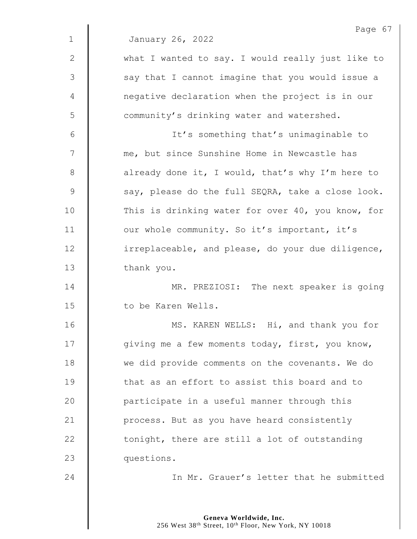|              | Page 67                                           |
|--------------|---------------------------------------------------|
| $\mathbf{1}$ | January 26, 2022                                  |
| $\mathbf{2}$ | what I wanted to say. I would really just like to |
| 3            | say that I cannot imagine that you would issue a  |
| 4            | negative declaration when the project is in our   |
| 5            | community's drinking water and watershed.         |
| 6            | It's something that's unimaginable to             |
| 7            | me, but since Sunshine Home in Newcastle has      |
| 8            | already done it, I would, that's why I'm here to  |
| 9            | say, please do the full SEQRA, take a close look. |
| 10           | This is drinking water for over 40, you know, for |
| 11           | our whole community. So it's important, it's      |
| 12           | irreplaceable, and please, do your due diligence, |
| 13           | thank you.                                        |
| 14           | MR. PREZIOSI: The next speaker is going           |
| 15           | to be Karen Wells.                                |
| 16           | MS. KAREN WELLS: Hi, and thank you for            |
| 17           | giving me a few moments today, first, you know,   |
| 18           | we did provide comments on the covenants. We do   |
| 19           | that as an effort to assist this board and to     |
| 20           | participate in a useful manner through this       |
| 21           | process. But as you have heard consistently       |
| 22           | tonight, there are still a lot of outstanding     |
| 23           | questions.                                        |
| 24           | In Mr. Grauer's letter that he submitted          |
|              |                                                   |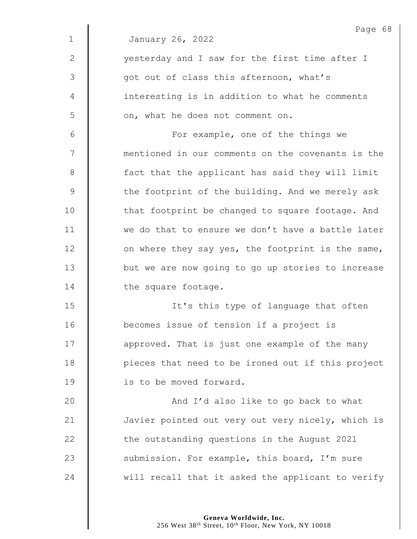|               | Page 68                                           |
|---------------|---------------------------------------------------|
| $\mathbf 1$   | January 26, 2022                                  |
| 2             | yesterday and I saw for the first time after I    |
| $\mathcal{S}$ | got out of class this afternoon, what's           |
| 4             | interesting is in addition to what he comments    |
| 5             | on, what he does not comment on.                  |
| 6             | For example, one of the things we                 |
| 7             | mentioned in our comments on the covenants is the |
| 8             | fact that the applicant has said they will limit  |
| $\mathsf 9$   | the footprint of the building. And we merely ask  |
| 10            | that footprint be changed to square footage. And  |
| 11            | we do that to ensure we don't have a battle later |
| 12            | on where they say yes, the footprint is the same, |
| 13            | but we are now going to go up stories to increase |
| 14            | the square footage.                               |
| 15            | It's this type of language that often             |
| 16            | becomes issue of tension if a project is          |
| 17            | approved. That is just one example of the many    |
| 18            | pieces that need to be ironed out if this project |
| 19            | is to be moved forward.                           |
| 20            | And I'd also like to go back to what              |
| 21            | Javier pointed out very out very nicely, which is |
| 22            | the outstanding questions in the August 2021      |
| 23            | submission. For example, this board, I'm sure     |
| 24            | will recall that it asked the applicant to verify |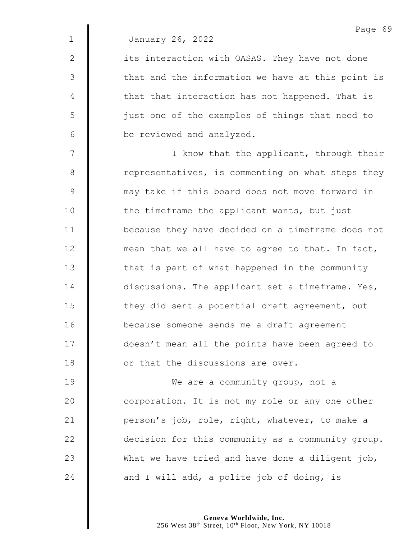2 | its interaction with OASAS. They have not done  $3 \parallel$  that and the information we have at this point is  $4 \parallel$  that that interaction has not happened. That is 5 || just one of the examples of things that need to 6 be reviewed and analyzed.

7 | I know that the applicant, through their 8 Tepresentatives, is commenting on what steps they 9 may take if this board does not move forward in 10 | the timeframe the applicant wants, but just 11 because they have decided on a timeframe does not  $12$   $\parallel$  mean that we all have to agree to that. In fact, 13 | that is part of what happened in the community 14 discussions. The applicant set a timeframe. Yes, 15  $\parallel$  they did sent a potential draft agreement, but 16 because someone sends me a draft agreement 17  $\parallel$  doesn't mean all the points have been agreed to 18 **I** or that the discussions are over.

**I** We are a community group, not a **corporation.** It is not my role or any one other  $\parallel$  person's job, role, right, whatever, to make a 22 decision for this community as a community group.  $\parallel$  What we have tried and have done a diligent job,  $\parallel$  and I will add, a polite job of doing, is

> **Geneva Worldwide, Inc.** 256 West 38th Street, 10th Floor, New York, NY 10018

Page 69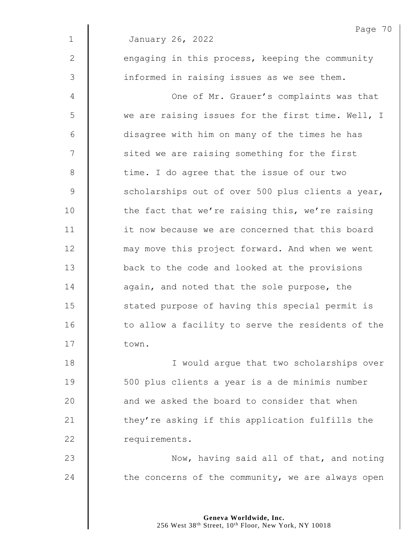Page 70 1 January 26, 2022  $2 \parallel$  engaging in this process, keeping the community 3 | informed in raising issues as we see them. 4 | Cone of Mr. Grauer's complaints was that 5 | we are raising issues for the first time. Well, I 6 disagree with him on many of the times he has  $7 \parallel$  sited we are raising something for the first 8 time. I do agree that the issue of our two 9 Scholarships out of over 500 plus clients a year, 10 The fact that we're raising this, we're raising 11 **i** it now because we are concerned that this board 12 **may move this project forward. And when we went** 13 **back** to the code and looked at the provisions 14 | again, and noted that the sole purpose, the 15 | stated purpose of having this special permit is 16 | to allow a facility to serve the residents of the 17 | town. 18 || I would arque that two scholarships over 19 500 plus clients a year is a de minimis number 20  $\parallel$  and we asked the board to consider that when 21  $\parallel$  they're asking if this application fulfills the 22 | requirements.

23 | Now, having said all of that, and noting 24  $\parallel$  the concerns of the community, we are always open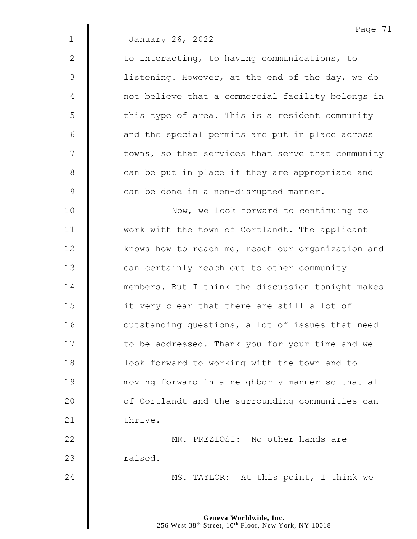2 | to interacting, to having communications, to 3 | listening. However, at the end of the day, we do 4 | not believe that a commercial facility belongs in 5 || this type of area. This is a resident community  $6 \parallel$  and the special permits are put in place across 7  $\parallel$  towns, so that services that serve that community 8 can be put in place if they are appropriate and 9 can be done in a non-disrupted manner.

10 **Now, we look forward to continuing to** 11 Work with the town of Cortlandt. The applicant 12 | knows how to reach me, reach our organization and 13 **can certainly reach out to other community** 14 **members.** But I think the discussion tonight makes 15 **it very clear that there are still a lot of** 16 | outstanding questions, a lot of issues that need 17 | to be addressed. Thank you for your time and we 18 | Cook forward to working with the town and to 19 moving forward in a neighborly manner so that all 20 | of Cortlandt and the surrounding communities can 21 thrive.

22 MR. PREZIOSI: No other hands are 23 | raised.

24 **MS. TAYLOR:** At this point, I think we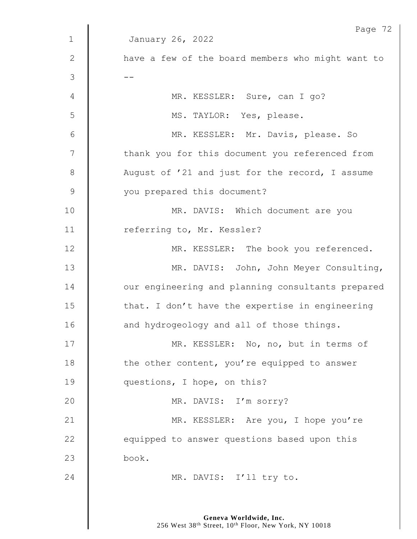|              | Page 72                                           |
|--------------|---------------------------------------------------|
| $\mathbf{1}$ | January 26, 2022                                  |
| $\mathbf{2}$ | have a few of the board members who might want to |
| 3            |                                                   |
| 4            | MR. KESSLER: Sure, can I go?                      |
| 5            | MS. TAYLOR: Yes, please.                          |
| 6            | MR. KESSLER: Mr. Davis, please. So                |
| 7            | thank you for this document you referenced from   |
| 8            | August of '21 and just for the record, I assume   |
| $\mathsf 9$  | you prepared this document?                       |
| 10           | MR. DAVIS: Which document are you                 |
| 11           | referring to, Mr. Kessler?                        |
| 12           | MR. KESSLER: The book you referenced.             |
| 13           | MR. DAVIS: John, John Meyer Consulting,           |
| 14           | our engineering and planning consultants prepared |
| 15           | that. I don't have the expertise in engineering   |
| 16           | and hydrogeology and all of those things.         |
| 17           | MR. KESSLER: No, no, but in terms of              |
| 18           | the other content, you're equipped to answer      |
| 19           | questions, I hope, on this?                       |
| 20           | MR. DAVIS: I'm sorry?                             |
| 21           | MR. KESSLER: Are you, I hope you're               |
| 22           | equipped to answer questions based upon this      |
| 23           | book.                                             |
| 24           | MR. DAVIS: I'll try to.                           |
|              |                                                   |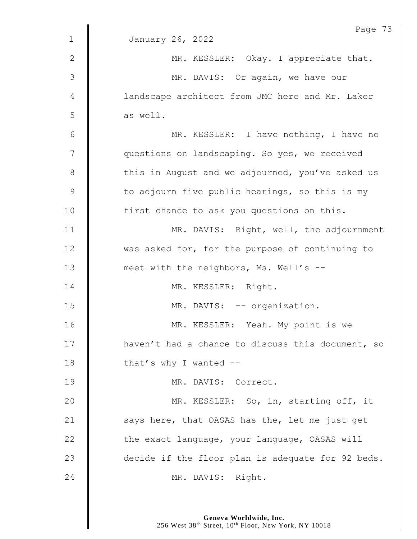|                | Page 73                                           |
|----------------|---------------------------------------------------|
| $\mathbf 1$    | January 26, 2022                                  |
| 2              | MR. KESSLER: Okay. I appreciate that.             |
| $\mathfrak{Z}$ | MR. DAVIS: Or again, we have our                  |
| 4              | landscape architect from JMC here and Mr. Laker   |
| 5              | as well.                                          |
| $6\,$          | MR. KESSLER: I have nothing, I have no            |
| 7              | questions on landscaping. So yes, we received     |
| $8\,$          | this in August and we adjourned, you've asked us  |
| $\mathsf 9$    | to adjourn five public hearings, so this is my    |
| 10             | first chance to ask you questions on this.        |
| 11             | MR. DAVIS: Right, well, the adjournment           |
| 12             | was asked for, for the purpose of continuing to   |
| 13             | meet with the neighbors, Ms. Well's --            |
| 14             | MR. KESSLER: Right.                               |
| 15             | MR. DAVIS: -- organization.                       |
| 16             | MR. KESSLER: Yeah. My point is we                 |
| 17             | haven't had a chance to discuss this document, so |
| 18             | that's why I wanted $-$                           |
| 19             | MR. DAVIS: Correct.                               |
| 20             | MR. KESSLER: So, in, starting off, it             |
| 21             | says here, that OASAS has the, let me just get    |
| 22             | the exact language, your language, OASAS will     |
| 23             | decide if the floor plan is adequate for 92 beds. |
| 24             | MR. DAVIS: Right.                                 |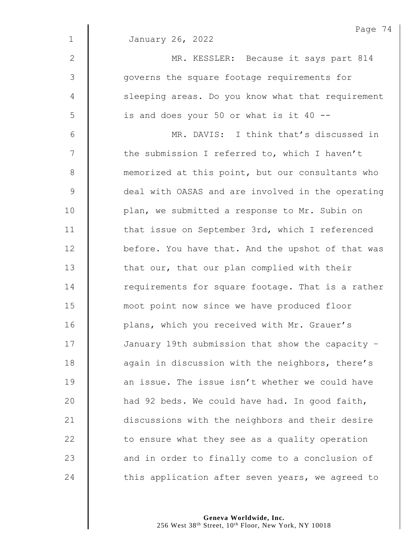|                | Page 74                                           |
|----------------|---------------------------------------------------|
| $\mathbf 1$    | January 26, 2022                                  |
| $\mathbf{2}$   | MR. KESSLER: Because it says part 814             |
| $\mathfrak{Z}$ | governs the square footage requirements for       |
| $\overline{4}$ | sleeping areas. Do you know what that requirement |
| 5              | is and does your 50 or what is it 40 --           |
| 6              | MR. DAVIS: I think that's discussed in            |
| 7              | the submission I referred to, which I haven't     |
| $\,8\,$        | memorized at this point, but our consultants who  |
| $\mathsf 9$    | deal with OASAS and are involved in the operating |
| 10             | plan, we submitted a response to Mr. Subin on     |
| 11             | that issue on September 3rd, which I referenced   |
| 12             | before. You have that. And the upshot of that was |
| 13             | that our, that our plan complied with their       |
| 14             | requirements for square footage. That is a rather |
| 15             | moot point now since we have produced floor       |
| 16             | plans, which you received with Mr. Grauer's       |
| 17             | January 19th submission that show the capacity -  |
| 18             | again in discussion with the neighbors, there's   |
| 19             | an issue. The issue isn't whether we could have   |
| 20             | had 92 beds. We could have had. In good faith,    |
| 21             | discussions with the neighbors and their desire   |
| 22             | to ensure what they see as a quality operation    |
| 23             | and in order to finally come to a conclusion of   |
| 24             | this application after seven years, we agreed to  |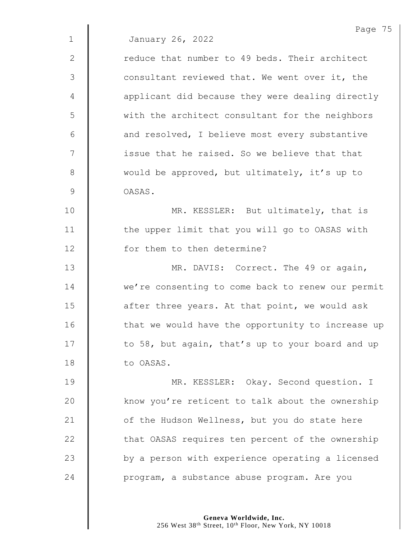Page 75 1 January 26, 2022 2 | Teduce that number to 49 beds. Their architect 3 | consultant reviewed that. We went over it, the 4 | applicant did because they were dealing directly 5 || with the architect consultant for the neighbors  $6$  | and resolved, I believe most every substantive 7 | issue that he raised. So we believe that that 8 would be approved, but ultimately, it's up to 9 | OASAS. 10 **MR. KESSLER:** But ultimately, that is 11 | the upper limit that you will go to OASAS with 12 **for them to then determine?** 13 | MR. DAVIS: Correct. The 49 or again, 14 We're consenting to come back to renew our permit 15  $\parallel$  after three years. At that point, we would ask 16 | that we would have the opportunity to increase up 17  $\parallel$  to 58, but again, that's up to your board and up 18 to OASAS. 19 | MR. KESSLER: Okay. Second question. I  $20$  | know you're reticent to talk about the ownership 21  $\parallel$  of the Hudson Wellness, but you do state here 22 | that OASAS requires ten percent of the ownership  $23$   $\parallel$  by a person with experience operating a licensed 24 **program, a substance abuse program.** Are you

> **Geneva Worldwide, Inc.** 256 West 38<sup>th</sup> Street, 10<sup>th</sup> Floor, New York, NY 10018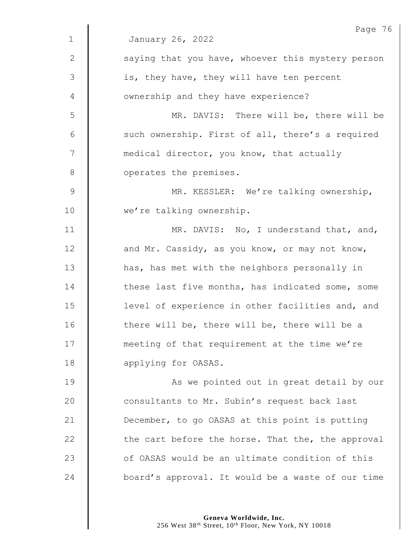|               | Page 76                                           |
|---------------|---------------------------------------------------|
| $\mathbf 1$   | January 26, 2022                                  |
| 2             | saying that you have, whoever this mystery person |
| 3             | is, they have, they will have ten percent         |
| 4             | ownership and they have experience?               |
| 5             | MR. DAVIS: There will be, there will be           |
| 6             | such ownership. First of all, there's a required  |
| 7             | medical director, you know, that actually         |
| $8\,$         | operates the premises.                            |
| $\mathcal{G}$ | MR. KESSLER: We're talking ownership,             |
| 10            | we're talking ownership.                          |
| 11            | MR. DAVIS: No, I understand that, and,            |
| 12            | and Mr. Cassidy, as you know, or may not know,    |
| 13            | has, has met with the neighbors personally in     |
| 14            | these last five months, has indicated some, some  |
| 15            | level of experience in other facilities and, and  |
| 16            | there will be, there will be, there will be a     |
| 17            | meeting of that requirement at the time we're     |
| 18            | applying for OASAS.                               |
| 19            | As we pointed out in great detail by our          |
| 20            | consultants to Mr. Subin's request back last      |
| 21            | December, to go OASAS at this point is putting    |
| 22            | the cart before the horse. That the, the approval |
| 23            | of OASAS would be an ultimate condition of this   |
| 24            | board's approval. It would be a waste of our time |
|               |                                                   |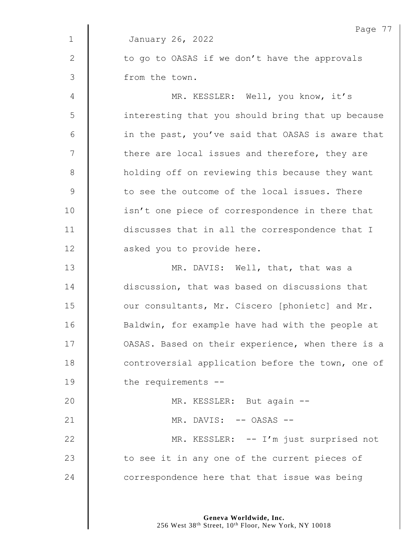|             | Page 77                                           |
|-------------|---------------------------------------------------|
| $\mathbf 1$ | January 26, 2022                                  |
| 2           | to go to OASAS if we don't have the approvals     |
| 3           | from the town.                                    |
| 4           | MR. KESSLER: Well, you know, it's                 |
| 5           | interesting that you should bring that up because |
| 6           | in the past, you've said that OASAS is aware that |
| 7           | there are local issues and therefore, they are    |
| $8\,$       | holding off on reviewing this because they want   |
| $\mathsf 9$ | to see the outcome of the local issues. There     |
| 10          | isn't one piece of correspondence in there that   |
| 11          | discusses that in all the correspondence that I   |
| 12          | asked you to provide here.                        |
| 13          | MR. DAVIS: Well, that, that was a                 |
| 14          | discussion, that was based on discussions that    |
| 15          | our consultants, Mr. Ciscero [phonietc] and Mr.   |
| 16          | Baldwin, for example have had with the people at  |
| 17          | OASAS. Based on their experience, when there is a |
| 18          | controversial application before the town, one of |
| 19          | the requirements --                               |
| 20          | MR. KESSLER: But again --                         |
| 21          | MR. DAVIS: -- OASAS --                            |
| 22          | MR. KESSLER: -- I'm just surprised not            |
| 23          | to see it in any one of the current pieces of     |
| 24          | correspondence here that that issue was being     |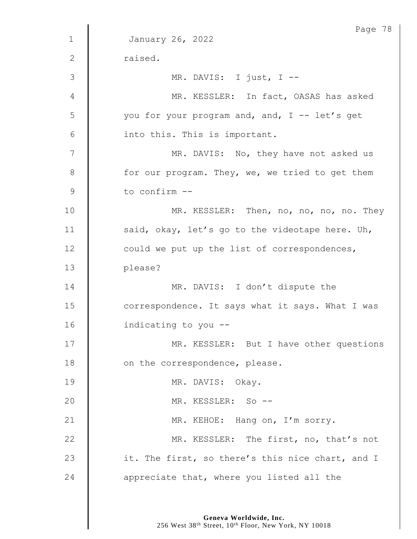| $\mathbf 1$ | Page 78<br>January 26, 2022                      |
|-------------|--------------------------------------------------|
|             |                                                  |
| 2           | raised.                                          |
| 3           | MR. DAVIS: I just, I --                          |
| 4           | MR. KESSLER: In fact, OASAS has asked            |
| 5           | you for your program and, and, I -- let's get    |
| 6           | into this. This is important.                    |
| 7           | MR. DAVIS: No, they have not asked us            |
| 8           | for our program. They, we, we tried to get them  |
| 9           | to confirm --                                    |
| 10          | MR. KESSLER: Then, no, no, no, no. They          |
| 11          | said, okay, let's go to the videotape here. Uh,  |
| 12          | could we put up the list of correspondences,     |
| 13          | please?                                          |
| 14          | MR. DAVIS: I don't dispute the                   |
| 15          | correspondence. It says what it says. What I was |
| 16          | indicating to you --                             |
| 17          | MR. KESSLER: But I have other questions          |
| 18          | on the correspondence, please.                   |
| 19          | MR. DAVIS: Okay.                                 |
| 20          | MR. KESSLER: So --                               |
| 21          | MR. KEHOE: Hang on, I'm sorry.                   |
| 22          | MR. KESSLER: The first, no, that's not           |
| 23          | it. The first, so there's this nice chart, and I |
| 24          | appreciate that, where you listed all the        |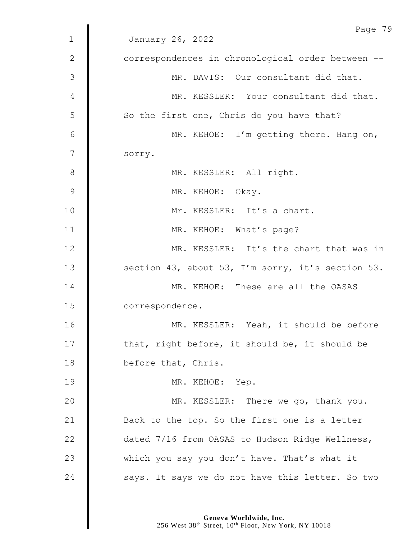|                | Page 79                                           |
|----------------|---------------------------------------------------|
| $\mathbf 1$    | January 26, 2022                                  |
| $\mathbf{2}$   | correspondences in chronological order between -- |
| 3              | MR. DAVIS: Our consultant did that.               |
| 4              | MR. KESSLER: Your consultant did that.            |
| 5              | So the first one, Chris do you have that?         |
| 6              | MR. KEHOE: I'm getting there. Hang on,            |
| $\overline{7}$ | sorry.                                            |
| $8\,$          | MR. KESSLER: All right.                           |
| 9              | MR. KEHOE: Okay.                                  |
| 10             | Mr. KESSLER: It's a chart.                        |
| 11             | MR. KEHOE: What's page?                           |
| 12             | MR. KESSLER: It's the chart that was in           |
| 13             | section 43, about 53, I'm sorry, it's section 53. |
| 14             | MR. KEHOE: These are all the OASAS                |
| 15             | correspondence.                                   |
| 16             | MR. KESSLER: Yeah, it should be before            |
| 17             | that, right before, it should be, it should be    |
| 18             | before that, Chris.                               |
| 19             | MR. KEHOE: Yep.                                   |
| 20             | MR. KESSLER: There we go, thank you.              |
| 21             | Back to the top. So the first one is a letter     |
| 22             | dated 7/16 from OASAS to Hudson Ridge Wellness,   |
| 23             | which you say you don't have. That's what it      |
| 24             | says. It says we do not have this letter. So two  |
|                |                                                   |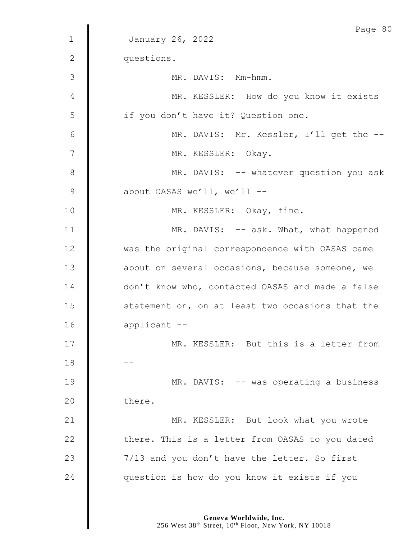|               | Page 80                                          |
|---------------|--------------------------------------------------|
| $\mathbf 1$   | January 26, 2022                                 |
| $\mathbf{2}$  | questions.                                       |
| 3             | MR. DAVIS: Mm-hmm.                               |
| 4             | MR. KESSLER: How do you know it exists           |
| 5             | if you don't have it? Question one.              |
| 6             | MR. DAVIS: Mr. Kessler, I'll get the --          |
| 7             | MR. KESSLER: Okay.                               |
| $8\,$         | MR. DAVIS: -- whatever question you ask          |
| $\mathcal{G}$ | about OASAS we'll, we'll --                      |
| 10            | MR. KESSLER: Okay, fine.                         |
| 11            | MR. DAVIS: -- ask. What, what happened           |
| 12            | was the original correspondence with OASAS came  |
| 13            | about on several occasions, because someone, we  |
| 14            | don't know who, contacted OASAS and made a false |
| 15            | statement on, on at least two occasions that the |
| 16            | applicant --                                     |
| 17            | MR. KESSLER: But this is a letter from           |
| 18            |                                                  |
| 19            | MR. DAVIS: -- was operating a business           |
| 20            | there.                                           |
| 21            | MR. KESSLER: But look what you wrote             |
| 22            | there. This is a letter from OASAS to you dated  |
| 23            | 7/13 and you don't have the letter. So first     |
| 24            | question is how do you know it exists if you     |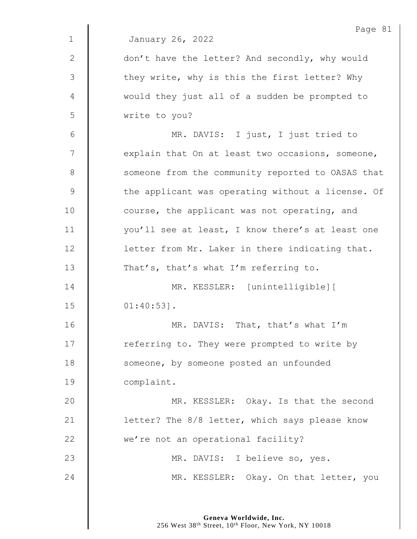|               | Page 81                                           |
|---------------|---------------------------------------------------|
| $\mathbf{1}$  | January 26, 2022                                  |
| $\mathbf{2}$  | don't have the letter? And secondly, why would    |
| 3             | they write, why is this the first letter? Why     |
| 4             | would they just all of a sudden be prompted to    |
| 5             | write to you?                                     |
| $6\,$         | MR. DAVIS: I just, I just tried to                |
| 7             | explain that On at least two occasions, someone,  |
| 8             | someone from the community reported to OASAS that |
| $\mathcal{G}$ | the applicant was operating without a license. Of |
| 10            | course, the applicant was not operating, and      |
| 11            | you'll see at least, I know there's at least one  |
| 12            | letter from Mr. Laker in there indicating that.   |
| 13            | That's, that's what I'm referring to.             |
| 14            | MR. KESSLER: [unintelligible] [                   |
| 15            | $01:40:53$ ].                                     |
| 16            | MR. DAVIS: That, that's what I'm                  |
| 17            | referring to. They were prompted to write by      |
| 18            | someone, by someone posted an unfounded           |
| 19            | complaint.                                        |
| 20            | MR. KESSLER: Okay. Is that the second             |
| 21            | letter? The 8/8 letter, which says please know    |
| 22            | we're not an operational facility?                |
| 23            | MR. DAVIS: I believe so, yes.                     |
| 24            | MR. KESSLER: Okay. On that letter, you            |
|               |                                                   |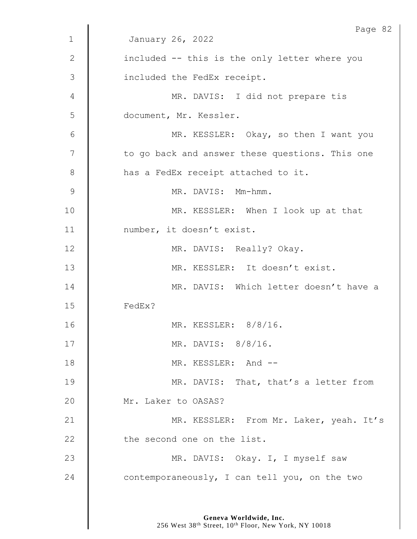|               | Page 82                                         |
|---------------|-------------------------------------------------|
| $\mathbf 1$   | January 26, 2022                                |
| $\mathbf{2}$  | included -- this is the only letter where you   |
| 3             | included the FedEx receipt.                     |
| 4             | MR. DAVIS: I did not prepare tis                |
| 5             | document, Mr. Kessler.                          |
| 6             | MR. KESSLER: Okay, so then I want you           |
| 7             | to go back and answer these questions. This one |
| $8\,$         | has a FedEx receipt attached to it.             |
| $\mathcal{G}$ | MR. DAVIS: Mm-hmm.                              |
| 10            | MR. KESSLER: When I look up at that             |
| 11            | number, it doesn't exist.                       |
| 12            | MR. DAVIS: Really? Okay.                        |
| 13            | MR. KESSLER: It doesn't exist.                  |
| 14            | MR. DAVIS: Which letter doesn't have a          |
| 15            | FedEx?                                          |
| 16            | MR. KESSLER: $8/8/16$ .                         |
| 17            | MR. DAVIS: 8/8/16.                              |
| 18            | MR. KESSLER: And --                             |
| 19            | MR. DAVIS: That, that's a letter from           |
| 20            | Mr. Laker to OASAS?                             |
| 21            | MR. KESSLER: From Mr. Laker, yeah. It's         |
| 22            | the second one on the list.                     |
| 23            | MR. DAVIS: Okay. I, I myself saw                |
| 24            | contemporaneously, I can tell you, on the two   |
|               |                                                 |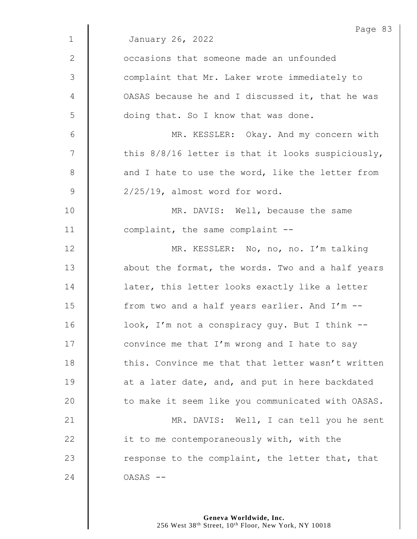|              | Page 83                                             |
|--------------|-----------------------------------------------------|
| $\mathbf{1}$ | January 26, 2022                                    |
| $\mathbf{2}$ | occasions that someone made an unfounded            |
| 3            | complaint that Mr. Laker wrote immediately to       |
| 4            | OASAS because he and I discussed it, that he was    |
| 5            | doing that. So I know that was done.                |
| 6            | MR. KESSLER: Okay. And my concern with              |
| 7            | this $8/8/16$ letter is that it looks suspiciously, |
| 8            | and I hate to use the word, like the letter from    |
| 9            | $2/25/19$ , almost word for word.                   |
| 10           | MR. DAVIS: Well, because the same                   |
| 11           | complaint, the same complaint --                    |
| 12           | MR. KESSLER: No, no, no. I'm talking                |
| 13           | about the format, the words. Two and a half years   |
| 14           | later, this letter looks exactly like a letter      |
| 15           | from two and a half years earlier. And I'm --       |
| 16           | look, I'm not a conspiracy guy. But I think --      |
| 17           | convince me that I'm wrong and I hate to say        |
| 18           | this. Convince me that that letter wasn't written   |
| 19           | at a later date, and, and put in here backdated     |
| 20           | to make it seem like you communicated with OASAS.   |
| 21           | MR. DAVIS: Well, I can tell you he sent             |
| 22           | it to me contemporaneously with, with the           |
| 23           | response to the complaint, the letter that, that    |
| 24           | OASAS --                                            |
|              |                                                     |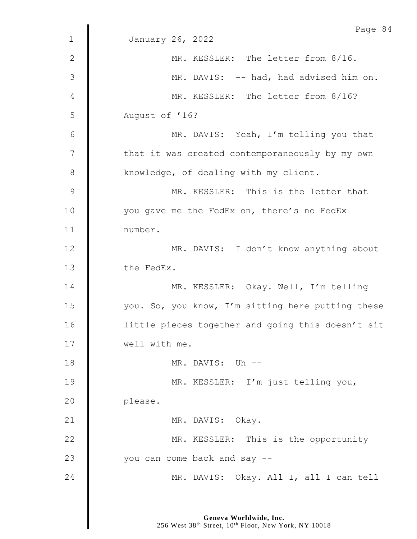|              | Page 84                                           |
|--------------|---------------------------------------------------|
| $\mathbf{1}$ | January 26, 2022                                  |
| $\mathbf{2}$ | MR. KESSLER: The letter from 8/16.                |
| 3            | MR. DAVIS: -- had, had advised him on.            |
| 4            | MR. KESSLER: The letter from 8/16?                |
| 5            | August of '16?                                    |
| 6            | MR. DAVIS: Yeah, I'm telling you that             |
| 7            | that it was created contemporaneously by my own   |
| 8            | knowledge, of dealing with my client.             |
| $\mathsf 9$  | MR. KESSLER: This is the letter that              |
| 10           | you gave me the FedEx on, there's no FedEx        |
| 11           | number.                                           |
| 12           | MR. DAVIS: I don't know anything about            |
| 13           | the FedEx.                                        |
| 14           | MR. KESSLER: Okay. Well, I'm telling              |
| 15           | you. So, you know, I'm sitting here putting these |
| 16           | little pieces together and going this doesn't sit |
| 17           | well with me.                                     |
| 18           | MR. DAVIS: Uh --                                  |
| 19           | MR. KESSLER: I'm just telling you,                |
| 20           | please.                                           |
| 21           | MR. DAVIS: Okay.                                  |
| 22           | MR. KESSLER: This is the opportunity              |
| 23           | you can come back and say --                      |
| 24           | MR. DAVIS: Okay. All I, all I can tell            |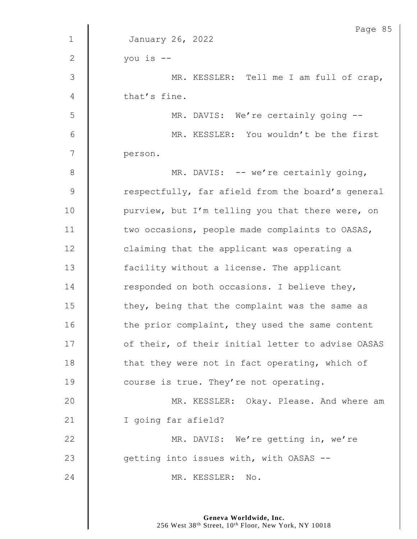|                | Page 85                                           |
|----------------|---------------------------------------------------|
| $\mathbf{1}$   | January 26, 2022                                  |
| $\mathbf{2}$   | you is --                                         |
| $\mathfrak{Z}$ | MR. KESSLER: Tell me I am full of crap,           |
| 4              | that's fine.                                      |
| 5              | MR. DAVIS: We're certainly going --               |
| 6              | MR. KESSLER: You wouldn't be the first            |
| 7              | person.                                           |
| $8\,$          | MR. DAVIS: -- we're certainly going,              |
| $\mathsf 9$    | respectfully, far afield from the board's general |
| 10             | purview, but I'm telling you that there were, on  |
| 11             | two occasions, people made complaints to OASAS,   |
| 12             | claiming that the applicant was operating a       |
| 13             | facility without a license. The applicant         |
| 14             | responded on both occasions. I believe they,      |
| 15             | they, being that the complaint was the same as    |
| 16             | the prior complaint, they used the same content   |
| 17             | of their, of their initial letter to advise OASAS |
| 18             | that they were not in fact operating, which of    |
| 19             | course is true. They're not operating.            |
| 20             | MR. KESSLER: Okay. Please. And where am           |
| 21             | I going far afield?                               |
| 22             | MR. DAVIS: We're getting in, we're                |
| 23             | getting into issues with, with OASAS --           |
| 24             | MR. KESSLER:<br>No.                               |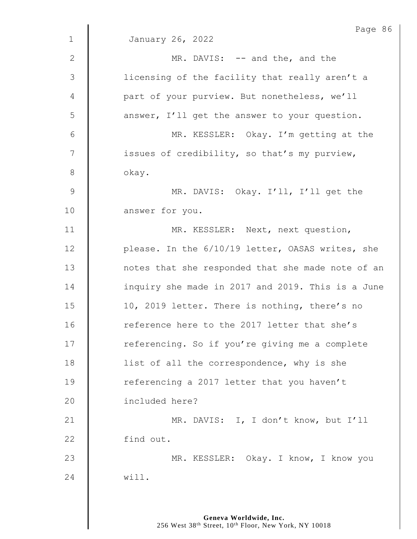|                | Page 86                                           |
|----------------|---------------------------------------------------|
| $\mathbf 1$    | January 26, 2022                                  |
| 2              | MR. DAVIS: -- and the, and the                    |
| $\mathfrak{Z}$ | licensing of the facility that really aren't a    |
| 4              | part of your purview. But nonetheless, we'll      |
| 5              | answer, I'll get the answer to your question.     |
| 6              | MR. KESSLER: Okay. I'm getting at the             |
| 7              | issues of credibility, so that's my purview,      |
| $8\,$          | okay.                                             |
| $\mathsf 9$    | MR. DAVIS: Okay. I'll, I'll get the               |
| 10             | answer for you.                                   |
| 11             | MR. KESSLER: Next, next question,                 |
| 12             | please. In the 6/10/19 letter, OASAS writes, she  |
| 13             | notes that she responded that she made note of an |
| 14             | inquiry she made in 2017 and 2019. This is a June |
| 15             | 10, 2019 letter. There is nothing, there's no     |
| 16             | reference here to the 2017 letter that she's      |
| 17             | referencing. So if you're giving me a complete    |
| 18             | list of all the correspondence, why is she        |
| 19             | referencing a 2017 letter that you haven't        |
| 20             | included here?                                    |
| 21             | MR. DAVIS: I, I don't know, but I'll              |
| 22             | find out.                                         |
| 23             | MR. KESSLER: Okay. I know, I know you             |
| 24             | will.                                             |
|                |                                                   |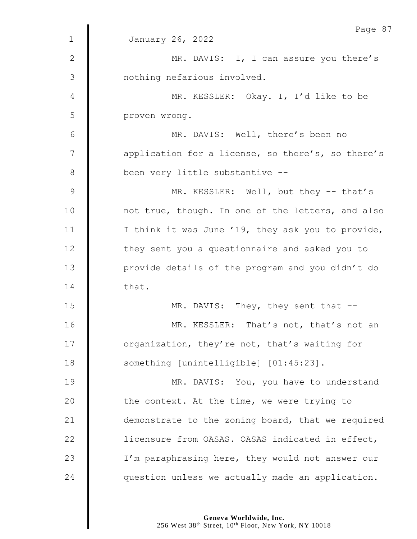|               | Page 87                                           |
|---------------|---------------------------------------------------|
| $\mathbf 1$   | January 26, 2022                                  |
| 2             | MR. DAVIS: I, I can assure you there's            |
| 3             | nothing nefarious involved.                       |
| 4             | MR. KESSLER: Okay. I, I'd like to be              |
| 5             | proven wrong.                                     |
| 6             | MR. DAVIS: Well, there's been no                  |
| 7             | application for a license, so there's, so there's |
| 8             | been very little substantive --                   |
| $\mathcal{G}$ | MR. KESSLER: Well, but they -- that's             |
| 10            | not true, though. In one of the letters, and also |
| 11            | I think it was June '19, they ask you to provide, |
| 12            | they sent you a questionnaire and asked you to    |
| 13            | provide details of the program and you didn't do  |
| 14            | that.                                             |
| 15            | MR. DAVIS: They, they sent that --                |
| 16            | MR. KESSLER: That's not, that's not an            |
| 17            | organization, they're not, that's waiting for     |
| 18            | something [unintelligible] [01:45:23].            |
| 19            | MR. DAVIS: You, you have to understand            |
| 20            | the context. At the time, we were trying to       |
| 21            | demonstrate to the zoning board, that we required |
| 22            | licensure from OASAS. OASAS indicated in effect,  |
| 23            | I'm paraphrasing here, they would not answer our  |
| 24            | question unless we actually made an application.  |
|               |                                                   |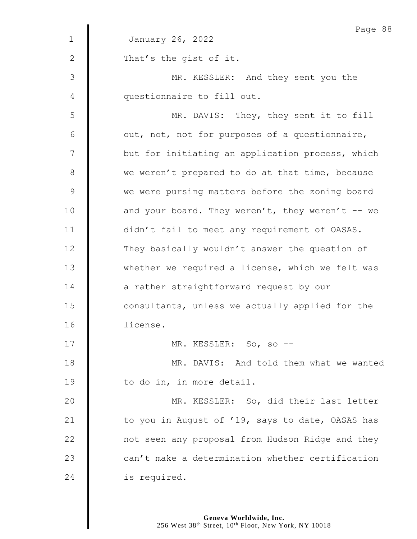|                | Page 88                                          |
|----------------|--------------------------------------------------|
| $\mathbf{1}$   | January 26, 2022                                 |
| $\mathbf{2}$   | That's the gist of it.                           |
| $\mathfrak{Z}$ | MR. KESSLER: And they sent you the               |
| 4              | questionnaire to fill out.                       |
| 5              | MR. DAVIS: They, they sent it to fill            |
| 6              | out, not, not for purposes of a questionnaire,   |
| 7              | but for initiating an application process, which |
| 8              | we weren't prepared to do at that time, because  |
| $\mathsf 9$    | we were pursing matters before the zoning board  |
| 10             | and your board. They weren't, they weren't -- we |
| 11             | didn't fail to meet any requirement of OASAS.    |
| 12             | They basically wouldn't answer the question of   |
| 13             | whether we required a license, which we felt was |
| 14             | a rather straightforward request by our          |
| 15             | consultants, unless we actually applied for the  |
| 16             | license.                                         |
| 17             | MR. KESSLER: So, so --                           |
| 18             | MR. DAVIS: And told them what we wanted          |
| 19             | to do in, in more detail.                        |
| 20             | MR. KESSLER: So, did their last letter           |
| 21             | to you in August of '19, says to date, OASAS has |
| 22             | not seen any proposal from Hudson Ridge and they |
| 23             | can't make a determination whether certification |
| 24             | is required.                                     |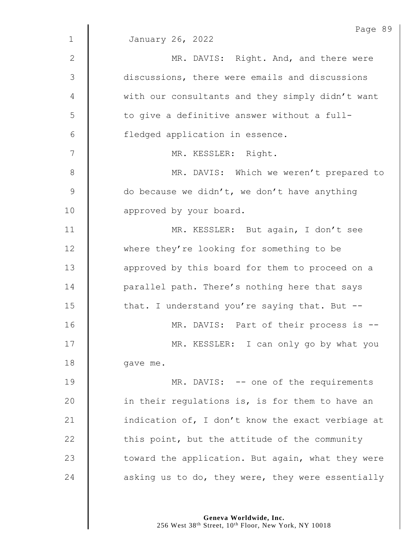|                | Page 89                                           |
|----------------|---------------------------------------------------|
| $\mathbf 1$    | January 26, 2022                                  |
| $\mathbf{2}$   | MR. DAVIS: Right. And, and there were             |
| $\mathfrak{Z}$ | discussions, there were emails and discussions    |
| 4              | with our consultants and they simply didn't want  |
| 5              | to give a definitive answer without a full-       |
| 6              | fledged application in essence.                   |
| 7              | MR. KESSLER: Right.                               |
| $\,8\,$        | MR. DAVIS: Which we weren't prepared to           |
| $\mathsf 9$    | do because we didn't, we don't have anything      |
| 10             | approved by your board.                           |
| 11             | MR. KESSLER: But again, I don't see               |
| 12             | where they're looking for something to be         |
| 13             | approved by this board for them to proceed on a   |
| 14             | parallel path. There's nothing here that says     |
| 15             | that. I understand you're saying that. But --     |
| 16             | MR. DAVIS: Part of their process is --            |
| 17             | MR. KESSLER: I can only go by what you            |
| 18             | gave me.                                          |
| 19             | MR. DAVIS: -- one of the requirements             |
| 20             | in their regulations is, is for them to have an   |
| 21             | indication of, I don't know the exact verbiage at |
| 22             | this point, but the attitude of the community     |
| 23             | toward the application. But again, what they were |
| 24             | asking us to do, they were, they were essentially |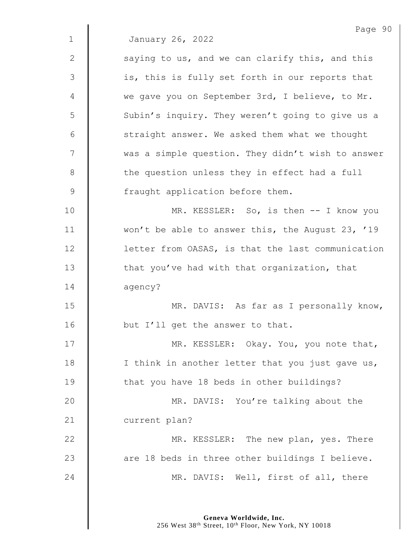|              | Page 90                                           |
|--------------|---------------------------------------------------|
| $\mathbf 1$  | January 26, 2022                                  |
| $\mathbf{2}$ | saying to us, and we can clarify this, and this   |
| 3            | is, this is fully set forth in our reports that   |
| 4            | we gave you on September 3rd, I believe, to Mr.   |
| 5            | Subin's inquiry. They weren't going to give us a  |
| 6            | straight answer. We asked them what we thought    |
| 7            | was a simple question. They didn't wish to answer |
| $8\,$        | the question unless they in effect had a full     |
| $\mathsf 9$  | fraught application before them.                  |
| 10           | MR. KESSLER: So, is then -- I know you            |
| 11           | won't be able to answer this, the August 23, '19  |
| 12           | letter from OASAS, is that the last communication |
| 13           | that you've had with that organization, that      |
| 14           | agency?                                           |
| 15           | MR. DAVIS: As far as I personally know,           |
| 16           | but I'll get the answer to that.                  |
| 17           | MR. KESSLER: Okay. You, you note that,            |
| 18           | I think in another letter that you just gave us,  |
| 19           | that you have 18 beds in other buildings?         |
| 20           | MR. DAVIS: You're talking about the               |
| 21           | current plan?                                     |
| 22           | MR. KESSLER: The new plan, yes. There             |
| 23           | are 18 beds in three other buildings I believe.   |
| 24           | MR. DAVIS: Well, first of all, there              |
|              |                                                   |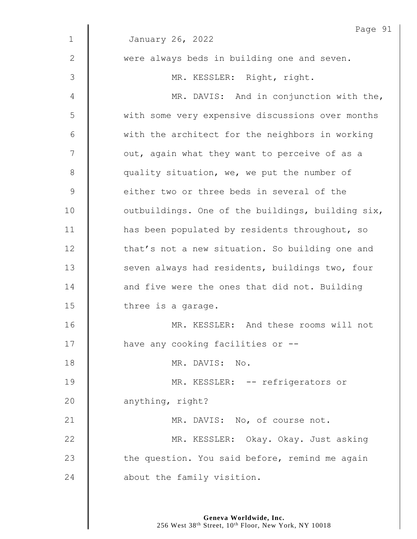| $\mathbf 1$    | Page 91<br>January 26, 2022                       |
|----------------|---------------------------------------------------|
|                |                                                   |
| $\mathbf{2}$   | were always beds in building one and seven.       |
| $\mathfrak{Z}$ | MR. KESSLER: Right, right.                        |
| 4              | MR. DAVIS: And in conjunction with the,           |
| 5              | with some very expensive discussions over months  |
| 6              | with the architect for the neighbors in working   |
| 7              | out, again what they want to perceive of as a     |
| $8\,$          | quality situation, we, we put the number of       |
| $\mathsf 9$    | either two or three beds in several of the        |
| 10             | outbuildings. One of the buildings, building six, |
| 11             | has been populated by residents throughout, so    |
| 12             | that's not a new situation. So building one and   |
| 13             | seven always had residents, buildings two, four   |
| 14             | and five were the ones that did not. Building     |
| 15             | three is a garage.                                |
| 16             | MR. KESSLER: And these rooms will not             |
| 17             | have any cooking facilities or --                 |
| 18             | MR. DAVIS: No.                                    |
| 19             | MR. KESSLER: -- refrigerators or                  |
| 20             | anything, right?                                  |
| 21             | MR. DAVIS: No, of course not.                     |
| 22             | MR. KESSLER: Okay. Okay. Just asking              |
| 23             | the question. You said before, remind me again    |
| 24             | about the family visition.                        |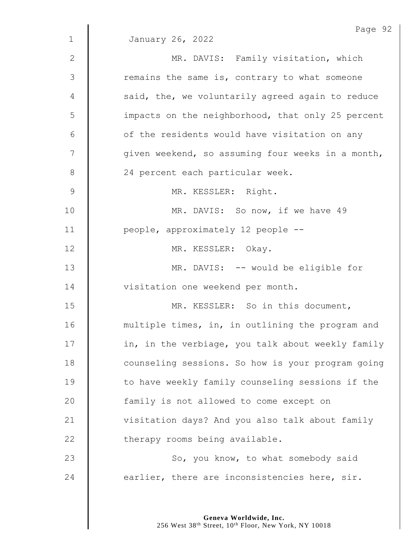|               | Page 92                                           |
|---------------|---------------------------------------------------|
| $\mathbf 1$   | January 26, 2022                                  |
| 2             | MR. DAVIS: Family visitation, which               |
| $\mathcal{S}$ | remains the same is, contrary to what someone     |
| 4             | said, the, we voluntarily agreed again to reduce  |
| 5             | impacts on the neighborhood, that only 25 percent |
| 6             | of the residents would have visitation on any     |
| 7             | given weekend, so assuming four weeks in a month, |
| $8\,$         | 24 percent each particular week.                  |
| $\mathsf 9$   | MR. KESSLER: Right.                               |
| 10            | MR. DAVIS: So now, if we have 49                  |
| 11            | people, approximately 12 people --                |
| 12            | MR. KESSLER: Okay.                                |
| 13            | MR. DAVIS: -- would be eligible for               |
| 14            | visitation one weekend per month.                 |
| 15            | MR. KESSLER: So in this document,                 |
| 16            | multiple times, in, in outlining the program and  |
| 17            | in, in the verbiage, you talk about weekly family |
| 18            | counseling sessions. So how is your program going |
| 19            | to have weekly family counseling sessions if the  |
| 20            | family is not allowed to come except on           |
| 21            | visitation days? And you also talk about family   |
| 22            | therapy rooms being available.                    |
| 23            | So, you know, to what somebody said               |
| 24            | earlier, there are inconsistencies here, sir.     |
|               |                                                   |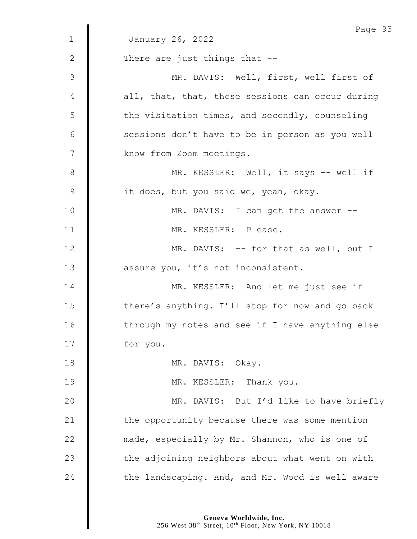|                | Page 93                                          |
|----------------|--------------------------------------------------|
| $\mathbf 1$    | January 26, 2022                                 |
| 2              | There are just things that --                    |
| $\mathfrak{Z}$ | MR. DAVIS: Well, first, well first of            |
| 4              | all, that, that, those sessions can occur during |
| 5              | the visitation times, and secondly, counseling   |
| 6              | sessions don't have to be in person as you well  |
| 7              | know from Zoom meetings.                         |
| 8              | MR. KESSLER: Well, it says -- well if            |
| $\mathsf 9$    | it does, but you said we, yeah, okay.            |
| 10             | MR. DAVIS: I can get the answer --               |
| 11             | MR. KESSLER: Please.                             |
| 12             | MR. DAVIS: -- for that as well, but I            |
| 13             | assure you, it's not inconsistent.               |
| 14             | MR. KESSLER: And let me just see if              |
| 15             | there's anything. I'll stop for now and go back  |
| 16             | through my notes and see if I have anything else |
| 17             | for you.                                         |
| 18             | MR. DAVIS: Okay.                                 |
| 19             | MR. KESSLER: Thank you.                          |
| 20             | MR. DAVIS: But I'd like to have briefly          |
| 21             | the opportunity because there was some mention   |
| 22             | made, especially by Mr. Shannon, who is one of   |
| 23             | the adjoining neighbors about what went on with  |
| 24             | the landscaping. And, and Mr. Wood is well aware |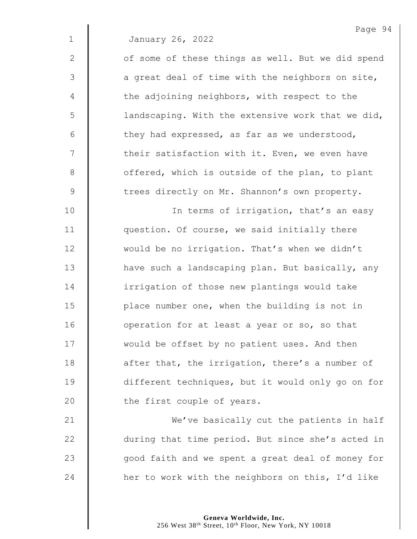1 January 26, 2022

2 | of some of these things as well. But we did spend  $3 \parallel$  a great deal of time with the neighbors on site,  $4 \parallel$  the adjoining neighbors, with respect to the  $\frac{1}{5}$  landscaping. With the extensive work that we did,  $6$  | they had expressed, as far as we understood,  $7$   $\parallel$  their satisfaction with it. Even, we even have 8 | offered, which is outside of the plan, to plant 9 The trees directly on Mr. Shannon's own property.

10 | In terms of irrigation, that's an easy **question.** Of course, we said initially there 12 Would be no irrigation. That's when we didn't 13 | have such a landscaping plan. But basically, any **I** irrigation of those new plantings would take 15 | place number one, when the building is not in **dec** operation for at least a year or so, so that  $\parallel$  would be offset by no patient uses. And then **d** after that, the irrigation, there's a number of different techniques, but it would only go on for **the first couple of years.** 

**We've basically cut the patients in half** 22 during that time period. But since she's acted in  $\parallel$  good faith and we spent a great deal of money for  $\parallel$  her to work with the neighbors on this, I'd like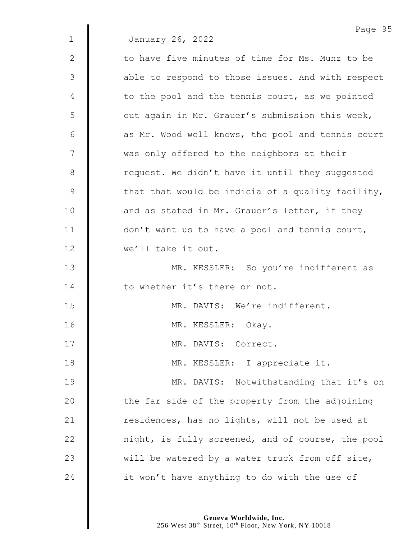|              | Page 95                                           |
|--------------|---------------------------------------------------|
| $\mathbf{1}$ | January 26, 2022                                  |
| $\mathbf{2}$ | to have five minutes of time for Ms. Munz to be   |
| 3            | able to respond to those issues. And with respect |
| 4            | to the pool and the tennis court, as we pointed   |
| 5            | out again in Mr. Grauer's submission this week,   |
| 6            | as Mr. Wood well knows, the pool and tennis court |
| 7            | was only offered to the neighbors at their        |
| 8            | request. We didn't have it until they suggested   |
| 9            | that that would be indicia of a quality facility, |
| 10           | and as stated in Mr. Grauer's letter, if they     |
| 11           | don't want us to have a pool and tennis court,    |
| 12           | we'll take it out.                                |
| 13           | MR. KESSLER: So you're indifferent as             |
| 14           | to whether it's there or not.                     |
| 15           | MR. DAVIS: We're indifferent.                     |
| 16           | MR. KESSLER: Okay.                                |
| 17           | MR. DAVIS: Correct.                               |
| 18           | MR. KESSLER: I appreciate it.                     |
| 19           | MR. DAVIS: Notwithstanding that it's on           |
| 20           | the far side of the property from the adjoining   |
| 21           | residences, has no lights, will not be used at    |
| 22           | night, is fully screened, and of course, the pool |
| 23           | will be watered by a water truck from off site,   |
| 24           | it won't have anything to do with the use of      |
|              |                                                   |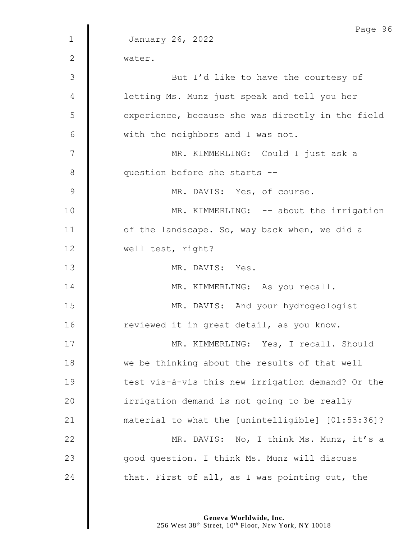|                | Page 96                                           |
|----------------|---------------------------------------------------|
| $\mathbf{1}$   | January 26, 2022                                  |
| 2              | water.                                            |
| 3              | But I'd like to have the courtesy of              |
| 4              | letting Ms. Munz just speak and tell you her      |
| 5              | experience, because she was directly in the field |
| 6              | with the neighbors and I was not.                 |
| 7              | MR. KIMMERLING: Could I just ask a                |
| 8              | question before she starts --                     |
| $\overline{9}$ | MR. DAVIS: Yes, of course.                        |
| 10             | MR. KIMMERLING: -- about the irrigation           |
| 11             | of the landscape. So, way back when, we did a     |
| 12             | well test, right?                                 |
| 13             | MR. DAVIS: Yes.                                   |
| 14             | MR. KIMMERLING: As you recall.                    |
| 15             | MR. DAVIS: And your hydrogeologist                |
| 16             | reviewed it in great detail, as you know.         |
| 17             | MR. KIMMERLING: Yes, I recall. Should             |
| 18             | we be thinking about the results of that well     |
| 19             | test vis-à-vis this new irrigation demand? Or the |
| 20             | irrigation demand is not going to be really       |
| 21             | material to what the [unintelligible] [01:53:36]? |
| 22             | MR. DAVIS: No, I think Ms. Munz, it's a           |
| 23             | good question. I think Ms. Munz will discuss      |
| 24             | that. First of all, as I was pointing out, the    |

**Geneva Worldwide, Inc.**

256 West 38th Street, 10th Floor, New York, NY 10018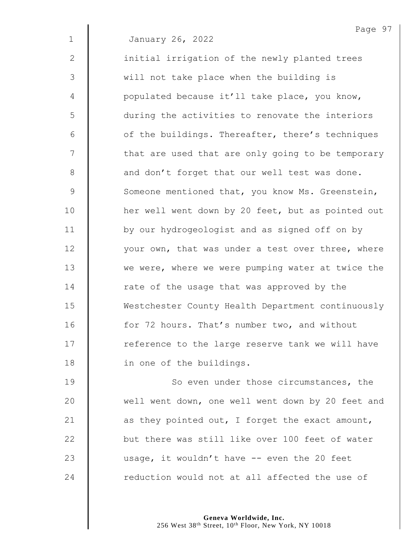1 January 26, 2022

2 | initial irrigation of the newly planted trees 3 || will not take place when the building is 4 | populated because it'll take place, you know, 5 during the activities to renovate the interiors  $6$   $\parallel$  of the buildings. Thereafter, there's techniques 7 | that are used that are only going to be temporary 8 and don't forget that our well test was done. 9 Someone mentioned that, you know Ms. Greenstein, 10 | her well went down by 20 feet, but as pointed out 11 | by our hydrogeologist and as signed off on by 12 | vour own, that was under a test over three, where 13 We were, where we were pumping water at twice the 14 Tate of the usage that was approved by the 15 Westchester County Health Department continuously 16 **form** 16 for 72 hours. That's number two, and without  $17$   $\parallel$  reference to the large reserve tank we will have 18 **in one of the buildings.** 

19 **So even under those circumstances, the** 20 | well went down, one well went down by 20 feet and 21  $\parallel$  as they pointed out, I forget the exact amount, 22 but there was still like over 100 feet of water 23 usage, it wouldn't have -- even the 20 feet 24  $\parallel$  reduction would not at all affected the use of

> **Geneva Worldwide, Inc.** 256 West 38<sup>th</sup> Street, 10<sup>th</sup> Floor, New York, NY 10018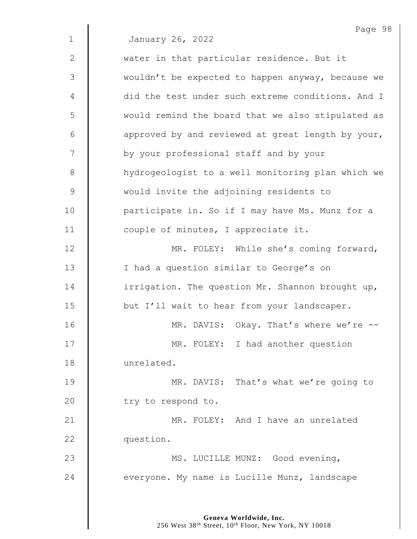|              | Page 98                                           |
|--------------|---------------------------------------------------|
| $\mathbf{1}$ | January 26, 2022                                  |
| 2            | water in that particular residence. But it        |
| 3            | wouldn't be expected to happen anyway, because we |
| 4            | did the test under such extreme conditions. And I |
| 5            | would remind the board that we also stipulated as |
| 6            | approved by and reviewed at great length by your, |
| 7            | by your professional staff and by your            |
| 8            | hydrogeologist to a well monitoring plan which we |
| $\mathsf 9$  | would invite the adjoining residents to           |
| 10           | participate in. So if I may have Ms. Munz for a   |
| 11           | couple of minutes, I appreciate it.               |
| 12           | MR. FOLEY: While she's coming forward,            |
| 13           | I had a question similar to George's on           |
| 14           | irrigation. The question Mr. Shannon brought up,  |
| 15           | but I'll wait to hear from your landscaper.       |
| 16           | MR. DAVIS: Okay. That's where we're --            |
| 17           | MR. FOLEY: I had another question                 |
| 18           | unrelated.                                        |
| 19           | MR. DAVIS: That's what we're going to             |
| 20           | try to respond to.                                |
| 21           | MR. FOLEY: And I have an unrelated                |
| 22           | question.                                         |
| 23           | MS. LUCILLE MUNZ: Good evening,                   |
| 24           | everyone. My name is Lucille Munz, landscape      |
|              |                                                   |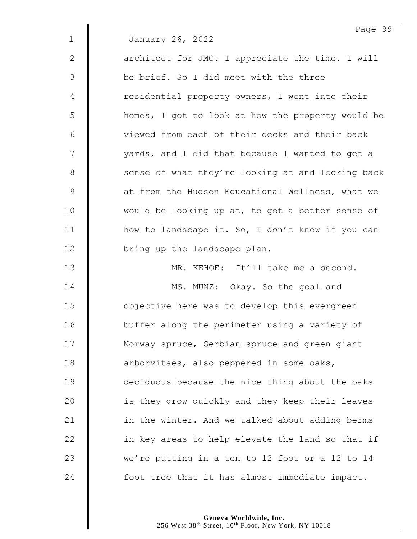|              | Page 99                                           |
|--------------|---------------------------------------------------|
| $\mathbf{1}$ | January 26, 2022                                  |
| 2            | architect for JMC. I appreciate the time. I will  |
| 3            | be brief. So I did meet with the three            |
| 4            | residential property owners, I went into their    |
| 5            | homes, I got to look at how the property would be |
| 6            | viewed from each of their decks and their back    |
| 7            | yards, and I did that because I wanted to get a   |
| 8            | sense of what they're looking at and looking back |
| $\mathsf 9$  | at from the Hudson Educational Wellness, what we  |
| 10           | would be looking up at, to get a better sense of  |
| 11           | how to landscape it. So, I don't know if you can  |
| 12           | bring up the landscape plan.                      |
| 13           | MR. KEHOE: It'll take me a second.                |
| 14           | MS. MUNZ: Okay. So the goal and                   |
| 15           | objective here was to develop this evergreen      |
| 16           | buffer along the perimeter using a variety of     |
| 17           | Norway spruce, Serbian spruce and green giant     |
| 18           | arborvitaes, also peppered in some oaks,          |
| 19           | deciduous because the nice thing about the oaks   |
| 20           | is they grow quickly and they keep their leaves   |
| 21           | in the winter. And we talked about adding berms   |
| 22           | in key areas to help elevate the land so that if  |
| 23           | we're putting in a ten to 12 foot or a 12 to 14   |
| 24           | foot tree that it has almost immediate impact.    |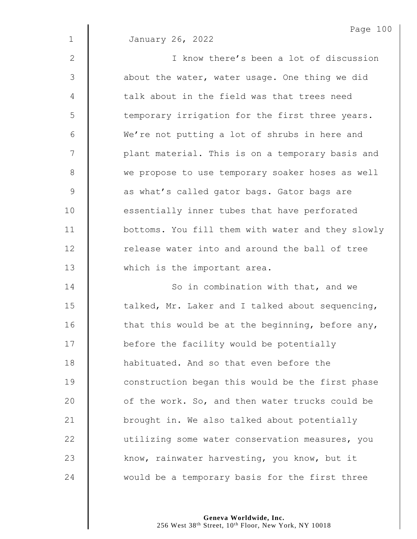|                | Page 100                                          |
|----------------|---------------------------------------------------|
| $\mathbf{1}$   | January 26, 2022                                  |
| $\mathbf{2}$   | I know there's been a lot of discussion           |
| 3              | about the water, water usage. One thing we did    |
| $\overline{4}$ | talk about in the field was that trees need       |
| 5              | temporary irrigation for the first three years.   |
| 6              | We're not putting a lot of shrubs in here and     |
| 7              | plant material. This is on a temporary basis and  |
| $\,8\,$        | we propose to use temporary soaker hoses as well  |
| $\mathcal{G}$  | as what's called gator bags. Gator bags are       |
| 10             | essentially inner tubes that have perforated      |
| 11             | bottoms. You fill them with water and they slowly |
| 12             | release water into and around the ball of tree    |
| 13             | which is the important area.                      |
| 14             | So in combination with that, and we               |
| 15             | talked, Mr. Laker and I talked about sequencing,  |
| 16             | that this would be at the beginning, before any,  |
| 7 <sub>7</sub> |                                                   |

 $\parallel$  talked, Mr. Laker and I talked about sequencing,  $\parallel$  that this would be at the beginning, before any, 17 | before the facility would be potentially **H** habituated. And so that even before the 19 | construction began this would be the first phase  $\parallel$  of the work. So, and then water trucks could be 21 | brought in. We also talked about potentially 22 | utilizing some water conservation measures, you 23 know, rainwater harvesting, you know, but it 24  $\parallel$  would be a temporary basis for the first three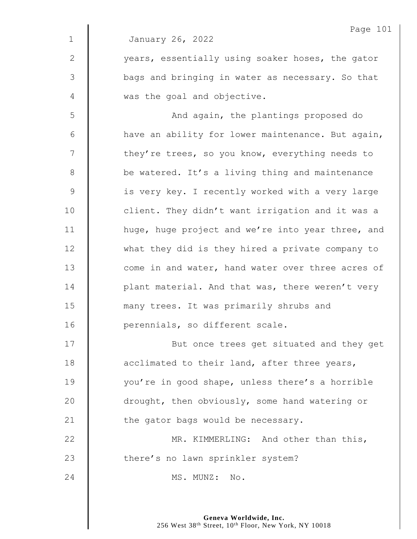1 January 26, 2022

2 | vears, essentially using soaker hoses, the gator 3 | bags and bringing in water as necessary. So that 4 was the goal and objective.

5 || And again, the plantings proposed do  $6$  | have an ability for lower maintenance. But again, 7 | they're trees, so you know, everything needs to 8 **be watered.** It's a living thing and maintenance 9 | is very key. I recently worked with a very large 10 | client. They didn't want irrigation and it was a 11 | huge, huge project and we're into year three, and 12 What they did is they hired a private company to 13 **I** come in and water, hand water over three acres of 14 **decive 14** plant material. And that was, there weren't very 15 **many trees.** It was primarily shrubs and 16 **| perennials, so different scale.** 

17 || But once trees get situated and they get 18  $\parallel$  acclimated to their land, after three years, 19 | vou're in good shape, unless there's a horrible 20 **drought, then obviously, some hand watering or** 21  $\parallel$  the gator bags would be necessary. 22 | MR. KIMMERLING: And other than this, 23 There's no lawn sprinkler system?

 $24$   $\parallel$  MS. MUNZ: No.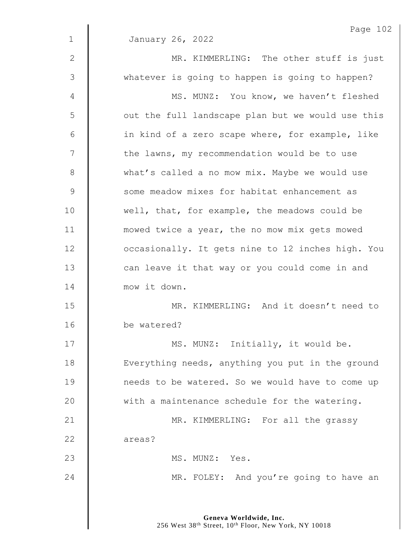| $\mathbf 1$   | Page 102<br>January 26, 2022                      |
|---------------|---------------------------------------------------|
| $\mathbf{2}$  | MR. KIMMERLING: The other stuff is just           |
| 3             |                                                   |
|               | whatever is going to happen is going to happen?   |
| 4             | MS. MUNZ: You know, we haven't fleshed            |
| 5             | out the full landscape plan but we would use this |
| 6             | in kind of a zero scape where, for example, like  |
| 7             | the lawns, my recommendation would be to use      |
| 8             | what's called a no mow mix. Maybe we would use    |
| $\mathcal{G}$ | some meadow mixes for habitat enhancement as      |
| 10            | well, that, for example, the meadows could be     |
| 11            | mowed twice a year, the no mow mix gets mowed     |
| 12            | occasionally. It gets nine to 12 inches high. You |
| 13            | can leave it that way or you could come in and    |
| 14            | mow it down.                                      |
| 15            | MR. KIMMERLING: And it doesn't need to            |
| 16            | be watered?                                       |
| 17            | MS. MUNZ: Initially, it would be.                 |
| 18            | Everything needs, anything you put in the ground  |
| 19            | needs to be watered. So we would have to come up  |
| 20            | with a maintenance schedule for the watering.     |
| 21            | MR. KIMMERLING: For all the grassy                |
| 22            | areas?                                            |
| 23            | MS. MUNZ: Yes.                                    |
| 24            | MR. FOLEY: And you're going to have an            |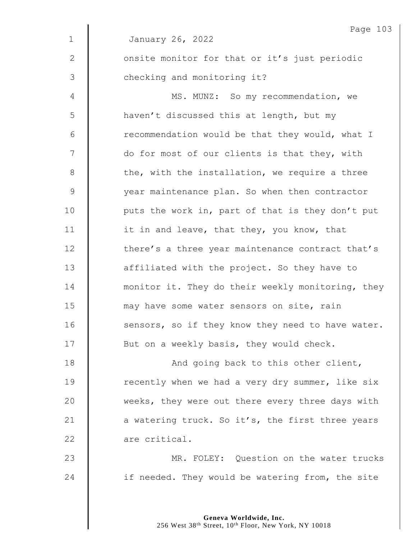|             | Page 103                                          |
|-------------|---------------------------------------------------|
| $\mathbf 1$ | January 26, 2022                                  |
| 2           | onsite monitor for that or it's just periodic     |
| 3           | checking and monitoring it?                       |
| 4           | MS. MUNZ: So my recommendation, we                |
| 5           | haven't discussed this at length, but my          |
| 6           | recommendation would be that they would, what I   |
| 7           | do for most of our clients is that they, with     |
| 8           | the, with the installation, we require a three    |
| $\mathsf 9$ | year maintenance plan. So when then contractor    |
| 10          | puts the work in, part of that is they don't put  |
| 11          | it in and leave, that they, you know, that        |
| 12          | there's a three year maintenance contract that's  |
| 13          | affiliated with the project. So they have to      |
| 14          | monitor it. They do their weekly monitoring, they |
| 15          | may have some water sensors on site, rain         |
| 16          | sensors, so if they know they need to have water. |
| 17          | But on a weekly basis, they would check.          |
| 18          | And going back to this other client,              |
| 19          | recently when we had a very dry summer, like six  |
| 20          | weeks, they were out there every three days with  |
| 21          | a watering truck. So it's, the first three years  |
| 22          | are critical.                                     |
| 23          | MR. FOLEY: Question on the water trucks           |
| 24          | if needed. They would be watering from, the site  |
|             |                                                   |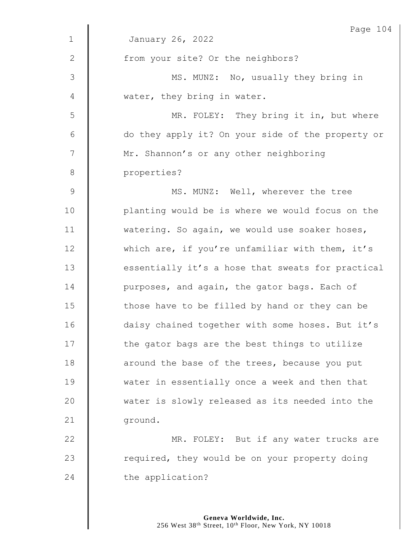|                | Page 104                                          |
|----------------|---------------------------------------------------|
| $\mathbf{1}$   | January 26, 2022                                  |
| 2              | from your site? Or the neighbors?                 |
| $\mathfrak{Z}$ | MS. MUNZ: No, usually they bring in               |
| 4              | water, they bring in water.                       |
| 5              | MR. FOLEY: They bring it in, but where            |
| 6              | do they apply it? On your side of the property or |
| 7              | Mr. Shannon's or any other neighboring            |
| 8              | properties?                                       |
| $\mathsf 9$    | MS. MUNZ: Well, wherever the tree                 |
| 10             | planting would be is where we would focus on the  |
| 11             | watering. So again, we would use soaker hoses,    |
| 12             | which are, if you're unfamiliar with them, it's   |
| 13             | essentially it's a hose that sweats for practical |
| 14             | purposes, and again, the gator bags. Each of      |
| 15             | those have to be filled by hand or they can be    |
| 16             | daisy chained together with some hoses. But it's  |
| 17             | the gator bags are the best things to utilize     |
| 18             | around the base of the trees, because you put     |
| 19             | water in essentially once a week and then that    |
| 20             | water is slowly released as its needed into the   |
| 21             | ground.                                           |
| 22             | MR. FOLEY: But if any water trucks are            |
| 23             | required, they would be on your property doing    |
| 24             | the application?                                  |
|                |                                                   |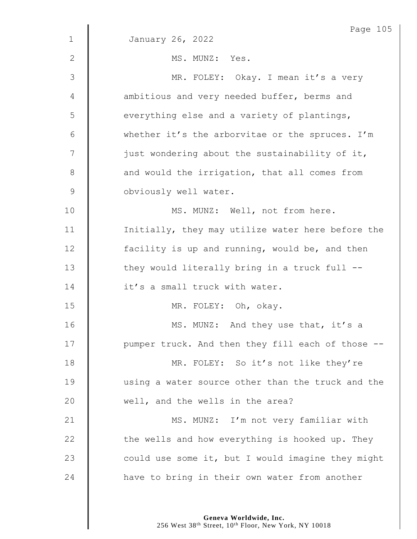|                | Page 105                                          |
|----------------|---------------------------------------------------|
| $\mathbf 1$    | January 26, 2022                                  |
| 2              | MS. MUNZ: Yes.                                    |
| $\mathfrak{Z}$ | MR. FOLEY: Okay. I mean it's a very               |
| 4              | ambitious and very needed buffer, berms and       |
| 5              | everything else and a variety of plantings,       |
| 6              | whether it's the arborvitae or the spruces. I'm   |
| 7              | just wondering about the sustainability of it,    |
| $8\,$          | and would the irrigation, that all comes from     |
| $\mathsf 9$    | obviously well water.                             |
| 10             | MS. MUNZ: Well, not from here.                    |
| 11             | Initially, they may utilize water here before the |
| 12             | facility is up and running, would be, and then    |
| 13             | they would literally bring in a truck full --     |
| 14             | it's a small truck with water.                    |
| 15             | MR. FOLEY: Oh, okay.                              |
| 16             | MS. MUNZ: And they use that, it's a               |
| 17             | pumper truck. And then they fill each of those -- |
| 18             | MR. FOLEY: So it's not like they're               |
| 19             | using a water source other than the truck and the |
| 20             | well, and the wells in the area?                  |
| 21             | MS. MUNZ: I'm not very familiar with              |
| 22             | the wells and how everything is hooked up. They   |
| 23             | could use some it, but I would imagine they might |
| 24             | have to bring in their own water from another     |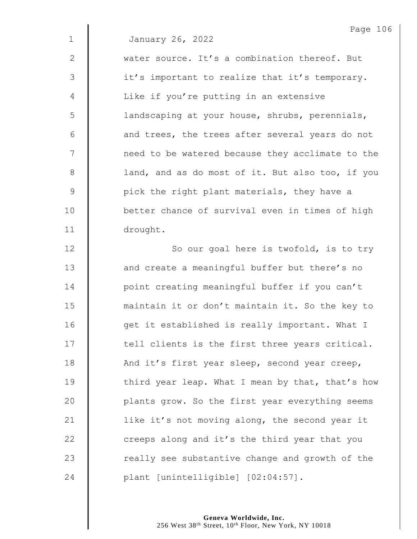|             | Page 106                                         |
|-------------|--------------------------------------------------|
| $\mathbf 1$ | January 26, 2022                                 |
| 2           | water source. It's a combination thereof. But    |
| 3           | it's important to realize that it's temporary.   |
| 4           | Like if you're putting in an extensive           |
| 5           | landscaping at your house, shrubs, perennials,   |
| 6           | and trees, the trees after several years do not  |
| 7           | need to be watered because they acclimate to the |
| 8           | land, and as do most of it. But also too, if you |
| $\mathsf 9$ | pick the right plant materials, they have a      |
| 10          | better chance of survival even in times of high  |
| 11          | drought.                                         |
| 12          | So our goal here is twofold, is to try           |
| 13          | and create a meaningful buffer but there's no    |
| 14          | point creating meaningful buffer if you can't    |
| 15          | maintain it or don't maintain it. So the key to  |
| 16          | get it established is really important. What I   |
| 17          | tell clients is the first three years critical.  |
| 18          | And it's first year sleep, second year creep,    |
| 19          | third year leap. What I mean by that, that's how |
| 20          | plants grow. So the first year everything seems  |
| 21          | like it's not moving along, the second year it   |
| 22          | creeps along and it's the third year that you    |
| 23          | really see substantive change and growth of the  |
| 24          | plant [unintelligible] [02:04:57].               |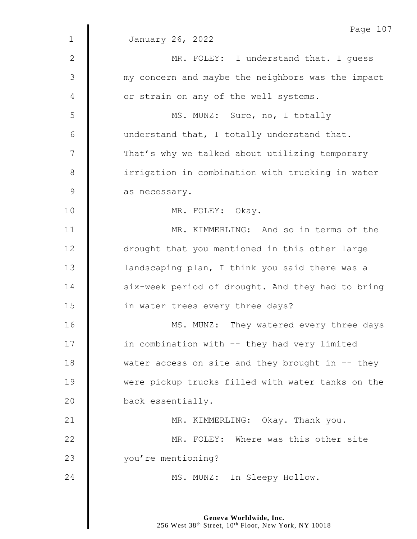|               | Page 107                                            |
|---------------|-----------------------------------------------------|
| $\mathbf{1}$  | January 26, 2022                                    |
| $\mathbf{2}$  | MR. FOLEY: I understand that. I guess               |
| 3             | my concern and maybe the neighbors was the impact   |
| 4             | or strain on any of the well systems.               |
| 5             | MS. MUNZ: Sure, no, I totally                       |
| 6             | understand that, I totally understand that.         |
| 7             | That's why we talked about utilizing temporary      |
| 8             | irrigation in combination with trucking in water    |
| $\mathcal{G}$ | as necessary.                                       |
| 10            | MR. FOLEY: Okay.                                    |
| 11            | MR. KIMMERLING: And so in terms of the              |
| 12            | drought that you mentioned in this other large      |
| 13            | landscaping plan, I think you said there was a      |
| 14            | six-week period of drought. And they had to bring   |
| 15            | in water trees every three days?                    |
| 16            | MS. MUNZ: They watered every three days             |
| 17            | in combination with -- they had very limited        |
| 18            | water access on site and they brought in $-$ - they |
| 19            | were pickup trucks filled with water tanks on the   |
| 20            | back essentially.                                   |
| 21            | MR. KIMMERLING: Okay. Thank you.                    |
| 22            | MR. FOLEY: Where was this other site                |
| 23            | you're mentioning?                                  |
| 24            | MS. MUNZ: In Sleepy Hollow.                         |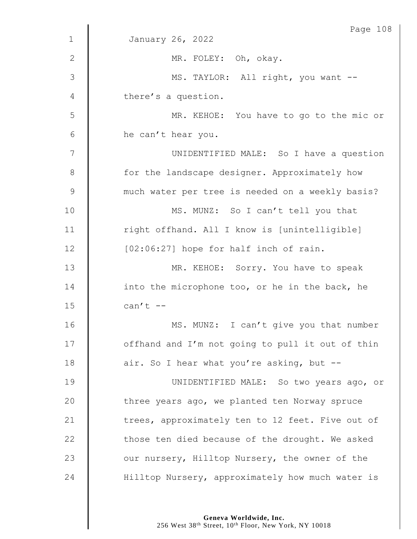|                | Page 108                                         |
|----------------|--------------------------------------------------|
| $\mathbf 1$    | January 26, 2022                                 |
| $\mathbf{2}$   | MR. FOLEY: Oh, okay.                             |
| 3              | MS. TAYLOR: All right, you want --               |
| 4              | there's a question.                              |
| 5              | MR. KEHOE: You have to go to the mic or          |
| $6\,$          | he can't hear you.                               |
| $\overline{7}$ | UNIDENTIFIED MALE: So I have a question          |
| $8\,$          | for the landscape designer. Approximately how    |
| $\mathcal{G}$  | much water per tree is needed on a weekly basis? |
| 10             | MS. MUNZ: So I can't tell you that               |
| 11             | right offhand. All I know is [unintelligible]    |
| 12             | [02:06:27] hope for half inch of rain.           |
| 13             | MR. KEHOE: Sorry. You have to speak              |
| 14             | into the microphone too, or he in the back, he   |
| 15             | can't $--$                                       |
| 16             | MS. MUNZ: I can't give you that number           |
| 17             | offhand and I'm not going to pull it out of thin |
| 18             | air. So I hear what you're asking, but --        |
| 19             | UNIDENTIFIED MALE: So two years ago, or          |
| 20             | three years ago, we planted ten Norway spruce    |
| 21             | trees, approximately ten to 12 feet. Five out of |
| 22             | those ten died because of the drought. We asked  |
| 23             | our nursery, Hilltop Nursery, the owner of the   |
| 24             | Hilltop Nursery, approximately how much water is |
|                |                                                  |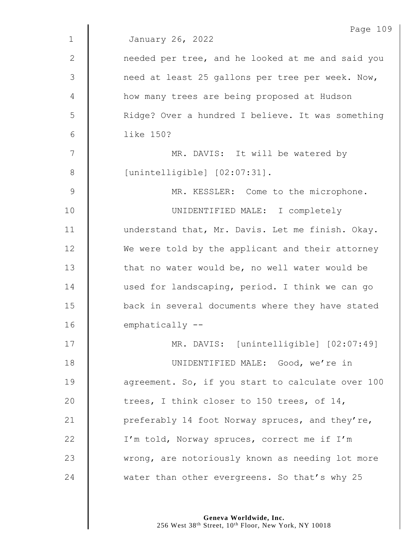|                | Page 109                                          |
|----------------|---------------------------------------------------|
| $\mathbf{1}$   | January 26, 2022                                  |
| 2              | needed per tree, and he looked at me and said you |
| $\mathfrak{Z}$ | need at least 25 gallons per tree per week. Now,  |
| 4              | how many trees are being proposed at Hudson       |
| 5              | Ridge? Over a hundred I believe. It was something |
| 6              | like 150?                                         |
| 7              | MR. DAVIS: It will be watered by                  |
| 8              | [unintelligible] [02:07:31].                      |
| $\overline{9}$ | MR. KESSLER: Come to the microphone.              |
| 10             | UNIDENTIFIED MALE: I completely                   |
| 11             | understand that, Mr. Davis. Let me finish. Okay.  |
| 12             | We were told by the applicant and their attorney  |
| 13             | that no water would be, no well water would be    |
| 14             | used for landscaping, period. I think we can go   |
| 15             | back in several documents where they have stated  |
| 16             | emphatically --                                   |
| 17             | MR. DAVIS: [unintelligible] [02:07:49]            |
| 18             | UNIDENTIFIED MALE: Good, we're in                 |
| 19             | agreement. So, if you start to calculate over 100 |
| 20             | trees, I think closer to 150 trees, of 14,        |
| 21             | preferably 14 foot Norway spruces, and they're,   |
| 22             | I'm told, Norway spruces, correct me if I'm       |
| 23             | wrong, are notoriously known as needing lot more  |
| 24             | water than other evergreens. So that's why 25     |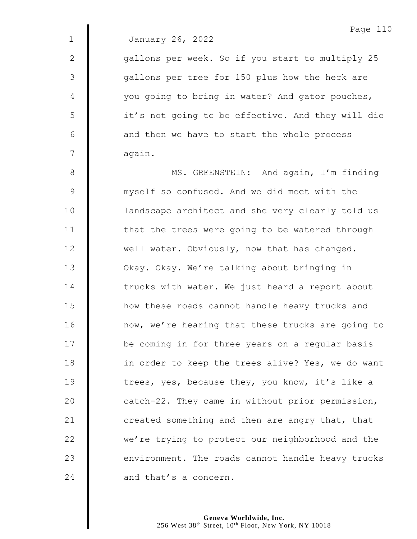1 January 26, 2022

2 | qallons per week. So if you start to multiply 25 3 | gallons per tree for 150 plus how the heck are 4 | vou going to bring in water? And gator pouches, 5 | it's not going to be effective. And they will die  $6 \parallel$  and then we have to start the whole process 7 | again.

8 | MS. GREENSTEIN: And again, I'm finding 9 **Manufally** myself so confused. And we did meet with the 10 | landscape architect and she very clearly told us 11 | that the trees were going to be watered through  $12$   $\parallel$  well water. Obviously, now that has changed. 13 | Okay. Okay. We're talking about bringing in 14 The trucks with water. We just heard a report about 15 **H** how these roads cannot handle heavy trucks and 16 | now, we're hearing that these trucks are going to 17 | be coming in for three years on a regular basis 18 | in order to keep the trees alive? Yes, we do want 19 Theres, yes, because they, you know, it's like a 20  $\parallel$  catch-22. They came in without prior permission, 21  $\parallel$  created something and then are angry that, that 22 we're trying to protect our neighborhood and the 23 environment. The roads cannot handle heavy trucks  $24$   $\parallel$  and that's a concern.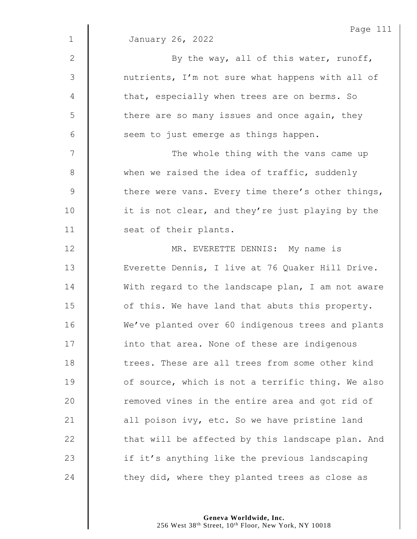|                | Page 11:                                          |
|----------------|---------------------------------------------------|
| $\mathbf 1$    | January 26, 2022                                  |
| $\overline{2}$ | By the way, all of this water, runoff,            |
| 3              | nutrients, I'm not sure what happens with all of  |
| 4              | that, especially when trees are on berms. So      |
| 5              | there are so many issues and once again, they     |
| 6              | seem to just emerge as things happen.             |
| 7              | The whole thing with the vans came up             |
| $8\,$          | when we raised the idea of traffic, suddenly      |
| $\mathsf 9$    | there were vans. Every time there's other things, |
| 10             | it is not clear, and they're just playing by the  |
| 11             | seat of their plants.                             |
| 12             | MR. EVERETTE DENNIS: My name is                   |
| 13             | Everette Dennis, I live at 76 Quaker Hill Drive.  |
| 14             | With regard to the landscape plan, I am not aware |
| 15             | of this. We have land that abuts this property.   |
| 16             | We've planted over 60 indigenous trees and plants |
| 17             | into that area. None of these are indigenous      |
| 18             | trees. These are all trees from some other kind   |
| 19             | of source, which is not a terrific thing. We also |
| 20             | removed vines in the entire area and got rid of   |
| 21             | all poison ivy, etc. So we have pristine land     |
| 22             | that will be affected by this landscape plan. And |
| 23             | if it's anything like the previous landscaping    |
| 24             | they did, where they planted trees as close as    |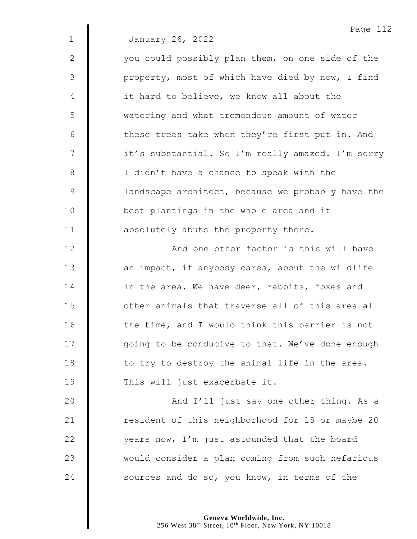|              | Page 112                                          |
|--------------|---------------------------------------------------|
| $\mathbf 1$  | January 26, 2022                                  |
| $\mathbf{2}$ | you could possibly plan them, on one side of the  |
| 3            | property, most of which have died by now, I find  |
| 4            | it hard to believe, we know all about the         |
| 5            | watering and what tremendous amount of water      |
| $6\,$        | these trees take when they're first put in. And   |
| 7            | it's substantial. So I'm really amazed. I'm sorry |
| $\,8\,$      | I didn't have a chance to speak with the          |
| 9            | landscape architect, because we probably have the |
| 10           | best plantings in the whole area and it           |
| 11           | absolutely abuts the property there.              |
| 12           | And one other factor is this will have            |
| 13           | an impact, if anybody cares, about the wildlife   |
| 14           | in the area. We have deer, rabbits, foxes and     |
| 15           | other animals that traverse all of this area all  |
| 16           | the time, and I would think this barrier is not   |
| 17           | going to be conducive to that. We've done enough  |
| 18           | to try to destroy the animal life in the area.    |
| 19           | This will just exacerbate it.                     |
| 20           | And I'll just say one other thing. As a           |
| 21           | resident of this neighborhood for 15 or maybe 20  |
| 22           | years now, I'm just astounded that the board      |
| 23           | would consider a plan coming from such nefarious  |
|              |                                                   |

24  $\parallel$  sources and do so, you know, in terms of the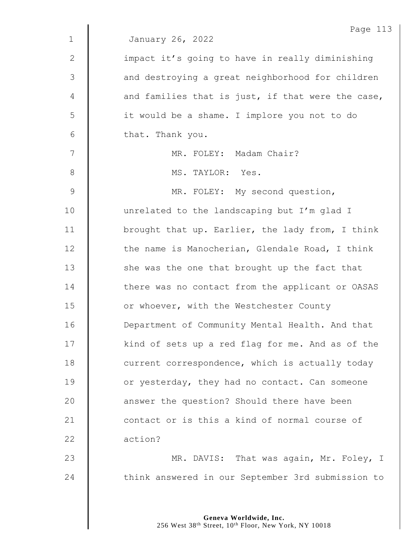|              | Page 113                                          |
|--------------|---------------------------------------------------|
| $\mathbf 1$  | January 26, 2022                                  |
| $\mathbf{2}$ | impact it's going to have in really diminishing   |
| 3            | and destroying a great neighborhood for children  |
| 4            | and families that is just, if that were the case, |
| 5            | it would be a shame. I implore you not to do      |
| 6            | that. Thank you.                                  |
| 7            | MR. FOLEY: Madam Chair?                           |
| 8            | MS. TAYLOR: Yes.                                  |
| 9            | MR. FOLEY: My second question,                    |
| 10           | unrelated to the landscaping but I'm glad I       |
| 11           | brought that up. Earlier, the lady from, I think  |
| 12           | the name is Manocherian, Glendale Road, I think   |
| 13           | she was the one that brought up the fact that     |
| 14           | there was no contact from the applicant or OASAS  |
| 15           | or whoever, with the Westchester County           |
| 16           | Department of Community Mental Health. And that   |
| 17           | kind of sets up a red flag for me. And as of the  |
| 18           | current correspondence, which is actually today   |
| 19           | or yesterday, they had no contact. Can someone    |
| 20           | answer the question? Should there have been       |
| 21           | contact or is this a kind of normal course of     |
| 22           | action?                                           |
| 23           | MR. DAVIS: That was again, Mr. Foley, I           |
| 24           | think answered in our September 3rd submission to |
|              |                                                   |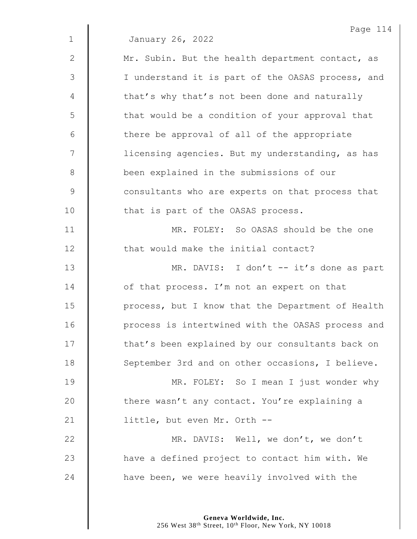|             | Page 114                                          |
|-------------|---------------------------------------------------|
| $\mathbf 1$ | January 26, 2022                                  |
| 2           | Mr. Subin. But the health department contact, as  |
| 3           | I understand it is part of the OASAS process, and |
| 4           | that's why that's not been done and naturally     |
| 5           | that would be a condition of your approval that   |
| 6           | there be approval of all of the appropriate       |
| 7           | licensing agencies. But my understanding, as has  |
| 8           | been explained in the submissions of our          |
| 9           | consultants who are experts on that process that  |
| 10          | that is part of the OASAS process.                |
| 11          | MR. FOLEY: So OASAS should be the one             |
| 12          | that would make the initial contact?              |
| 13          | MR. DAVIS: I don't -- it's done as part           |
| 14          | of that process. I'm not an expert on that        |
| 15          | process, but I know that the Department of Health |
| 16          | process is intertwined with the OASAS process and |
| 17          | that's been explained by our consultants back on  |
| 18          | September 3rd and on other occasions, I believe.  |
| 19          | MR. FOLEY: So I mean I just wonder why            |
| 20          | there wasn't any contact. You're explaining a     |
| 21          | little, but even Mr. Orth --                      |
| 22          | MR. DAVIS: Well, we don't, we don't               |
| 23          | have a defined project to contact him with. We    |
| 24          | have been, we were heavily involved with the      |
|             |                                                   |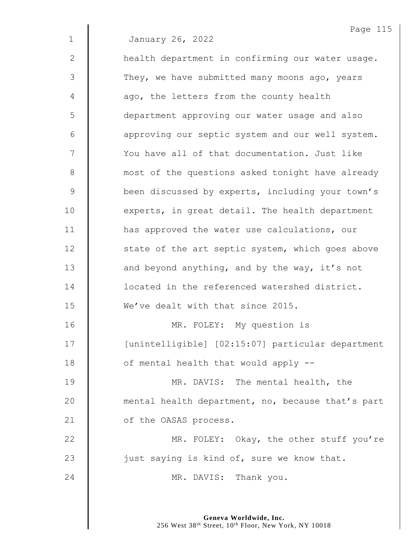Page 115 January 26, 2022 2 | health department in confirming our water usage. 3 They, we have submitted many moons ago, years  $4 \parallel$  ago, the letters from the county health department approving our water usage and also 6 | approving our septic system and our well system. 7 | You have all of that documentation. Just like **M** most of the questions asked tonight have already **been discussed by experts, including your town's**   $\parallel$  experts, in great detail. The health department **H** has approved the water use calculations, our 12 | state of the art septic system, which goes above **and beyond anything, and by the way, it's not dece** located in the referenced watershed district. We've dealt with that since 2015. MR. FOLEY: My question is [unintelligible] [02:15:07] particular department  $\parallel$  of mental health that would apply  $-$ **MR. DAVIS:** The mental health, the **mental health department, no, because that's part** 21 | of the OASAS process. 22 | MR. FOLEY: Okay, the other stuff you're  $\parallel$  just saying is kind of, sure we know that. **MR. DAVIS:** Thank you.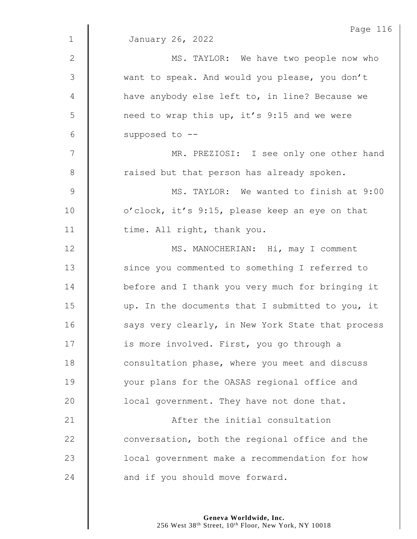|              | Page 116                                          |
|--------------|---------------------------------------------------|
| $\mathbf{1}$ | January 26, 2022                                  |
| $\mathbf{2}$ | MS. TAYLOR: We have two people now who            |
| 3            | want to speak. And would you please, you don't    |
| 4            | have anybody else left to, in line? Because we    |
| 5            | need to wrap this up, it's 9:15 and we were       |
| 6            | supposed to --                                    |
| 7            | MR. PREZIOSI: I see only one other hand           |
| $8\,$        | raised but that person has already spoken.        |
| $\mathsf 9$  | MS. TAYLOR: We wanted to finish at 9:00           |
| 10           | o'clock, it's 9:15, please keep an eye on that    |
| 11           | time. All right, thank you.                       |
| 12           | MS. MANOCHERIAN: Hi, may I comment                |
| 13           | since you commented to something I referred to    |
| 14           | before and I thank you very much for bringing it  |
| 15           | up. In the documents that I submitted to you, it  |
| 16           | says very clearly, in New York State that process |
| 17           | is more involved. First, you go through a         |
| 18           | consultation phase, where you meet and discuss    |
| 19           | your plans for the OASAS regional office and      |
| 20           | local government. They have not done that.        |
| 21           | After the initial consultation                    |
| 22           | conversation, both the regional office and the    |
| 23           | local government make a recommendation for how    |
| 24           | and if you should move forward.                   |

## **Geneva Worldwide, Inc.**

256 West 38th Street, 10th Floor, New York, NY 10018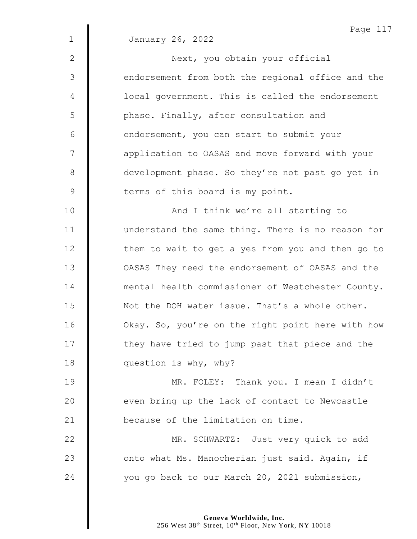|              | Page 117                                          |
|--------------|---------------------------------------------------|
| $\mathbf{1}$ | January 26, 2022                                  |
| $\mathbf{2}$ | Next, you obtain your official                    |
| 3            | endorsement from both the regional office and the |
| 4            | local government. This is called the endorsement  |
| 5            | phase. Finally, after consultation and            |
| 6            | endorsement, you can start to submit your         |
| 7            | application to OASAS and move forward with your   |
| $\,8\,$      | development phase. So they're not past go yet in  |
| $\mathsf 9$  | terms of this board is my point.                  |
| 10           | And I think we're all starting to                 |
| 11           | understand the same thing. There is no reason for |
| 12           | them to wait to get a yes from you and then go to |
| 13           | OASAS They need the endorsement of OASAS and the  |
| 14           | mental health commissioner of Westchester County. |
| 15           | Not the DOH water issue. That's a whole other.    |
| 16           | Okay. So, you're on the right point here with how |

**question is why, why?** 

19 | MR. FOLEY: Thank you. I mean I didn't  $\parallel$  even bring up the lack of contact to Newcastle **because of the limitation on time.** 

17 | they have tried to jump past that piece and the

22 | MR. SCHWARTZ: Just very quick to add **J** onto what Ms. Manocherian just said. Again, if 24 vou go back to our March 20, 2021 submission,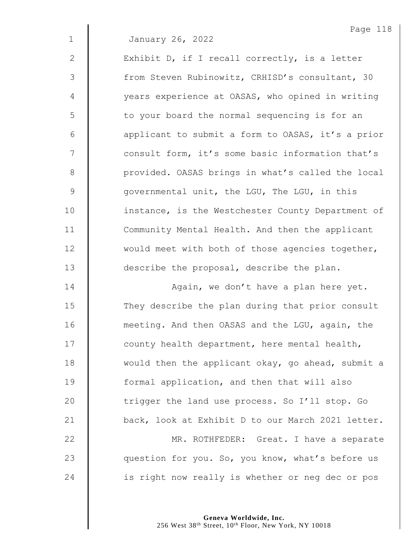1 January 26, 2022

2 | Exhibit D, if I recall correctly, is a letter 3 | from Steven Rubinowitz, CRHISD's consultant, 30 4 | vears experience at OASAS, who opined in writing 5 | to your board the normal sequencing is for an 6 | applicant to submit a form to OASAS, it's a prior 7 | consult form, it's some basic information that's 8 | provided. OASAS brings in what's called the local 9 **9** qovernmental unit, the LGU, The LGU, in this 10 | instance, is the Westchester County Department of 11 | Community Mental Health. And then the applicant 12 | would meet with both of those agencies together, 13 **describe the proposal, describe the plan.** 

14 | Again, we don't have a plan here yet. 15 They describe the plan during that prior consult 16 **meeting.** And then OASAS and the LGU, again, the 17 | county health department, here mental health, 18 would then the applicant okay, go ahead, submit a 19 **formal application, and then that will also** 20 trigger the land use process. So I'll stop. Go 21 | back, look at Exhibit D to our March 2021 letter. 22 | MR. ROTHFEDER: Great. I have a separate 23 **question for you. So, you know, what's before us** 

 $24$  | is right now really is whether or neg dec or pos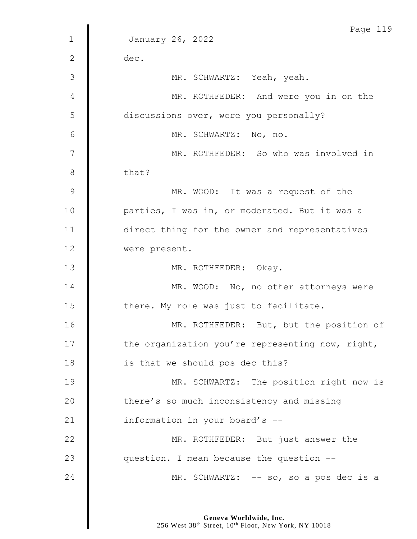|             | Page 119                                         |
|-------------|--------------------------------------------------|
| $\mathbf 1$ | January 26, 2022                                 |
| 2           | dec.                                             |
| 3           | MR. SCHWARTZ: Yeah, yeah.                        |
| 4           | MR. ROTHFEDER: And were you in on the            |
| 5           | discussions over, were you personally?           |
| 6           | MR. SCHWARTZ: No, no.                            |
| 7           | MR. ROTHFEDER: So who was involved in            |
| 8           | that?                                            |
| 9           | MR. WOOD: It was a request of the                |
| 10          | parties, I was in, or moderated. But it was a    |
| 11          | direct thing for the owner and representatives   |
| 12          | were present.                                    |
| 13          | MR. ROTHFEDER: Okay.                             |
| 14          | MR. WOOD: No, no other attorneys were            |
| 15          | there. My role was just to facilitate.           |
| 16          | MR. ROTHFEDER: But, but the position of          |
| 17          | the organization you're representing now, right, |
| 18          | is that we should pos dec this?                  |
| 19          | MR. SCHWARTZ: The position right now is          |
| 20          | there's so much inconsistency and missing        |
| 21          | information in your board's --                   |
| 22          | MR. ROTHFEDER: But just answer the               |
| 23          | question. I mean because the question --         |
| 24          | MR. SCHWARTZ: -- so, so a pos dec is a           |
|             |                                                  |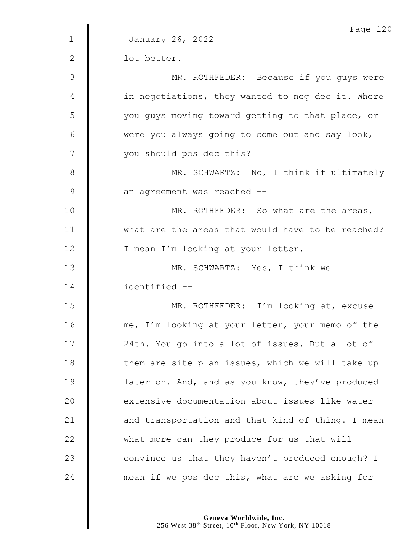|               | Page 120                                          |
|---------------|---------------------------------------------------|
| $\mathbf{1}$  | January 26, 2022                                  |
| $\mathbf{2}$  | lot better.                                       |
| 3             | MR. ROTHFEDER: Because if you guys were           |
| 4             | in negotiations, they wanted to neg dec it. Where |
| 5             | you guys moving toward getting to that place, or  |
| 6             | were you always going to come out and say look,   |
| 7             | you should pos dec this?                          |
| 8             | MR. SCHWARTZ: No, I think if ultimately           |
| $\mathcal{G}$ | an agreement was reached --                       |
| 10            | MR. ROTHFEDER: So what are the areas,             |
| 11            | what are the areas that would have to be reached? |
| 12            | I mean I'm looking at your letter.                |
| 13            | MR. SCHWARTZ: Yes, I think we                     |
| 14            | identified --                                     |
| 15            | MR. ROTHFEDER: I'm looking at, excuse             |
| 16            | me, I'm looking at your letter, your memo of the  |
| 17            | 24th. You go into a lot of issues. But a lot of   |
| 18            | them are site plan issues, which we will take up  |
| 19            | later on. And, and as you know, they've produced  |
| 20            | extensive documentation about issues like water   |
| 21            | and transportation and that kind of thing. I mean |
| 22            | what more can they produce for us that will       |
| 23            | convince us that they haven't produced enough? I  |
| 24            | mean if we pos dec this, what are we asking for   |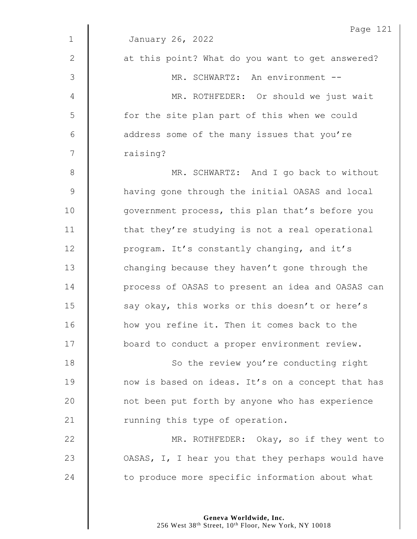|              | Page 121                                          |
|--------------|---------------------------------------------------|
| $\mathbf{1}$ | January 26, 2022                                  |
| $\mathbf{2}$ | at this point? What do you want to get answered?  |
| 3            | MR. SCHWARTZ: An environment --                   |
| 4            | MR. ROTHFEDER: Or should we just wait             |
| 5            | for the site plan part of this when we could      |
| 6            | address some of the many issues that you're       |
| 7            | raising?                                          |
| $8\,$        | MR. SCHWARTZ: And I go back to without            |
| $\mathsf 9$  | having gone through the initial OASAS and local   |
| 10           | government process, this plan that's before you   |
| 11           | that they're studying is not a real operational   |
| 12           | program. It's constantly changing, and it's       |
| 13           | changing because they haven't gone through the    |
| 14           | process of OASAS to present an idea and OASAS can |
| 15           | say okay, this works or this doesn't or here's    |
| 16           | how you refine it. Then it comes back to the      |
| 17           | board to conduct a proper environment review.     |
| 18           | So the review you're conducting right             |
| 19           | now is based on ideas. It's on a concept that has |
| 20           | not been put forth by anyone who has experience   |
| 21           | running this type of operation.                   |
| 22           | MR. ROTHFEDER: Okay, so if they went to           |
| 23           | OASAS, I, I hear you that they perhaps would have |
| 24           | to produce more specific information about what   |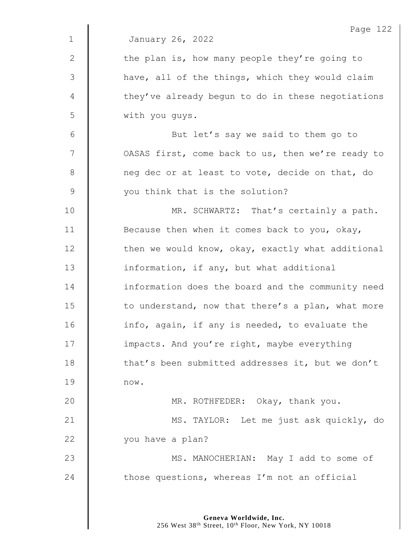|              | Page 122                                          |
|--------------|---------------------------------------------------|
| $\mathbf 1$  | January 26, 2022                                  |
| $\mathbf{2}$ | the plan is, how many people they're going to     |
| 3            | have, all of the things, which they would claim   |
| 4            | they've already begun to do in these negotiations |
| 5            | with you guys.                                    |
| 6            | But let's say we said to them go to               |
| 7            | OASAS first, come back to us, then we're ready to |
| 8            | neg dec or at least to vote, decide on that, do   |
| 9            | you think that is the solution?                   |
| 10           | MR. SCHWARTZ: That's certainly a path.            |
| 11           | Because then when it comes back to you, okay,     |
| 12           | then we would know, okay, exactly what additional |
| 13           | information, if any, but what additional          |
| 14           | information does the board and the community need |
| 15           | to understand, now that there's a plan, what more |
| 16           | info, again, if any is needed, to evaluate the    |
| 17           | impacts. And you're right, maybe everything       |
| 18           | that's been submitted addresses it, but we don't  |
| 19           | now.                                              |
| 20           | MR. ROTHFEDER: Okay, thank you.                   |
| 21           | MS. TAYLOR: Let me just ask quickly, do           |
| 22           | you have a plan?                                  |
| 23           | MS. MANOCHERIAN: May I add to some of             |
| 24           | those questions, whereas I'm not an official      |
|              |                                                   |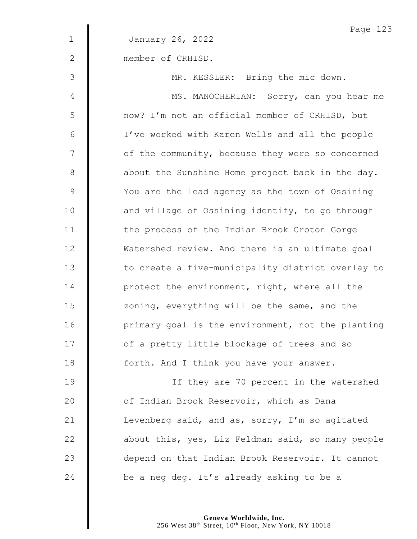| $\mathbf 1$<br>January 26, 2022<br>$\mathbf{2}$<br>member of CRHISD. | Page 123                                          |
|----------------------------------------------------------------------|---------------------------------------------------|
|                                                                      |                                                   |
|                                                                      |                                                   |
| 3<br>MR. KESSLER: Bring the mic down.                                |                                                   |
| 4                                                                    | MS. MANOCHERIAN: Sorry, can you hear me           |
| 5<br>now? I'm not an official member of CRHISD, but                  |                                                   |
| $6\,$<br>I've worked with Karen Wells and all the people             |                                                   |
| 7<br>of the community, because they were so concerned                |                                                   |
| $8\,$<br>about the Sunshine Home project back in the day.            |                                                   |
| $\mathcal{G}$<br>You are the lead agency as the town of Ossining     |                                                   |
| 10<br>and village of Ossining identify, to go through                |                                                   |
| 11<br>the process of the Indian Brook Croton Gorge                   |                                                   |
| 12<br>Watershed review. And there is an ultimate goal                |                                                   |
| 13                                                                   | to create a five-municipality district overlay to |
| 14<br>protect the environment, right, where all the                  |                                                   |
| 15<br>zoning, everything will be the same, and the                   |                                                   |
| 16                                                                   | primary goal is the environment, not the planting |
| 17<br>of a pretty little blockage of trees and so                    |                                                   |
| 18<br>forth. And I think you have your answer.                       |                                                   |
| 19                                                                   | If they are 70 percent in the watershed           |
| 20<br>of Indian Brook Reservoir, which as Dana                       |                                                   |
| 21<br>Levenberg said, and as, sorry, I'm so agitated                 |                                                   |
| 22                                                                   | about this, yes, Liz Feldman said, so many people |
| 23<br>depend on that Indian Brook Reservoir. It cannot               |                                                   |
| 24<br>be a neg deg. It's already asking to be a                      |                                                   |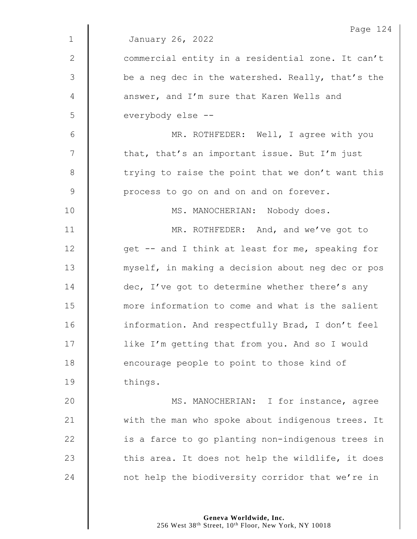| Page 124                                          |
|---------------------------------------------------|
| January 26, 2022                                  |
| commercial entity in a residential zone. It can't |
| be a neg dec in the watershed. Really, that's the |
| answer, and I'm sure that Karen Wells and         |
| everybody else --                                 |
| MR. ROTHFEDER: Well, I agree with you             |
| that, that's an important issue. But I'm just     |
| trying to raise the point that we don't want this |
| process to go on and on and on forever.           |
| MS. MANOCHERIAN: Nobody does.                     |
| MR. ROTHFEDER: And, and we've got to              |
| get -- and I think at least for me, speaking for  |
| myself, in making a decision about neg dec or pos |
| dec, I've got to determine whether there's any    |
| more information to come and what is the salient  |
| information. And respectfully Brad, I don't feel  |
| like I'm getting that from you. And so I would    |
| encourage people to point to those kind of        |
| things.                                           |
| MS. MANOCHERIAN: I for instance, agree            |
| with the man who spoke about indigenous trees. It |
| is a farce to go planting non-indigenous trees in |
| this area. It does not help the wildlife, it does |
| not help the biodiversity corridor that we're in  |
|                                                   |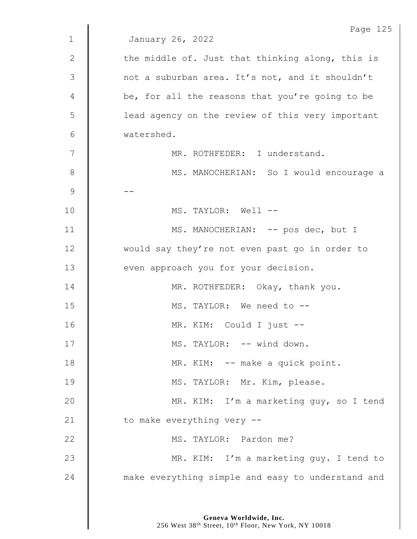|               | Page 125                                          |
|---------------|---------------------------------------------------|
| $\mathbf 1$   | January 26, 2022                                  |
| $\mathbf{2}$  | the middle of. Just that thinking along, this is  |
| 3             | not a suburban area. It's not, and it shouldn't   |
| 4             | be, for all the reasons that you're going to be   |
| 5             | lead agency on the review of this very important  |
| 6             | watershed.                                        |
| 7             | MR. ROTHFEDER: I understand.                      |
| 8             | MS. MANOCHERIAN: So I would encourage a           |
| $\mathcal{G}$ |                                                   |
| 10            | MS. TAYLOR: Well --                               |
| 11            | MS. MANOCHERIAN: -- pos dec, but I                |
| 12            | would say they're not even past go in order to    |
| 13            | even approach you for your decision.              |
| 14            | MR. ROTHFEDER: Okay, thank you.                   |
| 15            | MS. TAYLOR: We need to --                         |
| 16            | MR. KIM: Could I just --                          |
| 17            | MS. TAYLOR: -- wind down.                         |
| 18            | MR. KIM: -- make a quick point.                   |
| 19            | MS. TAYLOR: Mr. Kim, please.                      |
| 20            | MR. KIM: I'm a marketing guy, so I tend           |
| 21            | to make everything very --                        |
| 22            | MS. TAYLOR: Pardon me?                            |
| 23            | MR. KIM: I'm a marketing guy. I tend to           |
| 24            | make everything simple and easy to understand and |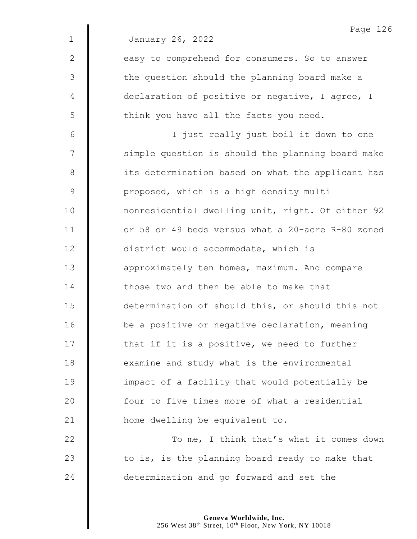|               | Page 126                                          |
|---------------|---------------------------------------------------|
| $\mathbf{1}$  | January 26, 2022                                  |
| 2             | easy to comprehend for consumers. So to answer    |
| 3             | the question should the planning board make a     |
| 4             | declaration of positive or negative, I agree, I   |
| 5             | think you have all the facts you need.            |
| 6             | I just really just boil it down to one            |
| 7             | simple question is should the planning board make |
| $8\,$         | its determination based on what the applicant has |
| $\mathcal{G}$ | proposed, which is a high density multi           |
| 10            | nonresidential dwelling unit, right. Of either 92 |
| 11            | or 58 or 49 beds versus what a 20-acre R-80 zoned |
| 12            | district would accommodate, which is              |
| 13            | approximately ten homes, maximum. And compare     |
| 14            | those two and then be able to make that           |
| 15            | determination of should this, or should this not  |
| 16            | be a positive or negative declaration, meaning    |
| 17            | that if it is a positive, we need to further      |
| 18            | examine and study what is the environmental       |
| 19            | impact of a facility that would potentially be    |
| 20            | four to five times more of what a residential     |
| 21            | home dwelling be equivalent to.                   |
| 22            | To me, I think that's what it comes down          |
| 23            | to is, is the planning board ready to make that   |
| 24            | determination and go forward and set the          |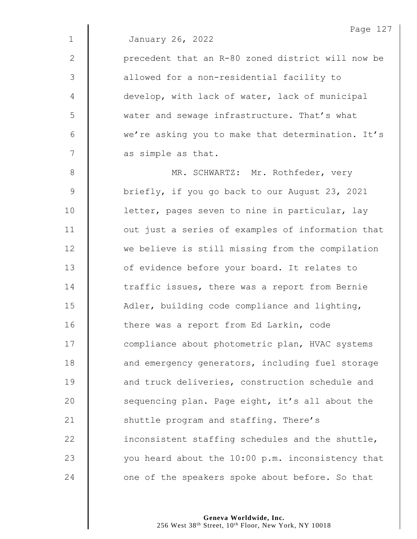|              | Page 127                                          |
|--------------|---------------------------------------------------|
| $\mathbf 1$  | January 26, 2022                                  |
| $\mathbf{2}$ | precedent that an R-80 zoned district will now be |
| 3            | allowed for a non-residential facility to         |
| 4            | develop, with lack of water, lack of municipal    |
| 5            | water and sewage infrastructure. That's what      |
| 6            | we're asking you to make that determination. It's |
| 7            | as simple as that.                                |
| $8\,$        | MR. SCHWARTZ: Mr. Rothfeder, very                 |
| $\mathsf 9$  | briefly, if you go back to our August 23, 2021    |
| 10           | letter, pages seven to nine in particular, lay    |
| 11           | out just a series of examples of information that |
| 12           | we believe is still missing from the compilation  |
| 13           | of evidence before your board. It relates to      |
| 14           | traffic issues, there was a report from Bernie    |
| 15           | Adler, building code compliance and lighting,     |
| 16           | there was a report from Ed Larkin, code           |
| 17           | compliance about photometric plan, HVAC systems   |
| 18           | and emergency generators, including fuel storage  |
| 19           | and truck deliveries, construction schedule and   |
| 20           | sequencing plan. Page eight, it's all about the   |
| 21           | shuttle program and staffing. There's             |
| 22           | inconsistent staffing schedules and the shuttle,  |
| 23           | you heard about the 10:00 p.m. inconsistency that |
| 24           | one of the speakers spoke about before. So that   |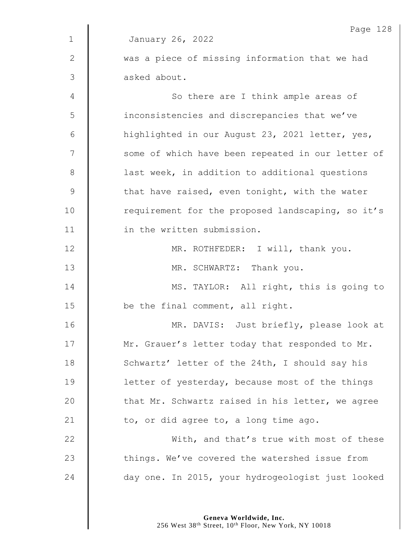|              | Page 128                                          |
|--------------|---------------------------------------------------|
| $\mathbf{1}$ | January 26, 2022                                  |
| $\mathbf{2}$ | was a piece of missing information that we had    |
| 3            | asked about.                                      |
| 4            | So there are I think ample areas of               |
| 5            | inconsistencies and discrepancies that we've      |
| 6            | highlighted in our August 23, 2021 letter, yes,   |
| 7            | some of which have been repeated in our letter of |
| $8\,$        | last week, in addition to additional questions    |
| $\mathsf 9$  | that have raised, even tonight, with the water    |
| 10           | requirement for the proposed landscaping, so it's |
| 11           | in the written submission.                        |
| 12           | MR. ROTHFEDER: I will, thank you.                 |
| 13           | MR. SCHWARTZ: Thank you.                          |
| 14           | MS. TAYLOR: All right, this is going to           |
| 15           | be the final comment, all right.                  |
| 16           | MR. DAVIS: Just briefly, please look at           |
| 17           | Mr. Grauer's letter today that responded to Mr.   |
| 18           | Schwartz' letter of the 24th, I should say his    |
| 19           | letter of yesterday, because most of the things   |
| 20           | that Mr. Schwartz raised in his letter, we agree  |
| 21           | to, or did agree to, a long time ago.             |
| 22           | With, and that's true with most of these          |
| 23           | things. We've covered the watershed issue from    |
| 24           | day one. In 2015, your hydrogeologist just looked |
|              |                                                   |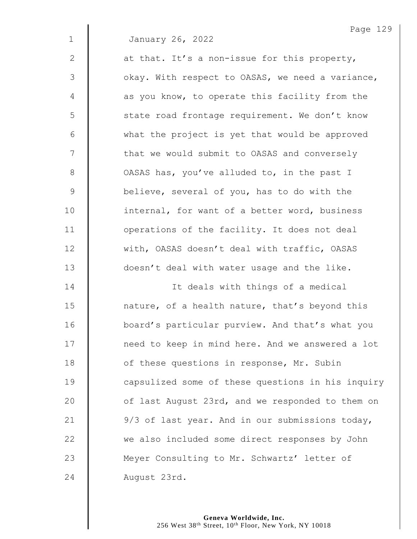January 26, 2022

Page 129

| $\mathbf{2}$   | at that. It's a non-issue for this property,      |
|----------------|---------------------------------------------------|
| $\mathfrak{Z}$ | okay. With respect to OASAS, we need a variance,  |
| 4              | as you know, to operate this facility from the    |
| 5              | state road frontage requirement. We don't know    |
| 6              | what the project is yet that would be approved    |
| 7              | that we would submit to OASAS and conversely      |
| 8              | OASAS has, you've alluded to, in the past I       |
| $\overline{9}$ | believe, several of you, has to do with the       |
| 10             | internal, for want of a better word, business     |
| 11             | operations of the facility. It does not deal      |
| 12             | with, OASAS doesn't deal with traffic, OASAS      |
| 13             | doesn't deal with water usage and the like.       |
| 14             | It deals with things of a medical                 |
| 15             | nature, of a health nature, that's beyond this    |
| 16             | board's particular purview. And that's what you   |
| 17             | need to keep in mind here. And we answered a lot  |
| 18             | of these questions in response, Mr. Subin         |
| 19             | capsulized some of these questions in his inquiry |
| 20             | of last August 23rd, and we responded to them on  |
| 21             | 9/3 of last year. And in our submissions today,   |
| 22             | we also included some direct responses by John    |
| 23             | Meyer Consulting to Mr. Schwartz' letter of       |
| 24             | August 23rd.                                      |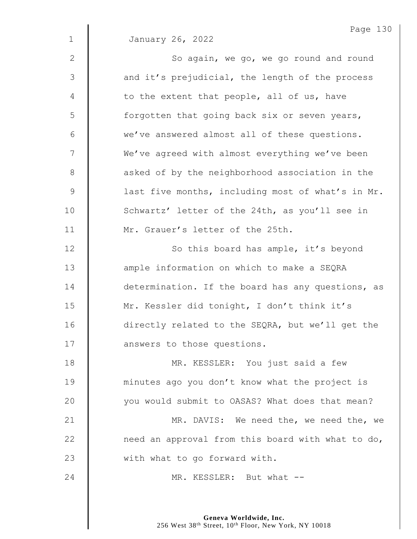Page 130 1 January 26, 2022 2 || So again, we go, we go round and round 3 || and it's prejudicial, the length of the process  $4 \parallel$  to the extent that people, all of us, have 5 | forgotten that going back six or seven years,  $6 \parallel$  we've answered almost all of these questions. 7 | We've agreed with almost everything we've been 8 **a** asked of by the neighborhood association in the 9 | last five months, including most of what's in Mr. 10 Schwartz' letter of the 24th, as you'll see in 11 | Mr. Grauer's letter of the 25th. 12 | So this board has ample, it's beyond 13 **I** ample information on which to make a SEQRA 14 determination. If the board has any questions, as 15 | Mr. Kessler did tonight, I don't think it's 16 | directly related to the SEQRA, but we'll get the 17 **I** answers to those questions. 18 | MR. KESSLER: You just said a few 19 **minutes ago you don't know what the project is** 20 you would submit to OASAS? What does that mean? 21 | MR. DAVIS: We need the, we need the, we 22  $\parallel$  need an approval from this board with what to do, 23 | with what to go forward with. 24 MR. KESSLER: But what --

> **Geneva Worldwide, Inc.** 256 West 38<sup>th</sup> Street, 10<sup>th</sup> Floor, New York, NY 10018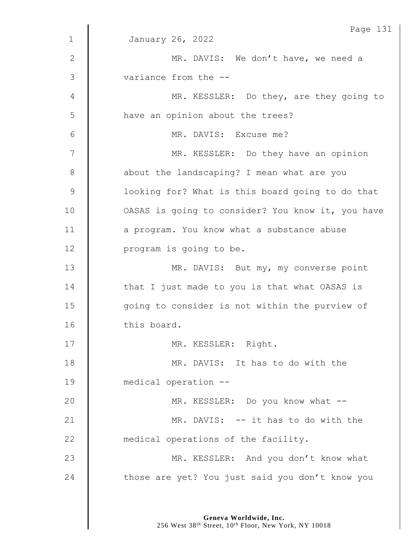|                | Page 131                                          |
|----------------|---------------------------------------------------|
| $\mathbf 1$    | January 26, 2022                                  |
| $\mathbf{2}$   | MR. DAVIS: We don't have, we need a               |
| $\mathfrak{Z}$ | variance from the --                              |
| 4              | MR. KESSLER: Do they, are they going to           |
| 5              | have an opinion about the trees?                  |
| 6              | MR. DAVIS: Excuse me?                             |
| 7              | MR. KESSLER: Do they have an opinion              |
| $8\,$          | about the landscaping? I mean what are you        |
| $\mathcal{G}$  | looking for? What is this board going to do that  |
| 10             | OASAS is going to consider? You know it, you have |
| 11             | a program. You know what a substance abuse        |
| 12             | program is going to be.                           |
| 13             | MR. DAVIS: But my, my converse point              |
| 14             | that I just made to you is that what OASAS is     |
| 15             | going to consider is not within the purview of    |
| 16             | this board.                                       |
| 17             | MR. KESSLER: Right.                               |
| 18             | MR. DAVIS: It has to do with the                  |
| 19             | medical operation --                              |
| 20             | MR. KESSLER: Do you know what --                  |
| 21             | MR. DAVIS: -- it has to do with the               |
| 22             | medical operations of the facility.               |
| 23             | MR. KESSLER: And you don't know what              |
| 24             | those are yet? You just said you don't know you   |
|                |                                                   |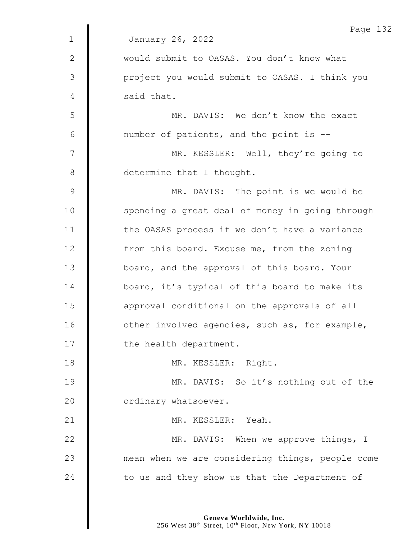|                | Page 132                                         |
|----------------|--------------------------------------------------|
| $\mathbf{1}$   | January 26, 2022                                 |
| $\mathbf{2}$   | would submit to OASAS. You don't know what       |
| $\mathfrak{Z}$ | project you would submit to OASAS. I think you   |
| 4              | said that.                                       |
| 5              | MR. DAVIS: We don't know the exact               |
| 6              | number of patients, and the point is --          |
| 7              | MR. KESSLER: Well, they're going to              |
| 8              | determine that I thought.                        |
| $\mathsf 9$    | MR. DAVIS: The point is we would be              |
| 10             | spending a great deal of money in going through  |
| 11             | the OASAS process if we don't have a variance    |
| 12             | from this board. Excuse me, from the zoning      |
| 13             | board, and the approval of this board. Your      |
| 14             | board, it's typical of this board to make its    |
| 15             | approval conditional on the approvals of all     |
| 16             | other involved agencies, such as, for example,   |
| 17             | the health department.                           |
| 18             | MR. KESSLER: Right.                              |
| 19             | MR. DAVIS: So it's nothing out of the            |
| 20             | ordinary whatsoever.                             |
| 21             | MR. KESSLER: Yeah.                               |
| 22             | MR. DAVIS: When we approve things, I             |
| 23             | mean when we are considering things, people come |
| 24             | to us and they show us that the Department of    |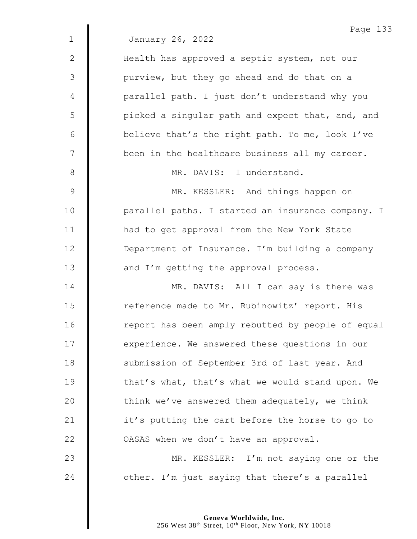|              | Page 133                                          |
|--------------|---------------------------------------------------|
| $\mathbf{1}$ | January 26, 2022                                  |
| $\mathbf{2}$ | Health has approved a septic system, not our      |
| 3            | purview, but they go ahead and do that on a       |
| 4            | parallel path. I just don't understand why you    |
| 5            | picked a singular path and expect that, and, and  |
| 6            | believe that's the right path. To me, look I've   |
| 7            | been in the healthcare business all my career.    |
| 8            | MR. DAVIS: I understand.                          |
| 9            | MR. KESSLER: And things happen on                 |
| 10           | parallel paths. I started an insurance company. I |
| 11           | had to get approval from the New York State       |
| 12           | Department of Insurance. I'm building a company   |
| 13           | and I'm getting the approval process.             |
| 14           | MR. DAVIS: All I can say is there was             |
| 15           | reference made to Mr. Rubinowitz' report. His     |
| 16           | report has been amply rebutted by people of equal |
| 17           | experience. We answered these questions in our    |
| 18           | submission of September 3rd of last year. And     |
| 19           | that's what, that's what we would stand upon. We  |
| 20           | think we've answered them adequately, we think    |
| 21           | it's putting the cart before the horse to go to   |
| 22           | OASAS when we don't have an approval.             |
| 23           | MR. KESSLER: I'm not saying one or the            |
| 24           | other. I'm just saying that there's a parallel    |
|              |                                                   |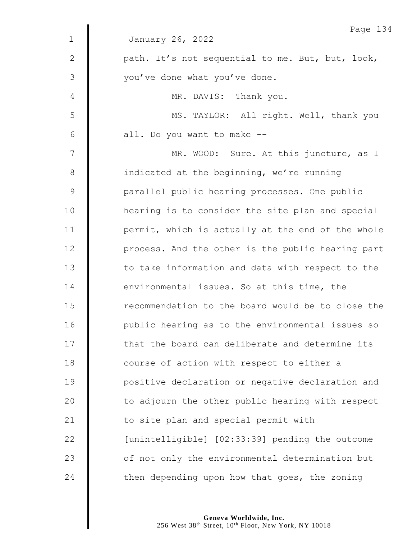|             | Page 134                                          |
|-------------|---------------------------------------------------|
| $\mathbf 1$ | January 26, 2022                                  |
| 2           | path. It's not sequential to me. But, but, look,  |
| 3           | you've done what you've done.                     |
| 4           | MR. DAVIS: Thank you.                             |
| 5           | MS. TAYLOR: All right. Well, thank you            |
| 6           | all. Do you want to make --                       |
| 7           | MR. WOOD: Sure. At this juncture, as I            |
| 8           | indicated at the beginning, we're running         |
| $\mathsf 9$ | parallel public hearing processes. One public     |
| 10          | hearing is to consider the site plan and special  |
| 11          | permit, which is actually at the end of the whole |
| 12          | process. And the other is the public hearing part |
| 13          | to take information and data with respect to the  |
| 14          | environmental issues. So at this time, the        |
| 15          | recommendation to the board would be to close the |
| 16          | public hearing as to the environmental issues so  |
| 17          | that the board can deliberate and determine its   |
| 18          | course of action with respect to either a         |
| 19          | positive declaration or negative declaration and  |
| 20          | to adjourn the other public hearing with respect  |
| 21          | to site plan and special permit with              |
| 22          | [unintelligible] [02:33:39] pending the outcome   |
| 23          | of not only the environmental determination but   |
| 24          | then depending upon how that goes, the zoning     |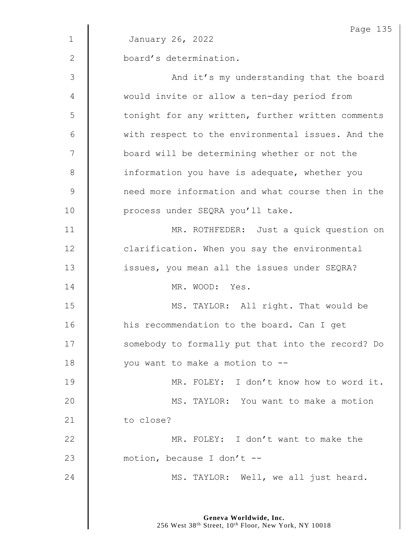|              | Page 135                                          |
|--------------|---------------------------------------------------|
| $\mathbf{1}$ | January 26, 2022                                  |
| $\mathbf{2}$ | board's determination.                            |
| 3            | And it's my understanding that the board          |
| 4            | would invite or allow a ten-day period from       |
| 5            | tonight for any written, further written comments |
| 6            | with respect to the environmental issues. And the |
| 7            | board will be determining whether or not the      |
| 8            | information you have is adequate, whether you     |
| $\mathsf 9$  | need more information and what course then in the |
| 10           | process under SEQRA you'll take.                  |
| 11           | MR. ROTHFEDER: Just a quick question on           |
| 12           | clarification. When you say the environmental     |
| 13           | issues, you mean all the issues under SEQRA?      |
| 14           | MR. WOOD: Yes.                                    |
| 15           | MS. TAYLOR: All right. That would be              |
| 16           | his recommendation to the board. Can I get        |
| 17           | somebody to formally put that into the record? Do |
| 18           | you want to make a motion to --                   |
| 19           | MR. FOLEY: I don't know how to word it.           |
| 20           | MS. TAYLOR: You want to make a motion             |
| 21           | to close?                                         |
| 22           | MR. FOLEY: I don't want to make the               |
| 23           | motion, because I don't --                        |
| 24           | MS. TAYLOR: Well, we all just heard.              |
|              |                                                   |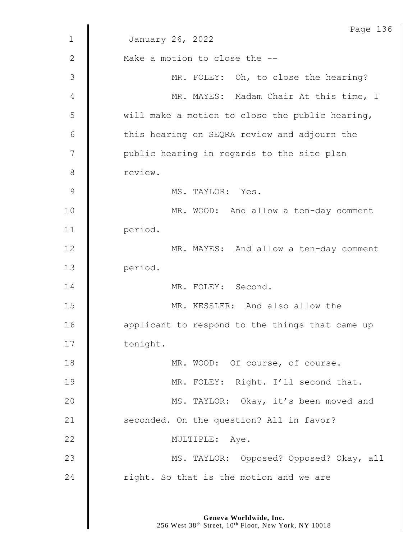|               | Page 136                                        |
|---------------|-------------------------------------------------|
| $\mathbf 1$   | January 26, 2022                                |
| $\mathbf{2}$  | Make a motion to close the --                   |
| 3             | MR. FOLEY: Oh, to close the hearing?            |
| 4             | MR. MAYES: Madam Chair At this time, I          |
| 5             | will make a motion to close the public hearing, |
| 6             | this hearing on SEQRA review and adjourn the    |
| 7             | public hearing in regards to the site plan      |
| 8             | review.                                         |
| $\mathcal{G}$ | MS. TAYLOR: Yes.                                |
| 10            | MR. WOOD: And allow a ten-day comment           |
| 11            | period.                                         |
| 12            | MR. MAYES: And allow a ten-day comment          |
| 13            | period.                                         |
| 14            | MR. FOLEY: Second.                              |
| 15            | MR. KESSLER: And also allow the                 |
| 16            | applicant to respond to the things that came up |
| 17            | tonight.                                        |
| 18            | MR. WOOD: Of course, of course.                 |
| 19            | MR. FOLEY: Right. I'll second that.             |
| 20            | MS. TAYLOR: Okay, it's been moved and           |
| 21            | seconded. On the question? All in favor?        |
| 22            | MULTIPLE: Aye.                                  |
| 23            | MS. TAYLOR: Opposed? Opposed? Okay, all         |
| 24            | right. So that is the motion and we are         |
|               |                                                 |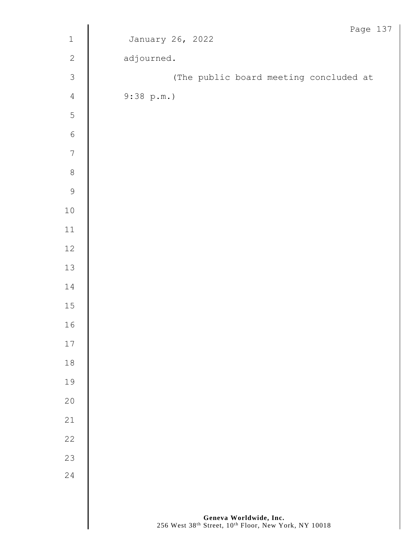|                                 | Page 137                               |
|---------------------------------|----------------------------------------|
| $\,1\,$                         | January 26, 2022                       |
| $\sqrt{2}$                      | adjourned.                             |
| $\mathfrak{Z}$                  | (The public board meeting concluded at |
| $\sqrt{4}$                      | 9:38 p.m.                              |
| 5                               |                                        |
| $\overline{6}$                  |                                        |
| $\overline{7}$                  |                                        |
| $\begin{matrix} 8 \end{matrix}$ |                                        |
| $\mathcal{G}$                   |                                        |
| $10\,$                          |                                        |
| $11\,$                          |                                        |
| $12\,$                          |                                        |
| $13$                            |                                        |
| $1\,4$                          |                                        |
| $15\,$                          |                                        |
| 16                              |                                        |
| $17$                            |                                        |
| $1\,8$                          |                                        |
| 19                              |                                        |
| $20$                            |                                        |
| 21                              |                                        |
| $2\sqrt{2}$                     |                                        |
| 23                              |                                        |
| 24                              |                                        |
|                                 |                                        |